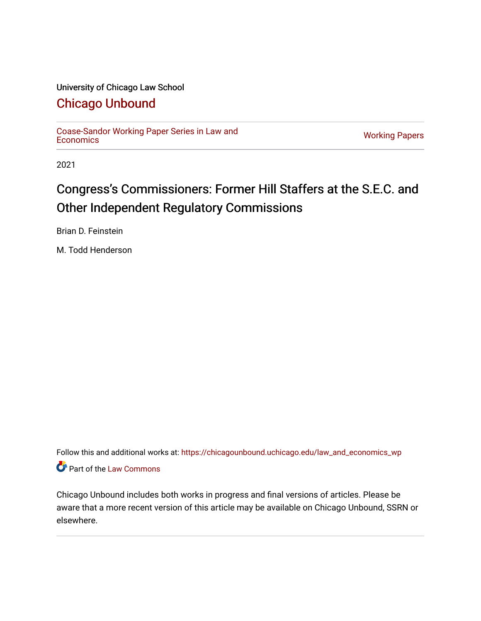### University of Chicago Law School

## [Chicago Unbound](https://chicagounbound.uchicago.edu/)

[Coase-Sandor Working Paper Series in Law and](https://chicagounbound.uchicago.edu/law_and_economics_wp) [Economics](https://chicagounbound.uchicago.edu/law_and_economics_wp) [Working Papers](https://chicagounbound.uchicago.edu/working_papers) 

2021

# Congress's Commissioners: Former Hill Staffers at the S.E.C. and Other Independent Regulatory Commissions

Brian D. Feinstein

M. Todd Henderson

Follow this and additional works at: [https://chicagounbound.uchicago.edu/law\\_and\\_economics\\_wp](https://chicagounbound.uchicago.edu/law_and_economics_wp?utm_source=chicagounbound.uchicago.edu%2Flaw_and_economics_wp%2F65&utm_medium=PDF&utm_campaign=PDFCoverPages)  Part of the [Law Commons](http://network.bepress.com/hgg/discipline/578?utm_source=chicagounbound.uchicago.edu%2Flaw_and_economics_wp%2F65&utm_medium=PDF&utm_campaign=PDFCoverPages)

Chicago Unbound includes both works in progress and final versions of articles. Please be aware that a more recent version of this article may be available on Chicago Unbound, SSRN or elsewhere.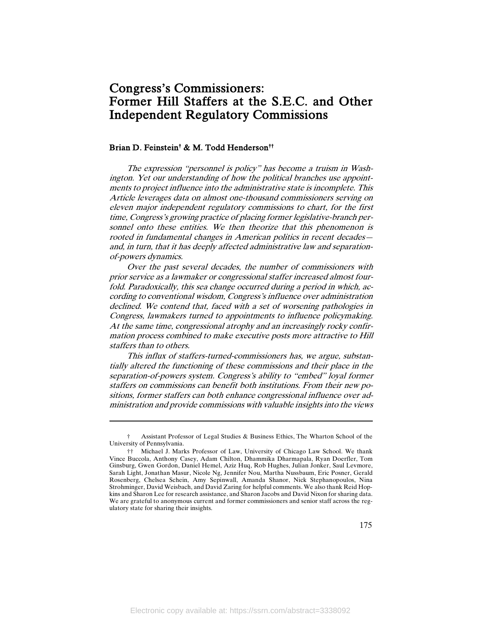## Congress's Commissioners: Former Hill Staffers at the S.E.C. and Other Independent Regulatory Commissions

#### Brian D. Feinstein† & M. Todd Henderson††

The expression "personnel is policy" has become a truism in Washington. Yet our understanding of how the political branches use appointments to project influence into the administrative state is incomplete. This Article leverages data on almost one-thousand commissioners serving on eleven major independent regulatory commissions to chart, for the first time, Congress's growing practice of placing former legislative-branch personnel onto these entities. We then theorize that this phenomenon is rooted in fundamental changes in American politics in recent decades and, in turn, that it has deeply affected administrative law and separationof-powers dynamics.

Over the past several decades, the number of commissioners with prior service as a lawmaker or congressional staffer increased almost fourfold. Paradoxically, this sea change occurred during a period in which, according to conventional wisdom, Congress's influence over administration declined. We contend that, faced with a set of worsening pathologies in Congress, lawmakers turned to appointments to influence policymaking. At the same time, congressional atrophy and an increasingly rocky confirmation process combined to make executive posts more attractive to Hill staffers than to others.

This influx of staffers-turned-commissioners has, we argue, substantially altered the functioning of these commissions and their place in the separation-of-powers system. Congress's ability to "embed" loyal former staffers on commissions can benefit both institutions. From their new positions, former staffers can both enhance congressional influence over administration and provide commissions with valuable insights into the views

<sup>†</sup> Assistant Professor of Legal Studies & Business Ethics, The Wharton School of the University of Pennsylvania.

<sup>††</sup> Michael J. Marks Professor of Law, University of Chicago Law School. We thank Vince Buccola, Anthony Casey, Adam Chilton, Dhammika Dharmapala, Ryan Doerfler, Tom Ginsburg, Gwen Gordon, Daniel Hemel, Aziz Huq, Rob Hughes, Julian Jonker, Saul Levmore, Sarah Light, Jonathan Masur, Nicole Ng, Jennifer Nou, Martha Nussbaum, Eric Posner, Gerald Rosenberg, Chelsea Schein, Amy Sepinwall, Amanda Shanor, Nick Stephanopoulos, Nina Strohminger, David Weisbach, and David Zaring for helpful comments. We also thank Reid Hopkins and Sharon Lee for research assistance, and Sharon Jacobs and David Nixon for sharing data. We are grateful to anonymous current and former commissioners and senior staff across the regulatory state for sharing their insights.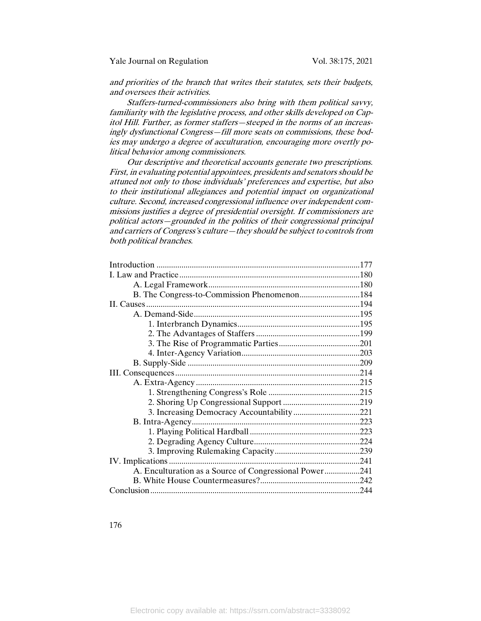and priorities of the branch that writes their statutes, sets their budgets, and oversees their activities.

Staffers-turned-commissioners also bring with them political savvy, familiarity with the legislative process, and other skills developed on Capitol Hill. Further, as former staffers—steeped in the norms of an increasingly dysfunctional Congress—fill more seats on commissions, these bodies may undergo a degree of acculturation, encouraging more overtly political behavior among commissioners.

Our descriptive and theoretical accounts generate two prescriptions. First, in evaluating potential appointees, presidents and senators should be attuned not only to those individuals' preferences and expertise, but also to their institutional allegiances and potential impact on organizational culture. Second, increased congressional influence over independent commissions justifies a degree of presidential oversight. If commissioners are political actors—grounded in the politics of their congressional principal and carriers of Congress's culture—they should be subject to controls from both political branches.

| A. Enculturation as a Source of Congressional Power241 |  |
|--------------------------------------------------------|--|
|                                                        |  |
|                                                        |  |
|                                                        |  |

176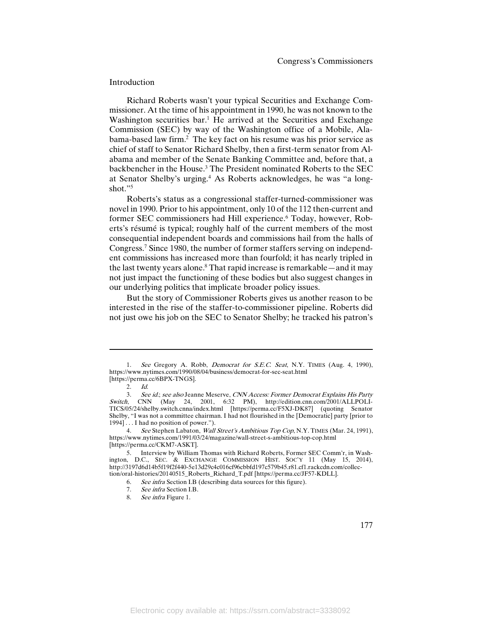#### Introduction

Richard Roberts wasn't your typical Securities and Exchange Commissioner. At the time of his appointment in 1990, he was not known to the Washington securities bar.<sup>1</sup> He arrived at the Securities and Exchange Commission (SEC) by way of the Washington office of a Mobile, Alabama-based law firm.2 The key fact on his resume was his prior service as chief of staff to Senator Richard Shelby, then a first-term senator from Alabama and member of the Senate Banking Committee and, before that, a backbencher in the House.3 The President nominated Roberts to the SEC at Senator Shelby's urging.<sup>4</sup> As Roberts acknowledges, he was "a longshot."<sup>5</sup>

Roberts's status as a congressional staffer-turned-commissioner was novel in 1990. Prior to his appointment, only 10 of the 112 then-current and former SEC commissioners had Hill experience.6 Today, however, Roberts's résumé is typical; roughly half of the current members of the most consequential independent boards and commissions hail from the halls of Congress.7 Since 1980, the number of former staffers serving on independent commissions has increased more than fourfold; it has nearly tripled in the last twenty years alone.8 That rapid increase is remarkable—and it may not just impact the functioning of these bodies but also suggest changes in our underlying politics that implicate broader policy issues.

But the story of Commissioner Roberts gives us another reason to be interested in the rise of the staffer-to-commissioner pipeline. Roberts did not just owe his job on the SEC to Senator Shelby; he tracked his patron's

<sup>1.</sup> See Gregory A. Robb, *Democrat for S.E.C. Seat*, N.Y. TIMES (Aug. 4, 1990), https://www.nytimes.com/1990/08/04/business/democrat-for-sec-seat.html [https://perma.cc/6BPX-TNGS].

<sup>2.</sup> Id.

<sup>3.</sup> See id.; see also Jeanne Meserve, CNN Access: Former Democrat Explains His Party Switch, CNN (May 24, 2001, 6:32 PM), http://edition.cnn.com/2001/ALLPOLI-TICS/05/24/shelby.switch.cnna/index.html [https://perma.cc/F5XJ-DK87] (quoting Senator Shelby, "I was not a committee chairman. I had not flourished in the [Democratic] party [prior to 1994] . . . I had no position of power.").

<sup>4.</sup> See Stephen Labaton, *Wall Street's Ambitious Top Cop*, N.Y. TIMES (Mar. 24, 1991), https://www.nytimes.com/1991/03/24/magazine/wall-street-s-ambitious-top-cop.html [https://perma.cc/CKM7-ASKT].

<sup>5.</sup> Interview by William Thomas with Richard Roberts, Former SEC Comm'r, in Washington, D.C., SEC. & EXCHANGE COMMISSION HIST. SOC'Y 11 (May 15, 2014), http://3197d6d14b5f19f2f440-5e13d29c4c016cf96cbbfd197c579b45.r81.cf1.rackcdn.com/collection/oral-histories/20140515\_Roberts\_Richard\_T.pdf [https://perma.cc/JF57-KDLL].

<sup>6.</sup> See infra Section I.B (describing data sources for this figure).

<sup>7.</sup> See infra Section I.B.

<sup>8.</sup> See infra Figure 1.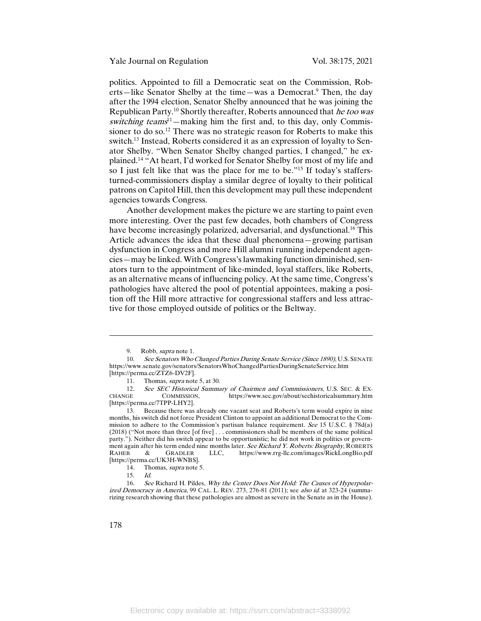Yale Journal on Regulation Vol. 38:175, 2021

politics. Appointed to fill a Democratic seat on the Commission, Roberts—like Senator Shelby at the time—was a Democrat.<sup>9</sup> Then, the day after the 1994 election, Senator Shelby announced that he was joining the Republican Party.<sup>10</sup> Shortly thereafter, Roberts announced that *he too was* switching teams<sup>11</sup>—making him the first and, to this day, only Commissioner to do so.12 There was no strategic reason for Roberts to make this switch.<sup>13</sup> Instead, Roberts considered it as an expression of loyalty to Senator Shelby. "When Senator Shelby changed parties, I changed," he explained. <sup>14</sup> "At heart, I'd worked for Senator Shelby for most of my life and so I just felt like that was the place for me to be."15 If today's staffersturned-commissioners display a similar degree of loyalty to their political patrons on Capitol Hill, then this development may pull these independent agencies towards Congress.

Another development makes the picture we are starting to paint even more interesting. Over the past few decades, both chambers of Congress have become increasingly polarized, adversarial, and dysfunctional.<sup>16</sup> This Article advances the idea that these dual phenomena—growing partisan dysfunction in Congress and more Hill alumni running independent agencies—may be linked. With Congress's lawmaking function diminished, senators turn to the appointment of like-minded, loyal staffers, like Roberts, as an alternative means of influencing policy. At the same time, Congress's pathologies have altered the pool of potential appointees, making a position off the Hill more attractive for congressional staffers and less attractive for those employed outside of politics or the Beltway.

 $\overline{a}$ 

<sup>9.</sup> Robb, supra note 1.

<sup>10.</sup> See Senators Who Changed Parties During Senate Service (Since 1890), U.S. SENATE https://www.senate.gov/senators/SenatorsWhoChangedPartiesDuringSenateService.htm [https://perma.cc/ZTZ6-DV2F].

<sup>11.</sup> Thomas, supra note 5, at 30.

<sup>12.</sup> See SEC Historical Summary of Chairmen and Commissioners, U.S. SEC. & EX-<br>CHANGE COMMISSION https://www.sec.gov/about/sechistoricalsummary.htm https://www.sec.gov/about/sechistoricalsummary.htm [https://perma.cc/7TPP-LHY2].

<sup>13.</sup> Because there was already one vacant seat and Roberts's term would expire in nine months, his switch did not force President Clinton to appoint an additional Democrat to the Commission to adhere to the Commission's partisan balance requirement. See 15 U.S.C. § 78d(a) (2018) ("Not more than three [of five] . . . commissioners shall be members of the same political party."). Neither did his switch appear to be opportunistic; he did not work in politics or government again after his term ended nine months later. See Richard Y. Roberts: Biography, ROBERTS<br>RAHEB & GRADLER LLC, https://www.rrg-llc.com/images/RickLongBio.pdf https://www.rrg-llc.com/images/RickLongBio.pdf [https://perma.cc/UK3H-WNBS].

<sup>14.</sup> Thomas, *supra* note 5.

<sup>15.</sup> Id.

<sup>16.</sup> See Richard H. Pildes, Why the Center Does Not Hold: The Causes of Hyperpolarized Democracy in America, 99 CAL. L. REV. 273, 276-81 (2011); see also id. at 323-24 (summarizing research showing that these pathologies are almost as severe in the Senate as in the House).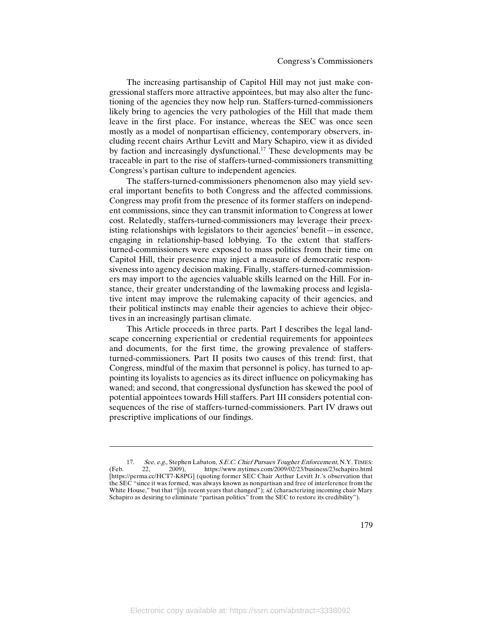The increasing partisanship of Capitol Hill may not just make congressional staffers more attractive appointees, but may also alter the functioning of the agencies they now help run. Staffers-turned-commissioners likely bring to agencies the very pathologies of the Hill that made them leave in the first place. For instance, whereas the SEC was once seen mostly as a model of nonpartisan efficiency, contemporary observers, including recent chairs Arthur Levitt and Mary Schapiro, view it as divided by faction and increasingly dysfunctional.<sup>17</sup> These developments may be traceable in part to the rise of staffers-turned-commissioners transmitting Congress's partisan culture to independent agencies.

The staffers-turned-commissioners phenomenon also may yield several important benefits to both Congress and the affected commissions. Congress may profit from the presence of its former staffers on independent commissions, since they can transmit information to Congress at lower cost. Relatedly, staffers-turned-commissioners may leverage their preexisting relationships with legislators to their agencies' benefit—in essence, engaging in relationship-based lobbying. To the extent that staffersturned-commissioners were exposed to mass politics from their time on Capitol Hill, their presence may inject a measure of democratic responsiveness into agency decision making. Finally, staffers-turned-commissioners may import to the agencies valuable skills learned on the Hill. For instance, their greater understanding of the lawmaking process and legislative intent may improve the rulemaking capacity of their agencies, and their political instincts may enable their agencies to achieve their objectives in an increasingly partisan climate.

This Article proceeds in three parts. Part I describes the legal landscape concerning experiential or credential requirements for appointees and documents, for the first time, the growing prevalence of staffersturned-commissioners. Part II posits two causes of this trend: first, that Congress, mindful of the maxim that personnel is policy, has turned to appointing its loyalists to agencies as its direct influence on policymaking has waned; and second, that congressional dysfunction has skewed the pool of potential appointees towards Hill staffers. Part III considers potential consequences of the rise of staffers-turned-commissioners. Part IV draws out prescriptive implications of our findings.

 $\overline{\phantom{a}}$ 

<sup>17.</sup> See, e.g., Stephen Labaton, S.E.C. Chief Pursues Tougher Enforcement, N.Y. TIMES:<br>22, 2009), https://www.nytimes.com/2009/02/23/business/23schapiro.html (Feb. 22, 2009), https://www.nytimes.com/2009/02/23/business/23schapiro.html [https://perma.cc/HCT7-K8PG] (quoting former SEC Chair Arthur Levitt Jr.'s observation that the SEC "since it was formed, was always known as nonpartisan and free of interference from the White House," but that "[i]n recent years that changed"); *id.* (characterizing incoming chair Mary Schapiro as desiring to eliminate "partisan politics" from the SEC to restore its credibility").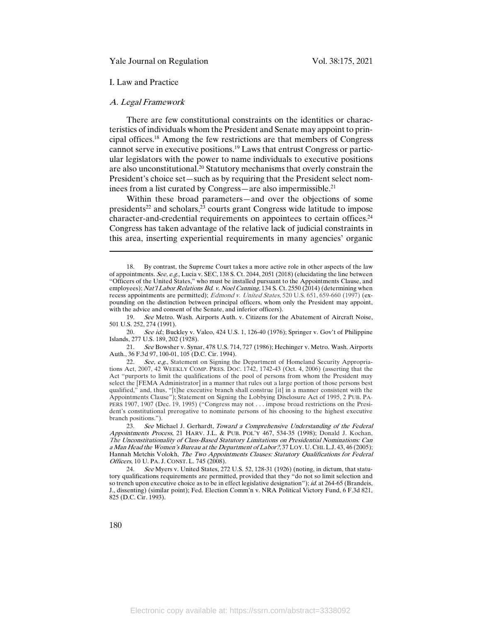#### I. Law and Practice

#### A. Legal Framework

There are few constitutional constraints on the identities or characteristics of individuals whom the President and Senate may appoint to principal offices.18 Among the few restrictions are that members of Congress cannot serve in executive positions.19 Laws that entrust Congress or particular legislators with the power to name individuals to executive positions are also unconstitutional.20 Statutory mechanisms that overly constrain the President's choice set—such as by requiring that the President select nominees from a list curated by Congress—are also impermissible.21

Within these broad parameters—and over the objections of some presidents<sup>22</sup> and scholars, $2^3$  courts grant Congress wide latitude to impose character-and-credential requirements on appointees to certain offices.24 Congress has taken advantage of the relative lack of judicial constraints in this area, inserting experiential requirements in many agencies' organic

19. See Metro. Wash. Airports Auth. v. Citizens for the Abatement of Aircraft Noise, 501 U.S. 252, 274 (1991).

20. See id.; Buckley v. Valeo, 424 U.S. 1, 126-40 (1976); Springer v. Gov't of Philippine Islands, 277 U.S. 189, 202 (1928).

21. See Bowsher v. Synar, 478 U.S. 714, 727 (1986); Hechinger v. Metro. Wash. Airports Auth., 36 F.3d 97, 100-01, 105 (D.C. Cir. 1994).

24. See Myers v. United States, 272 U.S. 52, 128-31 (1926) (noting, in dictum, that statutory qualifications requirements are permitted, provided that they "do not so limit selection and so trench upon executive choice as to be in effect legislative designation"); *id.* at 264-65 (Brandeis, J., dissenting) (similar point); Fed. Election Comm'n v. NRA Political Victory Fund, 6 F.3d 821, 825 (D.C. Cir. 1993).

 $\overline{a}$ 

<sup>18.</sup> By contrast, the Supreme Court takes a more active role in other aspects of the law of appointments. See, e.g., Lucia v. SEC, 138 S. Ct. 2044, 2051 (2018) (elucidating the line between "Officers of the United States," who must be installed pursuant to the Appointments Clause, and employees); Nat'l Labor Relations Bd. v. Noel Canning, 134 S. Ct. 2550 (2014) (determining when recess appointments are permitted); Edmond v. United States, 520 U.S. 651, 659-660 (1997) (expounding on the distinction between principal officers, whom only the President may appoint, with the advice and consent of the Senate, and inferior officers).

<sup>22.</sup> See, e.g., Statement on Signing the Department of Homeland Security Appropriations Act, 2007, 42 WEEKLY COMP. PRES. DOC. 1742, 1742-43 (Oct. 4, 2006) (asserting that the Act "purports to limit the qualifications of the pool of persons from whom the President may select the [FEMA Administrator] in a manner that rules out a large portion of those persons best qualified," and, thus, "[t]he executive branch shall construe [it] in a manner consistent with the Appointments Clause"); Statement on Signing the Lobbying Disclosure Act of 1995, 2 PUB. PA-PERS 1907, 1907 (Dec. 19, 1995) ("Congress may not . . . impose broad restrictions on the President's constitutional prerogative to nominate persons of his choosing to the highest executive branch positions.").

<sup>23.</sup> See Michael J. Gerhardt, Toward a Comprehensive Understanding of the Federal Appointments Process, 21 HARV. J.L. & PUB. POL'Y 467, 534-35 (1998); Donald J. Kochan, The Unconstitutionality of Class-Based Statutory Limitations on Presidential Nominations: Can <sup>a</sup> Man Head the Women's Bureau at the Department of Labor?, 37 LOY. U.CHI. L.J. 43, 46 (2005); Hannah Metchis Volokh, The Two Appointments Clauses: Statutory Qualifications for Federal Officers, 10 U. PA. J. CONST. L. 745 (2008).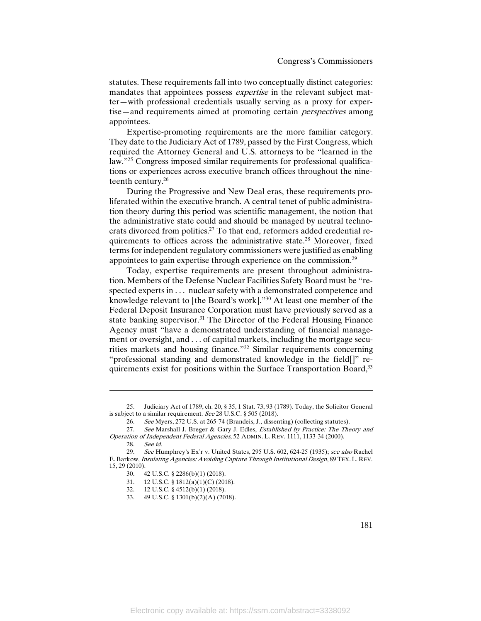statutes. These requirements fall into two conceptually distinct categories: mandates that appointees possess *expertise* in the relevant subject matter—with professional credentials usually serving as a proxy for expertise—and requirements aimed at promoting certain *perspectives* among appointees.

Expertise-promoting requirements are the more familiar category. They date to the Judiciary Act of 1789, passed by the First Congress, which required the Attorney General and U.S. attorneys to be "learned in the law."25 Congress imposed similar requirements for professional qualifications or experiences across executive branch offices throughout the nineteenth century.26

During the Progressive and New Deal eras, these requirements proliferated within the executive branch. A central tenet of public administration theory during this period was scientific management, the notion that the administrative state could and should be managed by neutral technocrats divorced from politics.<sup>27</sup> To that end, reformers added credential requirements to offices across the administrative state.28 Moreover, fixed terms for independent regulatory commissioners were justified as enabling appointees to gain expertise through experience on the commission.29

Today, expertise requirements are present throughout administration. Members of the Defense Nuclear Facilities Safety Board must be "respected experts in . . . nuclear safety with a demonstrated competence and knowledge relevant to [the Board's work]."30 At least one member of the Federal Deposit Insurance Corporation must have previously served as a state banking supervisor.<sup>31</sup> The Director of the Federal Housing Finance Agency must "have a demonstrated understanding of financial management or oversight, and . . . of capital markets, including the mortgage securities markets and housing finance."32 Similar requirements concerning "professional standing and demonstrated knowledge in the field[]" requirements exist for positions within the Surface Transportation Board,<sup>33</sup>

<sup>25.</sup> Judiciary Act of 1789, ch. 20, § 35, 1 Stat. 73, 93 (1789). Today, the Solicitor General is subject to a similar requirement. See 28 U.S.C. § 505 (2018).

<sup>26.</sup> See Myers, 272 U.S. at 265-74 (Brandeis, J., dissenting) (collecting statutes).

<sup>27.</sup> See Marshall J. Breger & Gary J. Edles, Established by Practice: The Theory and Operation of Independent Federal Agencies, 52 ADMIN. L. REV. 1111, 1133-34 (2000).

<sup>28.</sup>  $\frac{\text{See } id.}{29}$ 

<sup>29.</sup> See Humphrey's Ex'r v. United States, 295 U.S. 602, 624-25 (1935); see also Rachel E. Barkow, Insulating Agencies: Avoiding Capture Through Institutional Design, 89 TEX. L. REV. 15, 29 (2010).

<sup>30.</sup> 42 U.S.C. § 2286(b)(1) (2018).

<sup>31.</sup> 12 U.S.C. § 1812(a)(1)(C) (2018).

<sup>32.</sup> 12 U.S.C. § 4512(b)(1) (2018).

<sup>33.</sup> 49 U.S.C. § 1301(b)(2)(A) (2018).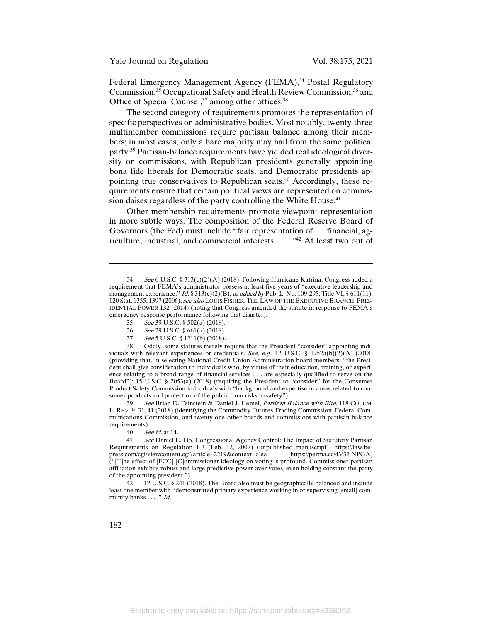Federal Emergency Management Agency (FEMA),<sup>34</sup> Postal Regulatory Commission,<sup>35</sup> Occupational Safety and Health Review Commission,<sup>36</sup> and Office of Special Counsel,<sup>37</sup> among other offices.<sup>38</sup>

The second category of requirements promotes the representation of specific perspectives on administrative bodies. Most notably, twenty-three multimember commissions require partisan balance among their members; in most cases, only a bare majority may hail from the same political party.39 Partisan-balance requirements have yielded real ideological diversity on commissions, with Republican presidents generally appointing bona fide liberals for Democratic seats, and Democratic presidents appointing true conservatives to Republican seats.<sup>40</sup> Accordingly, these requirements ensure that certain political views are represented on commission daises regardless of the party controlling the White House.<sup>41</sup>

Other membership requirements promote viewpoint representation in more subtle ways. The composition of the Federal Reserve Board of Governors (the Fed) must include "fair representation of . . . financial, agriculture, industrial, and commercial interests . . . ."42 At least two out of

- 35. See 39 U.S.C. § 502(a) (2018).
- 36. See 29 U.S.C. § 661(a) (2018).
- 37. See 5 U.S.C. § 1211(b) (2018).

38. Oddly, some statutes merely require that the President "consider" appointing individuals with relevant experiences or credentials. See, e.g., 12 U.S.C. § 1752a(b)(2)(A) (2018) (providing that, in selecting National Credit Union Administration board members, "the President shall give consideration to individuals who, by virtue of their education, training, or experience relating to a broad range of financial services . . . are especially qualified to serve on the Board"); 15 U.S.C. § 2053(a) (2018) (requiring the President to "consider" for the Consumer Product Safety Commission individuals with "background and expertise in areas related to consumer products and protection of the public from risks to safety").

39. See Brian D. Feinstein & Daniel J. Hemel, Partisan Balance with Bite, 118 COLUM. L. REV. 9, 31, 41 (2018) (identifying the Commodity Futures Trading Commission, Federal Communications Commission, and twenty-one other boards and commissions with partisan-balance requirements).

40. See id. at 14.

41. See Daniel E. Ho, Congressional Agency Control: The Impact of Statutory Partisan Requirements on Regulation 1-3 (Feb. 12, 2007) (unpublished manuscript), https://law.be-<br>press.com/cgi/viewcontent.cgi?article=2219&context=alea [https://perma.cc/4V3J-NPGA] press.com/cgi/viewcontent.cgi?article=2219&context=alea ("[T]he effect of [FCC] [C]ommissioner ideology on voting is profound. Commissioner partisan affiliation exhibits robust and large predictive power over votes, even holding constant the party of the appointing president.").

42. 12 U.S.C. § 241 (2018). The Board also must be geographically balanced and include least one member with "demonstrated primary experience working in or supervising [small] community banks . . . ." *Id.* 

<sup>34.</sup> See 6 U.S.C. § 313(c)(2)(A) (2018). Following Hurricane Katrina, Congress added a requirement that FEMA's administrator possess at least five years of "executive leadership and management experience." Id. § 313(c)(2)(B), as added by Pub. L. No. 109-295, Title VI, § 611(11), 120 Stat. 1355, 1397 (2006); see also LOUIS FISHER, THE LAW OF THE EXECUTIVE BRANCH: PRES-IDENTIAL POWER 132 (2014) (noting that Congress amended the statute in response to FEMA's emergency-response performance following that disaster).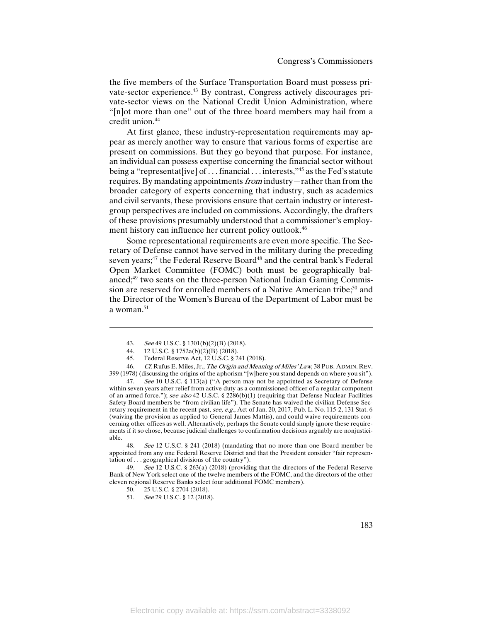the five members of the Surface Transportation Board must possess private-sector experience.43 By contrast, Congress actively discourages private-sector views on the National Credit Union Administration, where "[n]ot more than one" out of the three board members may hail from a credit union.<sup>44</sup>

At first glance, these industry-representation requirements may appear as merely another way to ensure that various forms of expertise are present on commissions. But they go beyond that purpose. For instance, an individual can possess expertise concerning the financial sector without being a "representat[ive] of ... financial ... interests,"<sup>45</sup> as the Fed's statute requires. By mandating appointments from industry—rather than from the broader category of experts concerning that industry, such as academics and civil servants, these provisions ensure that certain industry or interestgroup perspectives are included on commissions. Accordingly, the drafters of these provisions presumably understood that a commissioner's employment history can influence her current policy outlook.46

Some representational requirements are even more specific. The Secretary of Defense cannot have served in the military during the preceding seven years;<sup>47</sup> the Federal Reserve Board<sup>48</sup> and the central bank's Federal Open Market Committee (FOMC) both must be geographically balanced;49 two seats on the three-person National Indian Gaming Commission are reserved for enrolled members of a Native American tribe;<sup>50</sup> and the Director of the Women's Bureau of the Department of Labor must be a woman.<sup>51</sup>

 $\overline{a}$ 

48. See 12 U.S.C. § 241 (2018) (mandating that no more than one Board member be appointed from any one Federal Reserve District and that the President consider "fair representation of . . . geographical divisions of the country").

49. See 12 U.S.C. § 263(a) (2018) (providing that the directors of the Federal Reserve Bank of New York select one of the twelve members of the FOMC, and the directors of the other eleven regional Reserve Banks select four additional FOMC members).

<sup>43.</sup>  $\text{See }49 \text{ U.S.C. } $1301(b)(2)(B)(2018).$ 

<sup>44.</sup> 12 U.S.C. § 1752a(b)(2)(B) (2018).

<sup>45.</sup> Federal Reserve Act, 12 U.S.C. § 241 (2018).

<sup>46.</sup> Cf. Rufus E. Miles, Jr., The Origin and Meaning of Miles' Law, 38 PUB. ADMIN. REV. 399 (1978) (discussing the origins of the aphorism "[w]here you stand depends on where you sit").

<sup>47.</sup> See 10 U.S.C. § 113(a) ("A person may not be appointed as Secretary of Defense within seven years after relief from active duty as a commissioned officer of a regular component of an armed force."); see also 42 U.S.C. § 2286(b)(1) (requiring that Defense Nuclear Facilities Safety Board members be "from civilian life"). The Senate has waived the civilian Defense Secretary requirement in the recent past, see, e.g., Act of Jan. 20, 2017, Pub. L. No. 115-2, 131 Stat. 6 (waiving the provision as applied to General James Mattis), and could waive requirements concerning other offices as well. Alternatively, perhaps the Senate could simply ignore these requirements if it so chose, because judicial challenges to confirmation decisions arguably are nonjusticiable.

<sup>50.</sup> 25 U.S.C. § 2704 (2018).

<sup>51.</sup> See 29 U.S.C. § 12 (2018).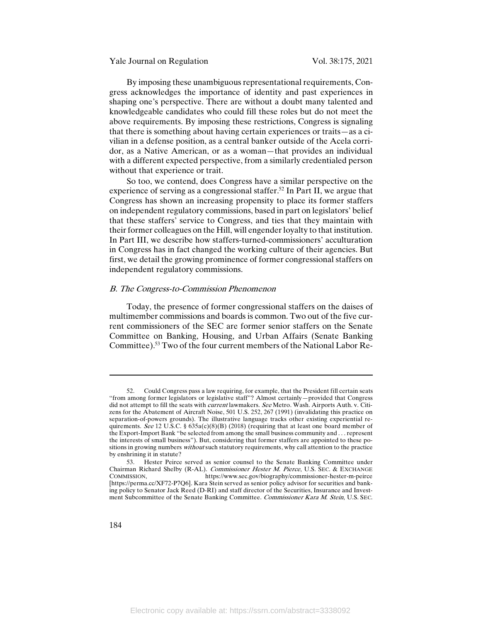By imposing these unambiguous representational requirements, Congress acknowledges the importance of identity and past experiences in shaping one's perspective. There are without a doubt many talented and knowledgeable candidates who could fill these roles but do not meet the above requirements. By imposing these restrictions, Congress is signaling that there is something about having certain experiences or traits—as a civilian in a defense position, as a central banker outside of the Acela corridor, as a Native American, or as a woman—that provides an individual with a different expected perspective, from a similarly credentialed person without that experience or trait.

So too, we contend, does Congress have a similar perspective on the experience of serving as a congressional staffer.<sup>52</sup> In Part II, we argue that Congress has shown an increasing propensity to place its former staffers on independent regulatory commissions, based in part on legislators' belief that these staffers' service to Congress, and ties that they maintain with their former colleagues on the Hill, will engender loyalty to that institution. In Part III, we describe how staffers-turned-commissioners' acculturation in Congress has in fact changed the working culture of their agencies. But first, we detail the growing prominence of former congressional staffers on independent regulatory commissions.

#### B. The Congress-to-Commission Phenomenon

Today, the presence of former congressional staffers on the daises of multimember commissions and boards is common. Two out of the five current commissioners of the SEC are former senior staffers on the Senate Committee on Banking, Housing, and Urban Affairs (Senate Banking Committee).53 Two of the four current members of the National Labor Re-

<sup>52.</sup> Could Congress pass a law requiring, for example, that the President fill certain seats "from among former legislators or legislative staff"? Almost certainly—provided that Congress did not attempt to fill the seats with *current* lawmakers. See Metro. Wash. Airports Auth. v. Citizens for the Abatement of Aircraft Noise, 501 U.S. 252, 267 (1991) (invalidating this practice on separation-of-powers grounds). The illustrative language tracks other existing experiential requirements. See 12 U.S.C. §  $635a(c)(8)(B)$  (2018) (requiring that at least one board member of the Export-Import Bank "be selected from among the small business community and . . . represent the interests of small business"). But, considering that former staffers are appointed to these positions in growing numbers without such statutory requirements, why call attention to the practice by enshrining it in statute?

<sup>53.</sup> Hester Peirce served as senior counsel to the Senate Banking Committee under Chairman Richard Shelby (R-AL). Commissioner Hester M. Pierce, U.S. SEC. & EXCHANGE COMMISSION, https://www.sec.gov/biography/commissioner-hester-m-peirce [https://perma.cc/XF72-P7Q6]. Kara Stein served as senior policy advisor for securities and banking policy to Senator Jack Reed (D-RI) and staff director of the Securities, Insurance and Investment Subcommittee of the Senate Banking Committee. Commissioner Kara M. Stein, U.S. SEC.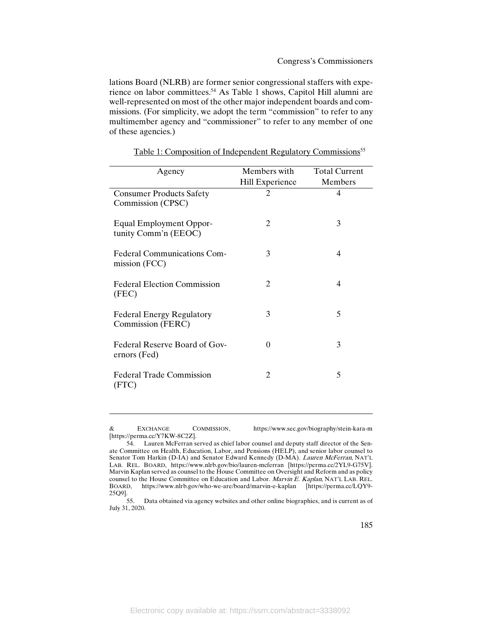lations Board (NLRB) are former senior congressional staffers with experience on labor committees.54 As Table 1 shows, Capitol Hill alumni are well-represented on most of the other major independent boards and commissions. (For simplicity, we adopt the term "commission" to refer to any multimember agency and "commissioner" to refer to any member of one of these agencies.)

| Agency                                                 | Members with    | <b>Total Current</b> |
|--------------------------------------------------------|-----------------|----------------------|
|                                                        | Hill Experience | Members              |
| <b>Consumer Products Safety</b>                        | $\mathfrak{D}$  | $\overline{4}$       |
| Commission (CPSC)                                      |                 |                      |
| <b>Equal Employment Oppor-</b><br>tunity Comm'n (EEOC) | 2               | 3                    |
| <b>Federal Communications Com-</b><br>mission (FCC)    | 3               | 4                    |
| <b>Federal Election Commission</b><br>(FEC)            | 2               | 4                    |
| <b>Federal Energy Regulatory</b><br>Commission (FERC)  | 3               | 5                    |
| Federal Reserve Board of Gov-<br>ernors (Fed)          | $\Omega$        | 3                    |
| <b>Federal Trade Commission</b><br>(FTC)               | 2               | 5                    |

Table 1: Composition of Independent Regulatory Commissions<sup>55</sup>

& EXCHANGE COMMISSION, https://www.sec.gov/biography/stein-kara-m [https://perma.cc/Y7KW-8C2Z].

 $\overline{a}$ 

<sup>54.</sup> Lauren McFerran served as chief labor counsel and deputy staff director of the Senate Committee on Health, Education, Labor, and Pensions (HELP), and senior labor counsel to Senator Tom Harkin (D-IA) and Senator Edward Kennedy (D-MA). Lauren McFerran, NAT'L LAB. REL. BOARD, https://www.nlrb.gov/bio/lauren-mcferran [https://perma.cc/2YL9-G75V]. Marvin Kaplan served as counsel to the House Committee on Oversight and Reform and as policy counsel to the House Committee on Education and Labor. Marvin E. Kaplan, NAT'L LAB. REL. BOARD, https://www.nlrb.gov/who-we-are/board/marvin-e-kaplan [https://perma.cc/LQY9- 25Q9].

<sup>55.</sup> Data obtained via agency websites and other online biographies, and is current as of July 31, 2020.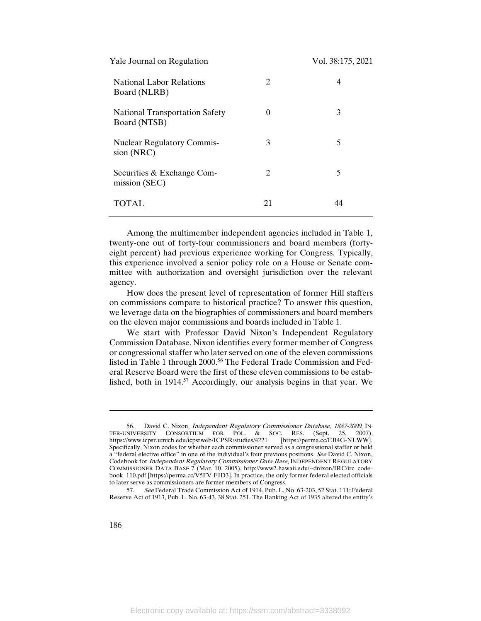| Yale Journal on Regulation                            |                             | Vol. 38:175, 2021 |
|-------------------------------------------------------|-----------------------------|-------------------|
| <b>National Labor Relations</b><br>Board (NLRB)       | 2                           | 4                 |
| <b>National Transportation Safety</b><br>Board (NTSB) | 0                           | 3                 |
| <b>Nuclear Regulatory Commis-</b><br>sion (NRC)       | 3                           | 5                 |
| Securities & Exchange Com-<br>mission (SEC)           | $\mathcal{D}_{\mathcal{L}}$ | 5                 |
| TOTAL                                                 | 21                          | 44                |

Among the multimember independent agencies included in Table 1, twenty-one out of forty-four commissioners and board members (fortyeight percent) had previous experience working for Congress. Typically, this experience involved a senior policy role on a House or Senate committee with authorization and oversight jurisdiction over the relevant agency.

How does the present level of representation of former Hill staffers on commissions compare to historical practice? To answer this question, we leverage data on the biographies of commissioners and board members on the eleven major commissions and boards included in Table 1.

We start with Professor David Nixon's Independent Regulatory Commission Database. Nixon identifies every former member of Congress or congressional staffer who later served on one of the eleven commissions listed in Table 1 through 2000.<sup>56</sup> The Federal Trade Commission and Federal Reserve Board were the first of these eleven commissions to be established, both in 1914.<sup>57</sup> Accordingly, our analysis begins in that year. We

<sup>56.</sup> David C. Nixon, Independent Regulatory Commissioner Database, 1887-2000, IN-TER-UNIVERSITY CONSORTIUM FOR POL. & SOC. RES. (Sept. 25, 2007),<br>https://www.icpsr.umich.edu/icpsrweb/ICPSR/studies/4221 [https://perma.cc/EB4G-NLWW]. https://www.icpsr.umich.edu/icpsrweb/ICPSR/studies/4221 Specifically, Nixon codes for whether each commissioner served as a congressional staffer or held a "federal elective office" in one of the individual's four previous positions. See David C. Nixon, Codebook for Independent Regulatory Commissioner Data Base, INDEPENDENT REGULATORY COMMISSIONER DATA BASE 7 (Mar. 10, 2005), http://www2.hawaii.edu/~dnixon/IRC/irc\_codebook\_110.pdf [https://perma.cc/V5FV-FJD3]. In practice, the only former federal elected officials to later serve as commissioners are former members of Congress.

<sup>57.</sup> See Federal Trade Commission Act of 1914, Pub. L. No. 63-203, 52 Stat. 111; Federal Reserve Act of 1913, Pub. L. No. 63-43, 38 Stat. 251. The Banking Act of 1935 altered the entity's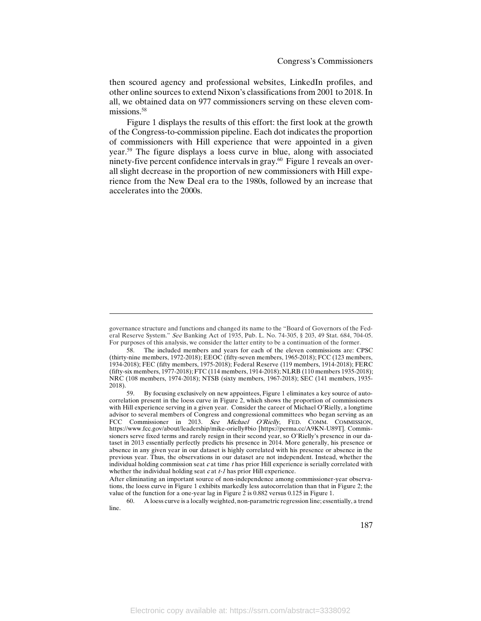then scoured agency and professional websites, LinkedIn profiles, and other online sources to extend Nixon's classifications from 2001 to 2018. In all, we obtained data on 977 commissioners serving on these eleven commissions.<sup>58</sup>

Figure 1 displays the results of this effort: the first look at the growth of the Congress-to-commission pipeline. Each dot indicates the proportion of commissioners with Hill experience that were appointed in a given year.59 The figure displays a loess curve in blue, along with associated ninety-five percent confidence intervals in gray.<sup>60</sup> Figure 1 reveals an overall slight decrease in the proportion of new commissioners with Hill experience from the New Deal era to the 1980s, followed by an increase that accelerates into the 2000s.

 $\overline{a}$ 

governance structure and functions and changed its name to the "Board of Governors of the Federal Reserve System." See Banking Act of 1935, Pub. L. No. 74-305, § 203, 49 Stat. 684, 704-05. For purposes of this analysis, we consider the latter entity to be a continuation of the former.

<sup>58.</sup> The included members and years for each of the eleven commissions are: CPSC (thirty-nine members, 1972-2018); EEOC (fifty-seven members, 1965-2018); FCC (123 members, 1934-2018); FEC (fifty members, 1975-2018); Federal Reserve (119 members, 1914-2018); FERC (fifty-six members, 1977-2018); FTC (114 members, 1914-2018); NLRB (110 members 1935-2018); NRC (108 members, 1974-2018); NTSB (sixty members, 1967-2018); SEC (141 members, 1935- 2018).

<sup>59.</sup> By focusing exclusively on new appointees, Figure 1 eliminates a key source of autocorrelation present in the loess curve in Figure 2, which shows the proportion of commissioners with Hill experience serving in a given year. Consider the career of Michael O'Rielly, a longtime advisor to several members of Congress and congressional committees who began serving as an FCC Commissioner in 2013. See Michael O'Rielly, FED. COMM. COMMISSION, https://www.fcc.gov/about/leadership/mike-orielly#bio [https://perma.cc/A9KN-U89T]. Commissioners serve fixed terms and rarely resign in their second year, so O'Rielly's presence in our dataset in 2013 essentially perfectly predicts his presence in 2014. More generally, his presence or absence in any given year in our dataset is highly correlated with his presence or absence in the previous year. Thus, the observations in our dataset are not independent. Instead, whether the individual holding commission seat  $c$  at time  $t$  has prior Hill experience is serially correlated with whether the individual holding seat  $c$  at  $t$ -1 has prior Hill experience.

After eliminating an important source of non-independence among commissioner-year observations, the loess curve in Figure 1 exhibits markedly less autocorrelation than that in Figure 2; the value of the function for a one-year lag in Figure 2 is 0.882 versus 0.125 in Figure 1.

A loess curve is a locally weighted, non-parametric regression line; essentially, a trend line.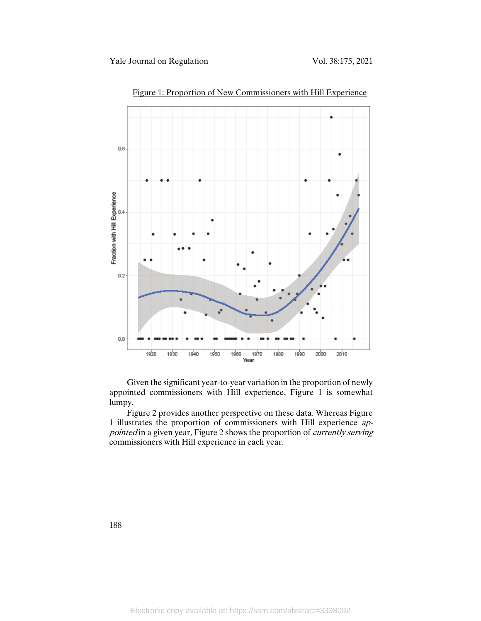

Figure 1: Proportion of New Commissioners with Hill Experience

Given the significant year-to-year variation in the proportion of newly appointed commissioners with Hill experience, Figure 1 is somewhat lumpy.

Figure 2 provides another perspective on these data. Whereas Figure 1 illustrates the proportion of commissioners with Hill experience appointed in a given year, Figure 2 shows the proportion of *currently serving* commissioners with Hill experience in each year.

188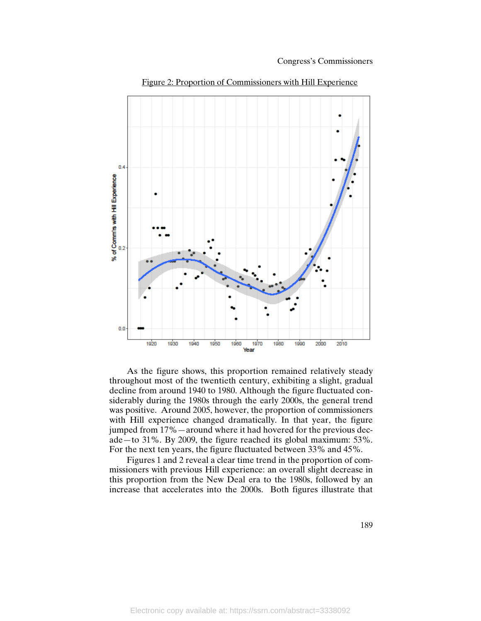

Figure 2: Proportion of Commissioners with Hill Experience

As the figure shows, this proportion remained relatively steady throughout most of the twentieth century, exhibiting a slight, gradual decline from around 1940 to 1980. Although the figure fluctuated considerably during the 1980s through the early 2000s, the general trend was positive. Around 2005, however, the proportion of commissioners with Hill experience changed dramatically. In that year, the figure jumped from 17%—around where it had hovered for the previous decade—to 31%. By 2009, the figure reached its global maximum: 53%. For the next ten years, the figure fluctuated between 33% and 45%.

Figures 1 and 2 reveal a clear time trend in the proportion of commissioners with previous Hill experience: an overall slight decrease in this proportion from the New Deal era to the 1980s, followed by an increase that accelerates into the 2000s. Both figures illustrate that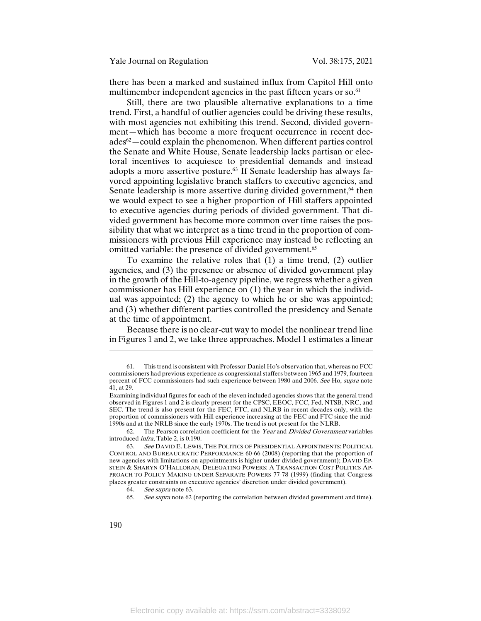there has been a marked and sustained influx from Capitol Hill onto multimember independent agencies in the past fifteen years or so.<sup>61</sup>

Still, there are two plausible alternative explanations to a time trend. First, a handful of outlier agencies could be driving these results, with most agencies not exhibiting this trend. Second, divided government—which has become a more frequent occurrence in recent decades62—could explain the phenomenon. When different parties control the Senate and White House, Senate leadership lacks partisan or electoral incentives to acquiesce to presidential demands and instead adopts a more assertive posture.63 If Senate leadership has always favored appointing legislative branch staffers to executive agencies, and Senate leadership is more assertive during divided government,<sup>64</sup> then we would expect to see a higher proportion of Hill staffers appointed to executive agencies during periods of divided government. That divided government has become more common over time raises the possibility that what we interpret as a time trend in the proportion of commissioners with previous Hill experience may instead be reflecting an omitted variable: the presence of divided government.<sup>65</sup>

To examine the relative roles that (1) a time trend, (2) outlier agencies, and (3) the presence or absence of divided government play in the growth of the Hill-to-agency pipeline, we regress whether a given commissioner has Hill experience on (1) the year in which the individual was appointed; (2) the agency to which he or she was appointed; and (3) whether different parties controlled the presidency and Senate at the time of appointment.

Because there is no clear-cut way to model the nonlinear trend line in Figures 1 and 2, we take three approaches. Model 1 estimates a linear

62. The Pearson correlation coefficient for the Year and Divided Government variables introduced infra, Table 2, is 0.190.

65. See supra note 62 (reporting the correlation between divided government and time).

 $\overline{\phantom{a}}$ 

<sup>61.</sup> This trend is consistent with Professor Daniel Ho's observation that, whereas no FCC commissioners had previous experience as congressional staffers between 1965 and 1979, fourteen percent of FCC commissioners had such experience between 1980 and 2006. See Ho, supra note 41, at 29.

Examining individual figures for each of the eleven included agencies shows that the general trend observed in Figures 1 and 2 is clearly present for the CPSC, EEOC, FCC, Fed, NTSB, NRC, and SEC. The trend is also present for the FEC, FTC, and NLRB in recent decades only, with the proportion of commissioners with Hill experience increasing at the FEC and FTC since the mid-1990s and at the NRLB since the early 1970s. The trend is not present for the NLRB.

<sup>63.</sup> See DAVID E. LEWIS, THE POLITICS OF PRESIDENTIAL APPOINTMENTS: POLITICAL CONTROL AND BUREAUCRATIC PERFORMANCE 60-66 (2008) (reporting that the proportion of new agencies with limitations on appointments is higher under divided government); DAVID EP-STEIN & SHARYN O'HALLORAN, DELEGATING POWERS: A TRANSACTION COST POLITICS AP-PROACH TO POLICY MAKING UNDER SEPARATE POWERS 77-78 (1999) (finding that Congress places greater constraints on executive agencies' discretion under divided government).

<sup>64.</sup> See supra note 63.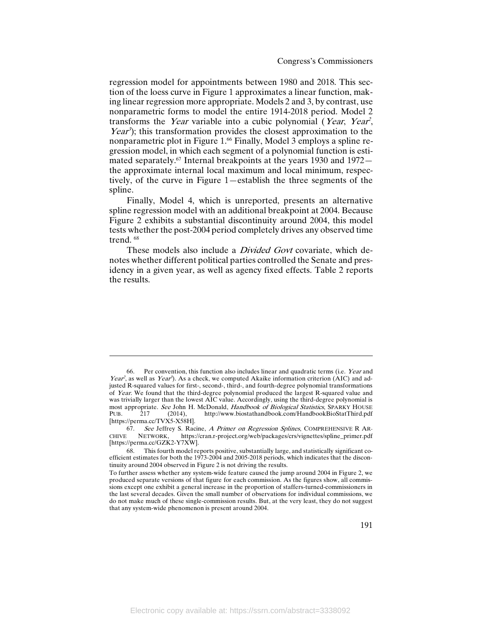regression model for appointments between 1980 and 2018. This section of the loess curve in Figure 1 approximates a linear function, making linear regression more appropriate. Models 2 and 3, by contrast, use nonparametric forms to model the entire 1914-2018 period. Model 2 transforms the *Year* variable into a cubic polynomial (*Year, Year*, *Year*<sup>3</sup>); this transformation provides the closest approximation to the nonparametric plot in Figure 1.<sup>66</sup> Finally, Model 3 employs a spline regression model, in which each segment of a polynomial function is estimated separately.<sup>67</sup> Internal breakpoints at the years 1930 and 1972 the approximate internal local maximum and local minimum, respectively, of the curve in Figure 1—establish the three segments of the spline.

Finally, Model 4, which is unreported, presents an alternative spline regression model with an additional breakpoint at 2004. Because Figure 2 exhibits a substantial discontinuity around 2004, this model tests whether the post-2004 period completely drives any observed time trend.  $68$ 

These models also include a *Divided Govt* covariate, which denotes whether different political parties controlled the Senate and presidency in a given year, as well as agency fixed effects. Table 2 reports the results.

 $\overline{a}$ 

<sup>66.</sup> Per convention, this function also includes linear and quadratic terms (i.e. Year and Year<sup>2</sup>, as well as Year<sup>3</sup>). As a check, we computed Akaike information criterion (AIC) and adjusted R-squared values for first-, second-, third-, and fourth-degree polynomial transformations of Year. We found that the third-degree polynomial produced the largest R-squared value and was trivially larger than the lowest AIC value. Accordingly, using the third-degree polynomial is most appropriate. See John H. McDonald, Handbook of Biological Statistics, SPARKY HOUSE<br>PUB. 217 (2014), http://www.biostathandbook.com/HandbookBioStatThird.pdf http://www.biostathandbook.com/HandbookBioStatThird.pdf [https://perma.cc/TVX5-X58H].

<sup>67.</sup> See Jeffrey S. Racine, A Primer on Regression Splines, COMPREHENSIVE R AR-CHIVE NETWORK, https://cran.r-project.org/web/packages/crs/vignettes/spline\_primer.pdf [https://perma.cc/GZK2-Y7XW].

<sup>68.</sup> This fourth model reports positive, substantially large, and statistically significant coefficient estimates for both the 1973-2004 and 2005-2018 periods, which indicates that the discontinuity around 2004 observed in Figure 2 is not driving the results.

To further assess whether any system-wide feature caused the jump around 2004 in Figure 2, we produced separate versions of that figure for each commission. As the figures show, all commissions except one exhibit a general increase in the proportion of staffers-turned-commissioners in the last several decades. Given the small number of observations for individual commissions, we do not make much of these single-commission results. But, at the very least, they do not suggest that any system-wide phenomenon is present around 2004.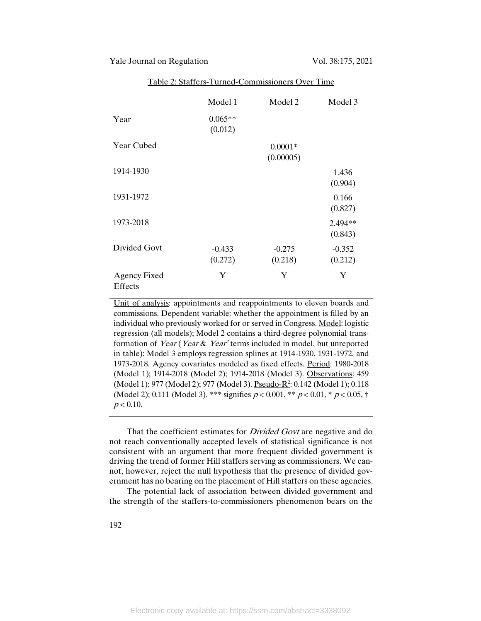|                                       | Model 1              | Model 2                | Model 3             |
|---------------------------------------|----------------------|------------------------|---------------------|
| Year                                  | $0.065**$<br>(0.012) |                        |                     |
| Year Cubed                            |                      | $0.0001*$<br>(0.00005) |                     |
| 1914-1930                             |                      |                        | 1.436<br>(0.904)    |
| 1931-1972                             |                      |                        | 0.166<br>(0.827)    |
| 1973-2018                             |                      |                        | 2.494**<br>(0.843)  |
| Divided Govt                          | $-0.433$<br>(0.272)  | $-0.275$<br>(0.218)    | $-0.352$<br>(0.212) |
| <b>Agency Fixed</b><br><b>Effects</b> | Y                    | Y                      | Y                   |

Table 2: Staffers-Turned-Commissioners Over Time

Unit of analysis: appointments and reappointments to eleven boards and commissions. Dependent variable: whether the appointment is filled by an individual who previously worked for or served in Congress. Model: logistic regression (all models); Model 2 contains a third-degree polynomial transformation of Year (Year & Year<sup>2</sup> terms included in model, but unreported in table); Model 3 employs regression splines at 1914-1930, 1931-1972, and 1973-2018. Agency covariates modeled as fixed effects. Period: 1980-2018 (Model 1); 1914-2018 (Model 2); 1914-2018 (Model 3). Observations: 459 (Model 1); 977 (Model 2); 977 (Model 3). <u>Pseudo-R<sup>2</sup></u>: 0.142 (Model 1); 0.118 (Model 2); 0.111 (Model 3). \*\*\* signifies  $p < 0.001$ , \*\*  $p < 0.01$ , \*  $p < 0.05$ , †  $p < 0.10$ .

That the coefficient estimates for *Divided Govt* are negative and do not reach conventionally accepted levels of statistical significance is not consistent with an argument that more frequent divided government is driving the trend of former Hill staffers serving as commissioners. We cannot, however, reject the null hypothesis that the presence of divided government has no bearing on the placement of Hill staffers on these agencies.

The potential lack of association between divided government and the strength of the staffers-to-commissioners phenomenon bears on the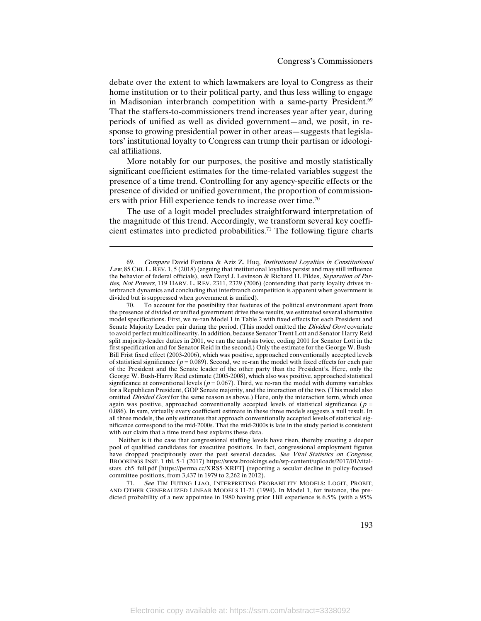debate over the extent to which lawmakers are loyal to Congress as their home institution or to their political party, and thus less willing to engage in Madisonian interbranch competition with a same-party President.<sup>69</sup> That the staffers-to-commissioners trend increases year after year, during periods of unified as well as divided government—and, we posit, in response to growing presidential power in other areas—suggests that legislators' institutional loyalty to Congress can trump their partisan or ideological affiliations.

More notably for our purposes, the positive and mostly statistically significant coefficient estimates for the time-related variables suggest the presence of a time trend. Controlling for any agency-specific effects or the presence of divided or unified government, the proportion of commissioners with prior Hill experience tends to increase over time.<sup>70</sup>

The use of a logit model precludes straightforward interpretation of the magnitude of this trend. Accordingly, we transform several key coefficient estimates into predicted probabilities.<sup>71</sup> The following figure charts

 $\overline{a}$ 

Neither is it the case that congressional staffing levels have risen, thereby creating a deeper pool of qualified candidates for executive positions. In fact, congressional employment figures have dropped precipitously over the past several decades. See Vital Statistics on Congress, BROOKINGS INST. 1 tbl. 5-1 (2017) https://www.brookings.edu/wp-content/uploads/2017/01/vitalstats\_ch5\_full.pdf [https://perma.cc/XRS5-XRFT] (reporting a secular decline in policy-focused committee positions, from 3,437 in 1979 to 2,262 in 2012).

71. See TIM FUTING LIAO, INTERPRETING PROBABILITY MODELS: LOGIT, PROBIT, AND OTHER GENERALIZED LINEAR MODELS 11-21 (1994). In Model 1, for instance, the predicted probability of a new appointee in 1980 having prior Hill experience is 6.5% (with a 95%

Compare David Fontana & Aziz Z. Huq, Institutional Loyalties in Constitutional Law, 85 CHI. L. REV. 1, 5 (2018) (arguing that institutional loyalties persist and may still influence the behavior of federal officials), with Daryl J. Levinson & Richard H. Pildes, Separation of Parties, Not Powers, 119 HARV. L. REV. 2311, 2329 (2006) (contending that party loyalty drives interbranch dynamics and concluding that interbranch competition is apparent when government is divided but is suppressed when government is unified).

<sup>70.</sup> To account for the possibility that features of the political environment apart from the presence of divided or unified government drive these results, we estimated several alternative model specifications. First, we re-ran Model 1 in Table 2 with fixed effects for each President and Senate Majority Leader pair during the period. (This model omitted the *Divided Govt* covariate to avoid perfect multicollinearity. In addition, because Senator Trent Lott and Senator Harry Reid split majority-leader duties in 2001, we ran the analysis twice, coding 2001 for Senator Lott in the first specification and for Senator Reid in the second.) Only the estimate for the George W. Bush-Bill Frist fixed effect (2003-2006), which was positive, approached conventionally accepted levels of statistical significance ( $p = 0.089$ ). Second, we re-ran the model with fixed effects for each pair of the President and the Senate leader of the other party than the President's. Here, only the George W. Bush-Harry Reid estimate (2005-2008), which also was positive, approached statistical significance at conventional levels ( $p = 0.067$ ). Third, we re-ran the model with dummy variables for a Republican President, GOP Senate majority, and the interaction of the two. (This model also omitted Divided Govt for the same reason as above.) Here, only the interaction term, which once again was positive, approached conventionally accepted levels of statistical significance ( $p =$ 0.086). In sum, virtually every coefficient estimate in these three models suggests a null result. In all three models, the only estimates that approach conventionally accepted levels of statistical significance correspond to the mid-2000s. That the mid-2000s is late in the study period is consistent with our claim that a time trend best explains these data.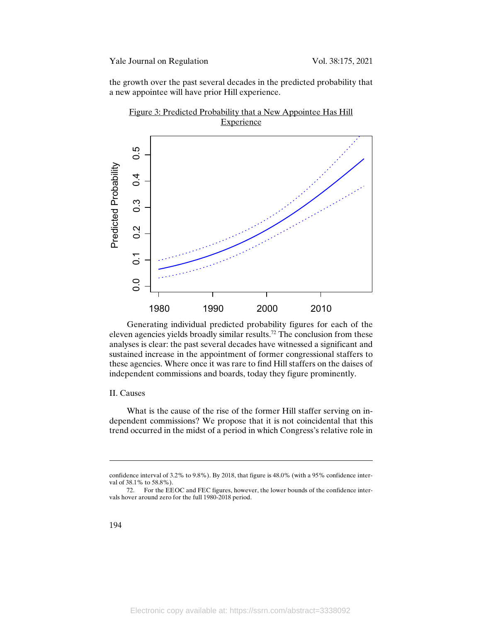Yale Journal on Regulation Vol. 38:175, 2021

the growth over the past several decades in the predicted probability that a new appointee will have prior Hill experience.



Generating individual predicted probability figures for each of the eleven agencies yields broadly similar results.72 The conclusion from these analyses is clear: the past several decades have witnessed a significant and sustained increase in the appointment of former congressional staffers to these agencies. Where once it was rare to find Hill staffers on the daises of independent commissions and boards, today they figure prominently.

#### II. Causes

What is the cause of the rise of the former Hill staffer serving on independent commissions? We propose that it is not coincidental that this trend occurred in the midst of a period in which Congress's relative role in

 $\overline{\phantom{a}}$ 

confidence interval of 3.2% to 9.8%). By 2018, that figure is 48.0% (with a 95% confidence interval of 38.1% to 58.8%).

<sup>72.</sup> For the EEOC and FEC figures, however, the lower bounds of the confidence intervals hover around zero for the full 1980-2018 period.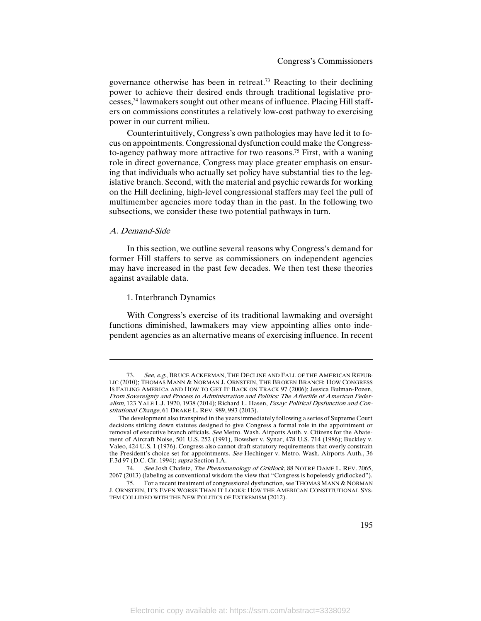governance otherwise has been in retreat.73 Reacting to their declining power to achieve their desired ends through traditional legislative processes,74 lawmakers sought out other means of influence. Placing Hill staffers on commissions constitutes a relatively low-cost pathway to exercising power in our current milieu.

Counterintuitively, Congress's own pathologies may have led it to focus on appointments. Congressional dysfunction could make the Congressto-agency pathway more attractive for two reasons.<sup>75</sup> First, with a waning role in direct governance, Congress may place greater emphasis on ensuring that individuals who actually set policy have substantial ties to the legislative branch. Second, with the material and psychic rewards for working on the Hill declining, high-level congressional staffers may feel the pull of multimember agencies more today than in the past. In the following two subsections, we consider these two potential pathways in turn.

#### A. Demand-Side

 $\overline{a}$ 

In this section, we outline several reasons why Congress's demand for former Hill staffers to serve as commissioners on independent agencies may have increased in the past few decades. We then test these theories against available data.

#### 1. Interbranch Dynamics

With Congress's exercise of its traditional lawmaking and oversight functions diminished, lawmakers may view appointing allies onto independent agencies as an alternative means of exercising influence. In recent

<sup>73.</sup> See, e.g., BRUCE ACKERMAN, THE DECLINE AND FALL OF THE AMERICAN REPUB-LIC (2010); THOMAS MANN & NORMAN J. ORNSTEIN, THE BROKEN BRANCH: HOW CONGRESS IS FAILING AMERICA AND HOW TO GET IT BACK ON TRACK 97 (2006); Jessica Bulman-Pozen, From Sovereignty and Process to Administration and Politics: The Afterlife of American Federalism, 123 YALE L.J. 1920, 1938 (2014); Richard L. Hasen, Essay: Political Dysfunction and Constitutional Change, 61 DRAKE L. REV. 989, 993 (2013).

The development also transpired in the years immediately following a series of Supreme Court decisions striking down statutes designed to give Congress a formal role in the appointment or removal of executive branch officials. See Metro. Wash. Airports Auth. v. Citizens for the Abatement of Aircraft Noise, 501 U.S. 252 (1991), Bowsher v. Synar, 478 U.S. 714 (1986); Buckley v. Valeo, 424 U.S. 1 (1976). Congress also cannot draft statutory requirements that overly constrain the President's choice set for appointments. See Hechinger v. Metro. Wash. Airports Auth., 36 F.3d 97 (D.C. Cir. 1994); supra Section I.A.

<sup>74.</sup> See Josh Chafetz, The Phenomenology of Gridlock, 88 NOTRE DAME L. REV. 2065, 2067 (2013) (labeling as conventional wisdom the view that "Congress is hopelessly gridlocked").

<sup>75.</sup> For a recent treatment of congressional dysfunction, see THOMAS MANN & NORMAN J. ORNSTEIN, IT'S EVEN WORSE THAN IT LOOKS: HOW THE AMERICAN CONSTITUTIONAL SYS-TEM COLLIDED WITH THE NEW POLITICS OF EXTREMISM (2012).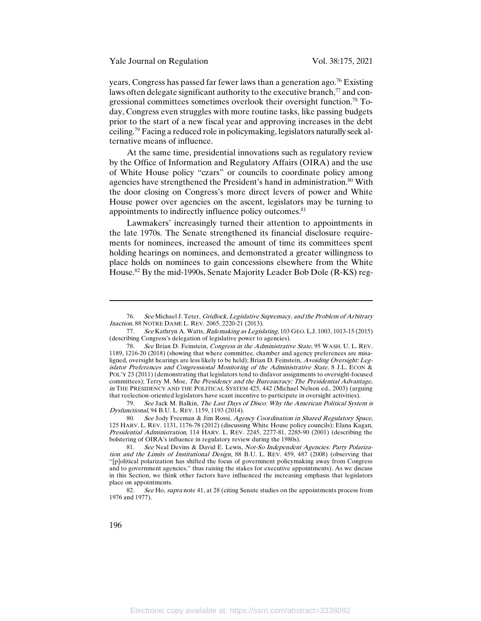years, Congress has passed far fewer laws than a generation ago.76 Existing laws often delegate significant authority to the executive branch,<sup>77</sup> and congressional committees sometimes overlook their oversight function.78 Today, Congress even struggles with more routine tasks, like passing budgets prior to the start of a new fiscal year and approving increases in the debt ceiling.79 Facing a reduced role in policymaking, legislators naturally seek alternative means of influence.

At the same time, presidential innovations such as regulatory review by the Office of Information and Regulatory Affairs (OIRA) and the use of White House policy "czars" or councils to coordinate policy among agencies have strengthened the President's hand in administration.<sup>80</sup> With the door closing on Congress's more direct levers of power and White House power over agencies on the ascent, legislators may be turning to appointments to indirectly influence policy outcomes.<sup>81</sup>

Lawmakers' increasingly turned their attention to appointments in the late 1970s. The Senate strengthened its financial disclosure requirements for nominees, increased the amount of time its committees spent holding hearings on nominees, and demonstrated a greater willingness to place holds on nominees to gain concessions elsewhere from the White House.82 By the mid-1990s, Senate Majority Leader Bob Dole (R-KS) reg-

79. See Jack M. Balkin, The Last Days of Disco: Why the American Political System is Dysfunctional, 94 B.U. L. REV. 1159, 1193 (2014).

80. See Jody Freeman & Jim Rossi, Agency Coordination in Shared Regulatory Space, 125 HARV. L. REV. 1131, 1176-78 (2012) (discussing White House policy councils); Elana Kagan, Presidential Administration, 114 HARV. L. REV. 2245, 2277-81, 2285-90 (2001) (describing the bolstering of OIRA's influence in regulatory review during the 1980s).

82. See Ho, supra note 41, at 28 (citing Senate studies on the appointments process from 1976 and 1977).

 $\overline{\phantom{a}}$ 

<sup>76.</sup> See Michael J. Teter, Gridlock, Legislative Supremacy, and the Problem of Arbitrary Inaction, 88 NOTRE DAME L. REV. 2065, 2220-21 (2013).

<sup>77.</sup> See Kathryn A. Watts, Rulemaking as Legislating, 103 GEO. L.J. 1003, 1013-15 (2015) (describing Congress's delegation of legislative power to agencies).

<sup>78.</sup> See Brian D. Feinstein, Congress in the Administrative State, 95 WASH. U. L. REV. 1189, 1216-20 (2018) (showing that where committee, chamber and agency preferences are misaligned, oversight hearings are less likely to be held); Brian D. Feinstein, Avoiding Oversight: Legislator Preferences and Congressional Monitoring of the Administrative State, 8 J.L. ECON & POL'Y 23 (2011) (demonstrating that legislators tend to disfavor assignments to oversight-focused committees); Terry M. Moe, The Presidency and the Bureaucracy: The Presidential Advantage, in THE PRESIDENCY AND THE POLITICAL SYSTEM 425, 442 (Michael Nelson ed., 2003) (arguing that reelection-oriented legislators have scant incentive to participate in oversight activities).

<sup>81.</sup> See Neal Devins & David E. Lewis, Not-So Independent Agencies: Party Polarization and the Limits of Institutional Design, 88 B.U. L. REV. 459, 487 (2008) (observing that "[p]olitical polarization has shifted the focus of government policymaking away from Congress and to government agencies," thus raising the stakes for executive appointments). As we discuss in this Section, we think other factors have influenced the increasing emphasis that legislators place on appointments.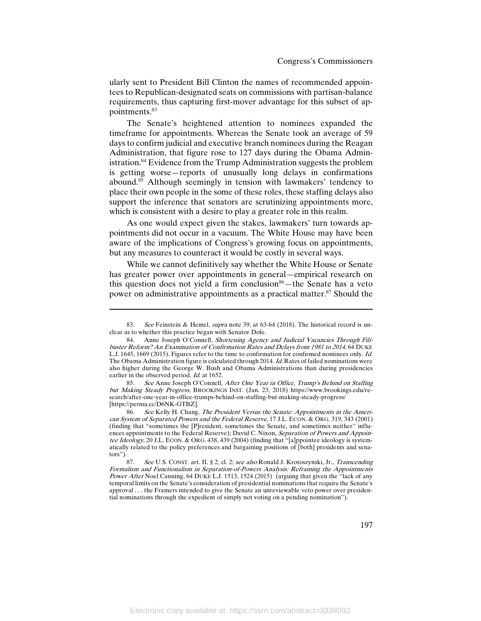ularly sent to President Bill Clinton the names of recommended appointees to Republican-designated seats on commissions with partisan-balance requirements, thus capturing first-mover advantage for this subset of appointments.83

The Senate's heightened attention to nominees expanded the timeframe for appointments. Whereas the Senate took an average of 59 days to confirm judicial and executive branch nominees during the Reagan Administration, that figure rose to 127 days during the Obama Administration.<sup>84</sup> Evidence from the Trump Administration suggests the problem is getting worse—reports of unusually long delays in confirmations abound.85 Although seemingly in tension with lawmakers' tendency to place their own people in the some of these roles, these staffing delays also support the inference that senators are scrutinizing appointments more, which is consistent with a desire to play a greater role in this realm.

As one would expect given the stakes, lawmakers' turn towards appointments did not occur in a vacuum. The White House may have been aware of the implications of Congress's growing focus on appointments, but any measures to counteract it would be costly in several ways.

While we cannot definitively say whether the White House or Senate has greater power over appointments in general—empirical research on this question does not yield a firm conclusion $86$ —the Senate has a veto power on administrative appointments as a practical matter.<sup>87</sup> Should the

l

85. See Anne Joseph O'Connell, After One Year in Office, Trump's Behind on Staffing but Making Steady Progress, BROOKINGS INST. (Jan. 23, 2018) https://www.brookings.edu/research/after-one-year-in-office-trumps-behind-on-staffing-but-making-steady-progress/ [https://perma.cc/D6NK-GTBZ].

86. See Kelly H. Chang, The President Versus the Senate: Appointments in the American System of Separated Powers and the Federal Reserve, 17 J.L. ECON. & ORG. 319, 343 (2001) (finding that "sometimes the [P]resident, sometimes the Senate, and sometimes neither" influences appointments to the Federal Reserve); David C. Nixon, Separation of Powers and Appointee Ideology, 20 J.L. ECON. & ORG. 438, 439 (2004) (finding that "[a]ppointee ideology is systematically related to the policy preferences and bargaining positions of [both] presidents and senators").

87. See U.S. CONST. art. II, § 2, cl. 2; see also Ronald J. Krotoszynski, Jr., Transcending Formalism and Functionalism in Separation-of-Powers Analysis: Reframing the Appointments Power After Noel Canning, 64 DUKE L.J. 1513, 1524 (2015) (arguing that given the "lack of any temporal limits on the Senate's consideration of presidential nominations that require the Senate's approval . . . the Framers intended to give the Senate an unreviewable veto power over presidential nominations through the expedient of simply not voting on a pending nomination").

<sup>83.</sup> See Feinstein & Hemel, supra note 39, at 63-64 (2018). The historical record is unclear as to whether this practice began with Senator Dole.

<sup>84.</sup> Anne Joseph O'Connell, Shortening Agency and Judicial Vacancies Through Filibuster Reform? An Examination of Confirmation Rates and Delays from 1981 to 2014, 64 DUKE L.J. 1645, 1669 (2015). Figures refer to the time to confirmation for confirmed nominees only. Id. The Obama Administration figure is calculated through 2014. Id. Rates of failed nominations were also higher during the George W. Bush and Obama Administrations than during presidencies earlier in the observed period. Id. at 1652.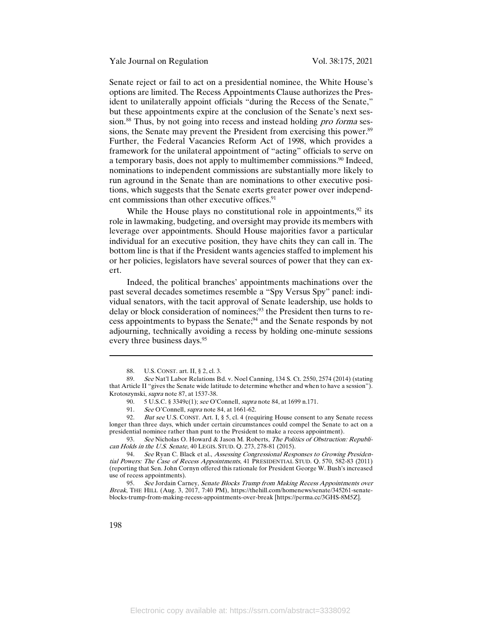Senate reject or fail to act on a presidential nominee, the White House's options are limited. The Recess Appointments Clause authorizes the President to unilaterally appoint officials "during the Recess of the Senate," but these appointments expire at the conclusion of the Senate's next session.<sup>88</sup> Thus, by not going into recess and instead holding *pro forma* sessions, the Senate may prevent the President from exercising this power.<sup>89</sup> Further, the Federal Vacancies Reform Act of 1998, which provides a framework for the unilateral appointment of "acting" officials to serve on a temporary basis, does not apply to multimember commissions.90 Indeed, nominations to independent commissions are substantially more likely to run aground in the Senate than are nominations to other executive positions, which suggests that the Senate exerts greater power over independent commissions than other executive offices.<sup>91</sup>

While the House plays no constitutional role in appointments,  $92$  its role in lawmaking, budgeting, and oversight may provide its members with leverage over appointments. Should House majorities favor a particular individual for an executive position, they have chits they can call in. The bottom line is that if the President wants agencies staffed to implement his or her policies, legislators have several sources of power that they can exert.

Indeed, the political branches' appointments machinations over the past several decades sometimes resemble a "Spy Versus Spy" panel: individual senators, with the tacit approval of Senate leadership, use holds to delay or block consideration of nominees;<sup>93</sup> the President then turns to recess appointments to bypass the Senate;94 and the Senate responds by not adjourning, technically avoiding a recess by holding one-minute sessions every three business days.<sup>95</sup>

93. See Nicholas O. Howard & Jason M. Roberts, The Politics of Obstruction: Republican Holds in the U.S. Senate, 40 LEGIS. STUD. Q. 273, 278-81 (2015).

 $\overline{\phantom{a}}$ 

<sup>88.</sup> U.S. CONST. art. II, § 2, cl. 3.

<sup>89.</sup> See Nat'l Labor Relations Bd. v. Noel Canning, 134 S. Ct. 2550, 2574 (2014) (stating that Article II "gives the Senate wide latitude to determine whether and when to have a session"). Krotoszynski, supra note 87, at 1537-38.

<sup>90. 5</sup> U.S.C. § 3349c(1); see O'Connell, supra note 84, at 1699 n.171.<br>91. See O'Connell, supra note 84, at 1661-62.

See O'Connell, supra note 84, at 1661-62.

<sup>92.</sup> But see U.S. CONST. Art. I, § 5, cl. 4 (requiring House consent to any Senate recess longer than three days, which under certain circumstances could compel the Senate to act on a presidential nominee rather than punt to the President to make a recess appointment).

<sup>94.</sup> See Ryan C. Black et al., Assessing Congressional Responses to Growing Presidential Powers: The Case of Recess Appointments, 41 PRESIDENTIAL STUD. Q. 570, 582-83 (2011) (reporting that Sen. John Cornyn offered this rationale for President George W. Bush's increased use of recess appointments).

<sup>95.</sup> See Jordain Carney, Senate Blocks Trump from Making Recess Appointments over Break, THE HILL (Aug. 3, 2017, 7:40 PM), https://thehill.com/homenews/senate/345261-senateblocks-trump-from-making-recess-appointments-over-break [https://perma.cc/3GHS-8M5Z].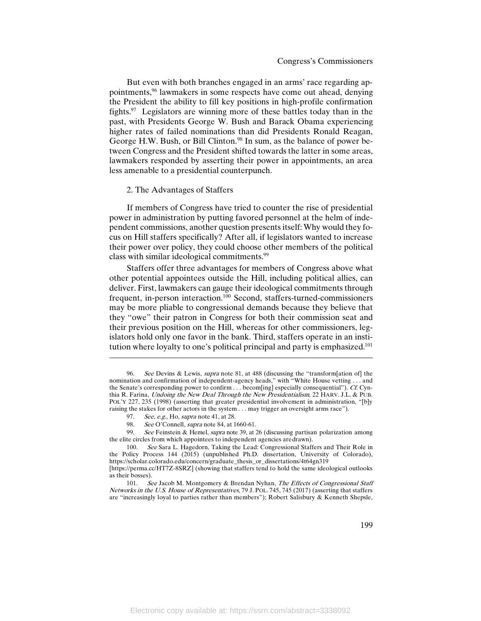But even with both branches engaged in an arms' race regarding appointments,96 lawmakers in some respects have come out ahead, denying the President the ability to fill key positions in high-profile confirmation fights.97 Legislators are winning more of these battles today than in the past, with Presidents George W. Bush and Barack Obama experiencing higher rates of failed nominations than did Presidents Ronald Reagan, George H.W. Bush, or Bill Clinton.<sup>98</sup> In sum, as the balance of power between Congress and the President shifted towards the latter in some areas, lawmakers responded by asserting their power in appointments, an area less amenable to a presidential counterpunch.

#### 2. The Advantages of Staffers

If members of Congress have tried to counter the rise of presidential power in administration by putting favored personnel at the helm of independent commissions, another question presents itself:Why would they focus on Hill staffers specifically? After all, if legislators wanted to increase their power over policy, they could choose other members of the political class with similar ideological commitments.99

Staffers offer three advantages for members of Congress above what other potential appointees outside the Hill, including political allies, can deliver. First, lawmakers can gauge their ideological commitments through frequent, in-person interaction.100 Second, staffers-turned-commissioners may be more pliable to congressional demands because they believe that they "owe" their patron in Congress for both their commission seat and their previous position on the Hill, whereas for other commissioners, legislators hold only one favor in the bank. Third, staffers operate in an institution where loyalty to one's political principal and party is emphasized.<sup>101</sup>

l

99. See Feinstein & Hemel, supra note 39, at 26 (discussing partisan polarization among the elite circles from which appointees to independent agencies aredrawn).

<sup>96.</sup> See Devins & Lewis, supra note 81, at 488 (discussing the "transform[ation of] the nomination and confirmation of independent-agency heads," with "White House vetting . . . and the Senate's corresponding power to confirm . . . becom[ing] especially consequential"). Cf. Cynthia R. Farina, Undoing the New Deal Through the New Presidentialism, 22 HARV. J.L. & PUB. POL'Y 227, 235 (1998) (asserting that greater presidential involvement in administration, "[b]y raising the stakes for other actors in the system . . . may trigger an oversight arms race").

<sup>97.</sup> See, e.g., Ho, supra note 41, at 28.

<sup>98.</sup> See O'Connell, *supra* note 84, at 1660-61.

<sup>100.</sup> See Sara L. Hagedorn, Taking the Lead: Congressional Staffers and Their Role in the Policy Process 144 (2015) (unpublished Ph.D. dissertation, University of Colorado), https://scholar.colorado.edu/concern/graduate\_thesis\_or\_dissertations/4t64gn319 [https://perma.cc/HT7Z-8SRZ] (showing that staffers tend to hold the same ideological outlooks

as their bosses).

<sup>101.</sup> See Jacob M. Montgomery & Brendan Nyhan, The Effects of Congressional Staff Networks in the U.S. House of Representatives, 79 J. POL. 745, 745 (2017) (asserting that staffers are "increasingly loyal to parties rather than members"); Robert Salisbury & Kenneth Shepsle,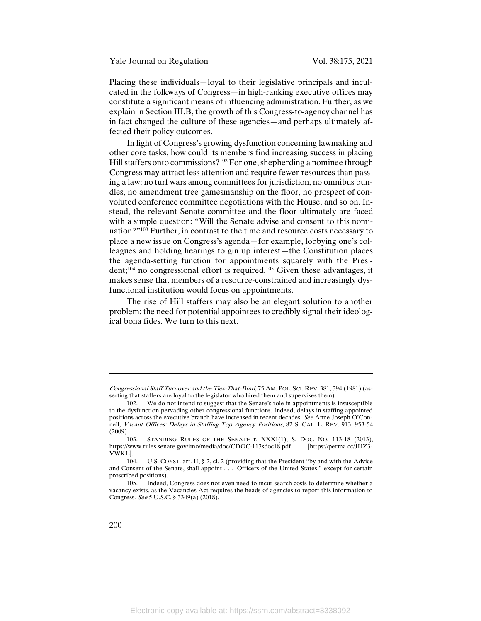Yale Journal on Regulation Vol. 38:175, 2021

Placing these individuals—loyal to their legislative principals and inculcated in the folkways of Congress—in high-ranking executive offices may constitute a significant means of influencing administration. Further, as we explain in Section III.B, the growth of this Congress-to-agency channel has in fact changed the culture of these agencies—and perhaps ultimately affected their policy outcomes.

In light of Congress's growing dysfunction concerning lawmaking and other core tasks, how could its members find increasing success in placing Hill staffers onto commissions?<sup>102</sup> For one, shepherding a nominee through Congress may attract less attention and require fewer resources than passing a law: no turf wars among committees for jurisdiction, no omnibus bundles, no amendment tree gamesmanship on the floor, no prospect of convoluted conference committee negotiations with the House, and so on. Instead, the relevant Senate committee and the floor ultimately are faced with a simple question: "Will the Senate advise and consent to this nomination?"103 Further, in contrast to the time and resource costs necessary to place a new issue on Congress's agenda—for example, lobbying one's colleagues and holding hearings to gin up interest—the Constitution places the agenda-setting function for appointments squarely with the Presi $dent; ^{104}$  no congressional effort is required.<sup>105</sup> Given these advantages, it makes sense that members of a resource-constrained and increasingly dysfunctional institution would focus on appointments.

The rise of Hill staffers may also be an elegant solution to another problem: the need for potential appointees to credibly signal their ideological bona fides. We turn to this next.

 $\overline{a}$ 

Congressional Staff Turnover and the Ties-That-Bind, 75 AM. POL. SCI. REV. 381, 394 (1981) (asserting that staffers are loyal to the legislator who hired them and supervises them).

<sup>102.</sup> We do not intend to suggest that the Senate's role in appointments is insusceptible to the dysfunction pervading other congressional functions. Indeed, delays in staffing appointed positions across the executive branch have increased in recent decades. See Anne Joseph O'Connell, Vacant Offices: Delays in Staffing Top Agency Positions, 82 S. CAL. L. REV. 913, 953-54 (2009).

<sup>103.</sup> STANDING RULES OF THE SENATE r. XXXI(1), S. DOC. NO. 113-18 (2013),<br>//www.rules.senate.gov/imo/media/doc/CDOC-113sdoc18.pdf [https://perma.cc/JHZ3https://www.rules.senate.gov/imo/media/doc/CDOC-113sdoc18.pdf VWKL].

<sup>104.</sup> U.S. CONST. art. II, § 2, cl. 2 (providing that the President "by and with the Advice and Consent of the Senate, shall appoint . . . Officers of the United States," except for certain proscribed positions).

<sup>105.</sup> Indeed, Congress does not even need to incur search costs to determine whether a vacancy exists, as the Vacancies Act requires the heads of agencies to report this information to Congress. See 5 U.S.C. § 3349(a) (2018).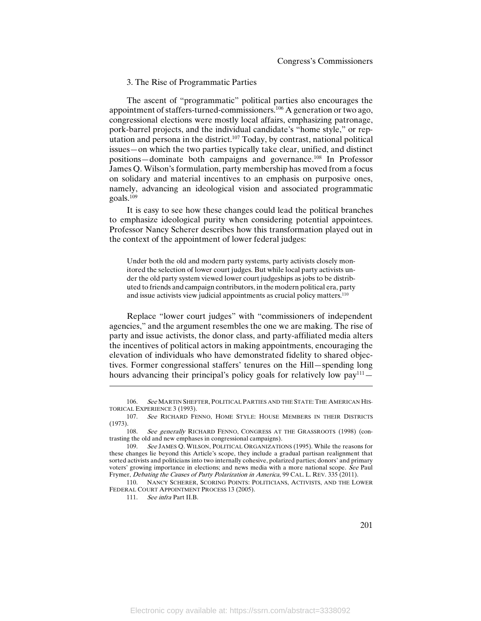#### 3. The Rise of Programmatic Parties

The ascent of "programmatic" political parties also encourages the appointment of staffers-turned-commissioners.106 A generation or two ago, congressional elections were mostly local affairs, emphasizing patronage, pork-barrel projects, and the individual candidate's "home style," or reputation and persona in the district.<sup>107</sup> Today, by contrast, national political issues—on which the two parties typically take clear, unified, and distinct positions—dominate both campaigns and governance.108 In Professor James Q. Wilson's formulation, party membership has moved from a focus on solidary and material incentives to an emphasis on purposive ones, namely, advancing an ideological vision and associated programmatic goals.109

It is easy to see how these changes could lead the political branches to emphasize ideological purity when considering potential appointees. Professor Nancy Scherer describes how this transformation played out in the context of the appointment of lower federal judges:

Under both the old and modern party systems, party activists closely monitored the selection of lower court judges. But while local party activists under the old party system viewed lower court judgeships as jobs to be distributed to friends and campaign contributors, in the modern political era, party and issue activists view judicial appointments as crucial policy matters.<sup>110</sup>

Replace "lower court judges" with "commissioners of independent agencies," and the argument resembles the one we are making. The rise of party and issue activists, the donor class, and party-affiliated media alters the incentives of political actors in making appointments, encouraging the elevation of individuals who have demonstrated fidelity to shared objectives. Former congressional staffers' tenures on the Hill—spending long hours advancing their principal's policy goals for relatively low  $pay<sup>111</sup>$  -

111. See infra Part II.B.

<sup>106.</sup> See MARTIN SHEFTER, POLITICAL PARTIES AND THE STATE: THE AMERICAN HIS-TORICAL EXPERIENCE 3 (1993).

<sup>107.</sup> See RICHARD FENNO, HOME STYLE: HOUSE MEMBERS IN THEIR DISTRICTS (1973).

<sup>108.</sup> See generally RICHARD FENNO, CONGRESS AT THE GRASSROOTS (1998) (contrasting the old and new emphases in congressional campaigns).

<sup>109.</sup> See JAMES Q. WILSON, POLITICAL ORGANIZATIONS (1995). While the reasons for these changes lie beyond this Article's scope, they include a gradual partisan realignment that sorted activists and politicians into two internally cohesive, polarized parties; donors' and primary voters' growing importance in elections; and news media with a more national scope. See Paul Frymer, Debating the Causes of Party Polarization in America, 99 CAL. L. REV. 335 (2011).

<sup>110.</sup> NANCY SCHERER, SCORING POINTS: POLITICIANS, ACTIVISTS, AND THE LOWER FEDERAL COURT APPOINTMENT PROCESS 13 (2005).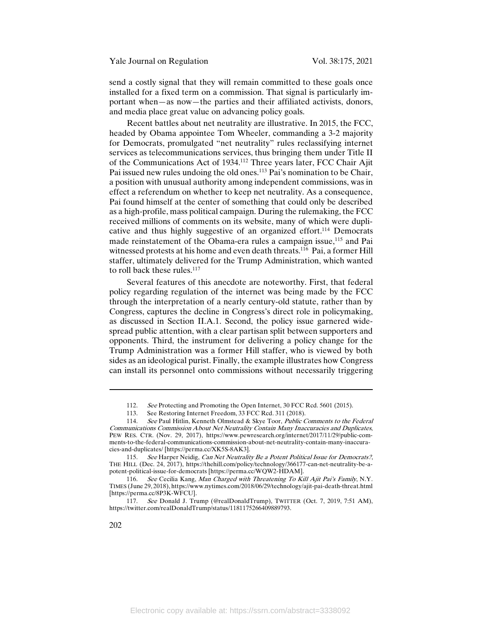send a costly signal that they will remain committed to these goals once installed for a fixed term on a commission. That signal is particularly important when—as now—the parties and their affiliated activists, donors, and media place great value on advancing policy goals.

Recent battles about net neutrality are illustrative. In 2015, the FCC, headed by Obama appointee Tom Wheeler, commanding a 3-2 majority for Democrats, promulgated "net neutrality" rules reclassifying internet services as telecommunications services, thus bringing them under Title II of the Communications Act of 1934.112 Three years later, FCC Chair Ajit Pai issued new rules undoing the old ones.<sup>113</sup> Pai's nomination to be Chair, a position with unusual authority among independent commissions, was in effect a referendum on whether to keep net neutrality. As a consequence, Pai found himself at the center of something that could only be described as a high-profile, mass political campaign. During the rulemaking, the FCC received millions of comments on its website, many of which were duplicative and thus highly suggestive of an organized effort.114 Democrats made reinstatement of the Obama-era rules a campaign issue,115 and Pai witnessed protests at his home and even death threats.<sup>116</sup> Pai, a former Hill staffer, ultimately delivered for the Trump Administration, which wanted to roll back these rules.<sup>117</sup>

Several features of this anecdote are noteworthy. First, that federal policy regarding regulation of the internet was being made by the FCC through the interpretation of a nearly century-old statute, rather than by Congress, captures the decline in Congress's direct role in policymaking, as discussed in Section II.A.1. Second, the policy issue garnered widespread public attention, with a clear partisan split between supporters and opponents. Third, the instrument for delivering a policy change for the Trump Administration was a former Hill staffer, who is viewed by both sides as an ideological purist. Finally, the example illustrates how Congress can install its personnel onto commissions without necessarily triggering

<sup>112.</sup> See Protecting and Promoting the Open Internet, 30 FCC Rcd. 5601 (2015).<br>113. See Restoring Internet Freedom, 33 FCC Rcd. 311 (2018).

See Restoring Internet Freedom, 33 FCC Rcd. 311 (2018).

<sup>114.</sup> See Paul Hitlin, Kenneth Olmstead & Skye Toor, Public Comments to the Federal Communications Commission About Net Neutrality Contain Many Inaccuracies and Duplicates, PEW RES. CTR. (Nov. 29, 2017), https://www.pewresearch.org/internet/2017/11/29/public-comments-to-the-federal-communications-commission-about-net-neutrality-contain-many-inaccuracies-and-duplicates/ [https://perma.cc/XK5S-8AK3].

<sup>115.</sup> See Harper Neidig, Can Net Neutrality Be a Potent Political Issue for Democrats?, THE HILL (Dec. 24, 2017), https://thehill.com/policy/technology/366177-can-net-neutrality-be-apotent-political-issue-for-democrats [https://perma.cc/WQW2-HDAM].

<sup>116.</sup> See Cecilia Kang, Man Charged with Threatening To Kill Ajit Pai's Family, N.Y. TIMES (June 29, 2018), https://www.nytimes.com/2018/06/29/technology/ajit-pai-death-threat.html [https://perma.cc/8P3K-WFCU].

<sup>117.</sup> See Donald J. Trump (@realDonaldTrump), TWITTER (Oct. 7, 2019, 7:51 AM), https://twitter.com/realDonaldTrump/status/1181175266409889793.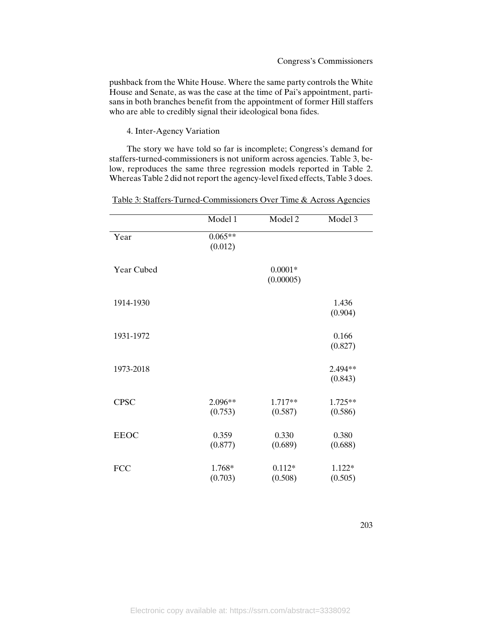pushback from the White House. Where the same party controls the White House and Senate, as was the case at the time of Pai's appointment, partisans in both branches benefit from the appointment of former Hill staffers who are able to credibly signal their ideological bona fides.

4. Inter-Agency Variation

The story we have told so far is incomplete; Congress's demand for staffers-turned-commissioners is not uniform across agencies. Table 3, below, reproduces the same three regression models reported in Table 2. Whereas Table 2 did not report the agency-level fixed effects, Table 3 does.

|             | Model 1              | Model 2                | Model 3            |
|-------------|----------------------|------------------------|--------------------|
| Year        | $0.065**$<br>(0.012) |                        |                    |
| Year Cubed  |                      | $0.0001*$<br>(0.00005) |                    |
| 1914-1930   |                      |                        | 1.436<br>(0.904)   |
| 1931-1972   |                      |                        | 0.166<br>(0.827)   |
| 1973-2018   |                      |                        | 2.494**<br>(0.843) |
| <b>CPSC</b> | 2.096**<br>(0.753)   | 1.717**<br>(0.587)     | 1.725**<br>(0.586) |
| <b>EEOC</b> | 0.359<br>(0.877)     | 0.330<br>(0.689)       | 0.380<br>(0.688)   |
| <b>FCC</b>  | 1.768*<br>(0.703)    | $0.112*$<br>(0.508)    | 1.122*<br>(0.505)  |

|  |  |  | Table 3: Staffers-Turned-Commissioners Over Time & Across Agencies |  |  |  |  |  |  |
|--|--|--|--------------------------------------------------------------------|--|--|--|--|--|--|
|  |  |  |                                                                    |  |  |  |  |  |  |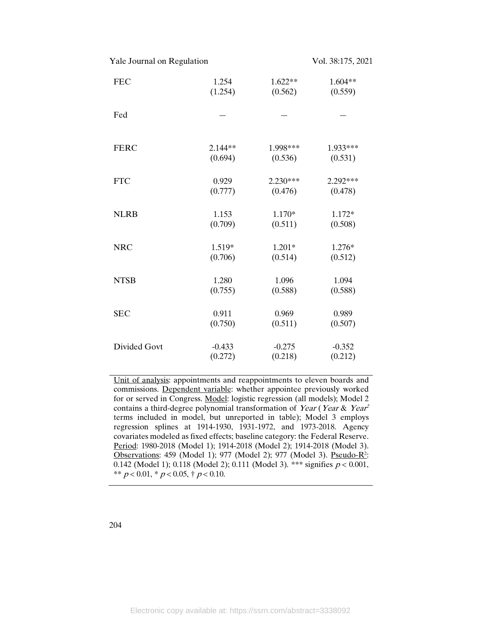Yale Journal on Regulation Vol. 38:175, 2021

| <b>FEC</b>   | 1.254    | 1.622**  | 1.604**  |
|--------------|----------|----------|----------|
|              | (1.254)  | (0.562)  | (0.559)  |
| Fed          |          |          |          |
| <b>FERC</b>  | 2.144**  | 1.998*** | 1.933*** |
|              | (0.694)  | (0.536)  | (0.531)  |
| <b>FTC</b>   | 0.929    | 2.230*** | 2.292*** |
|              | (0.777)  | (0.476)  | (0.478)  |
| <b>NLRB</b>  | 1.153    | 1.170*   | 1.172*   |
|              | (0.709)  | (0.511)  | (0.508)  |
| <b>NRC</b>   | 1.519*   | $1.201*$ | 1.276*   |
|              | (0.706)  | (0.514)  | (0.512)  |
| <b>NTSB</b>  | 1.280    | 1.096    | 1.094    |
|              | (0.755)  | (0.588)  | (0.588)  |
| <b>SEC</b>   | 0.911    | 0.969    | 0.989    |
|              | (0.750)  | (0.511)  | (0.507)  |
| Divided Govt | $-0.433$ | $-0.275$ | $-0.352$ |
|              | (0.272)  | (0.218)  | (0.212)  |

Unit of analysis: appointments and reappointments to eleven boards and commissions. Dependent variable: whether appointee previously worked for or served in Congress. Model: logistic regression (all models); Model 2 contains a third-degree polynomial transformation of Year (Year & Year<sup>2</sup> terms included in model, but unreported in table); Model 3 employs regression splines at 1914-1930, 1931-1972, and 1973-2018. Agency covariates modeled as fixed effects; baseline category: the Federal Reserve. Period: 1980-2018 (Model 1); 1914-2018 (Model 2); 1914-2018 (Model 3). Observations: 459 (Model 1); 977 (Model 2); 977 (Model 3). Pseudo-R<sup>2</sup>: 0.142 (Model 1); 0.118 (Model 2); 0.111 (Model 3). \*\*\* signifies  $p < 0.001$ , \*\*  $p < 0.01$ , \*  $p < 0.05$ , †  $p < 0.10$ .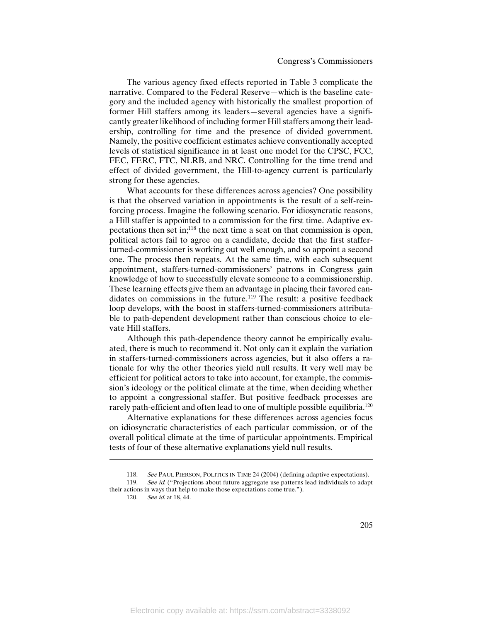The various agency fixed effects reported in Table 3 complicate the narrative. Compared to the Federal Reserve—which is the baseline category and the included agency with historically the smallest proportion of former Hill staffers among its leaders—several agencies have a significantly greater likelihood of including former Hill staffers among their leadership, controlling for time and the presence of divided government. Namely, the positive coefficient estimates achieve conventionally accepted levels of statistical significance in at least one model for the CPSC, FCC, FEC, FERC, FTC, NLRB, and NRC. Controlling for the time trend and effect of divided government, the Hill-to-agency current is particularly strong for these agencies.

What accounts for these differences across agencies? One possibility is that the observed variation in appointments is the result of a self-reinforcing process. Imagine the following scenario. For idiosyncratic reasons, a Hill staffer is appointed to a commission for the first time. Adaptive expectations then set in;118 the next time a seat on that commission is open, political actors fail to agree on a candidate, decide that the first stafferturned-commissioner is working out well enough, and so appoint a second one. The process then repeats. At the same time, with each subsequent appointment, staffers-turned-commissioners' patrons in Congress gain knowledge of how to successfully elevate someone to a commissionership. These learning effects give them an advantage in placing their favored candidates on commissions in the future.<sup>119</sup> The result: a positive feedback loop develops, with the boost in staffers-turned-commissioners attributable to path-dependent development rather than conscious choice to elevate Hill staffers.

Although this path-dependence theory cannot be empirically evaluated, there is much to recommend it. Not only can it explain the variation in staffers-turned-commissioners across agencies, but it also offers a rationale for why the other theories yield null results. It very well may be efficient for political actors to take into account, for example, the commission's ideology or the political climate at the time, when deciding whether to appoint a congressional staffer. But positive feedback processes are rarely path-efficient and often lead to one of multiple possible equilibria.<sup>120</sup>

Alternative explanations for these differences across agencies focus on idiosyncratic characteristics of each particular commission, or of the overall political climate at the time of particular appointments. Empirical tests of four of these alternative explanations yield null results.

 $\overline{\phantom{a}}$ 

<sup>118.</sup> See PAUL PIERSON, POLITICS IN TIME 24 (2004) (defining adaptive expectations). 119. See id. ("Projections about future aggregate use patterns lead individuals to adapt their actions in ways that help to make those expectations come true.").

<sup>120.</sup> See id. at 18, 44.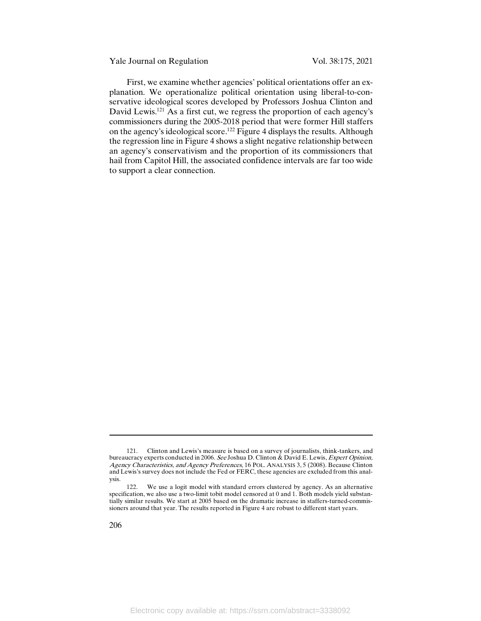Yale Journal on Regulation Vol. 38:175, 2021

First, we examine whether agencies' political orientations offer an explanation. We operationalize political orientation using liberal-to-conservative ideological scores developed by Professors Joshua Clinton and David Lewis.<sup>121</sup> As a first cut, we regress the proportion of each agency's commissioners during the 2005-2018 period that were former Hill staffers on the agency's ideological score.122 Figure 4 displays the results. Although the regression line in Figure 4 shows a slight negative relationship between an agency's conservativism and the proportion of its commissioners that hail from Capitol Hill, the associated confidence intervals are far too wide to support a clear connection.

<sup>121.</sup> Clinton and Lewis's measure is based on a survey of journalists, think-tankers, and bureaucracy experts conducted in 2006. See Joshua D. Clinton & David E. Lewis, Expert Opinion, Agency Characteristics, and Agency Preferences, 16 POL. ANALYSIS 3, 5 (2008). Because Clinton and Lewis's survey does not include the Fed or FERC, these agencies are excluded from this analysis.

<sup>122.</sup> We use a logit model with standard errors clustered by agency. As an alternative specification, we also use a two-limit tobit model censored at 0 and 1. Both models yield substantially similar results. We start at 2005 based on the dramatic increase in staffers-turned-commissioners around that year. The results reported in Figure 4 are robust to different start years.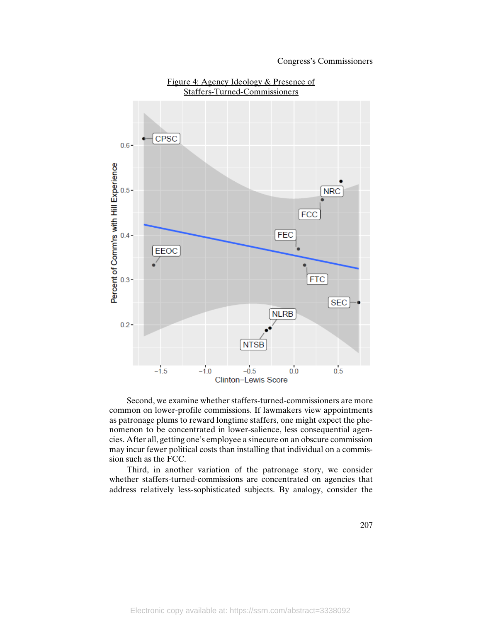

Figure 4: Agency Ideology & Presence of Staffers-Turned-Commissioners

Second, we examine whether staffers-turned-commissioners are more common on lower-profile commissions. If lawmakers view appointments as patronage plums to reward longtime staffers, one might expect the phenomenon to be concentrated in lower-salience, less consequential agencies. After all, getting one's employee a sinecure on an obscure commission may incur fewer political costs than installing that individual on a commission such as the FCC.

Third, in another variation of the patronage story, we consider whether staffers-turned-commissions are concentrated on agencies that address relatively less-sophisticated subjects. By analogy, consider the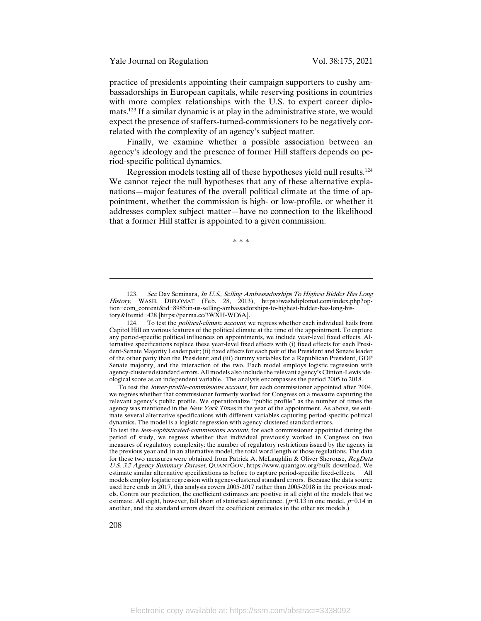Yale Journal on Regulation Vol. 38:175, 2021

practice of presidents appointing their campaign supporters to cushy ambassadorships in European capitals, while reserving positions in countries with more complex relationships with the U.S. to expert career diplomats.123 If a similar dynamic is at play in the administrative state, we would expect the presence of staffers-turned-commissioners to be negatively correlated with the complexity of an agency's subject matter.

Finally, we examine whether a possible association between an agency's ideology and the presence of former Hill staffers depends on period-specific political dynamics.

Regression models testing all of these hypotheses yield null results.124 We cannot reject the null hypotheses that any of these alternative explanations—major features of the overall political climate at the time of appointment, whether the commission is high- or low-profile, or whether it addresses complex subject matter—have no connection to the likelihood that a former Hill staffer is appointed to a given commission.

\* \* \*

To test the lower-profile-commissions account, for each commissioner appointed after 2004, we regress whether that commissioner formerly worked for Congress on a measure capturing the relevant agency's public profile. We operationalize "public profile" as the number of times the agency was mentioned in the New York Times in the year of the appointment. As above, we estimate several alternative specifications with different variables capturing period-specific political dynamics. The model is a logistic regression with agency-clustered standard errors.

<sup>123.</sup> See Dav Seminara, *In U.S., Selling Ambassadorships To Highest Bidder Has Long* History, WASH. DIPLOMAT (Feb. 28, 2013), https://washdiplomat.com/index.php?option=com\_content&id=8985:in-us-selling-ambassadorships-to-highest-bidder-has-long-history&Itemid=428 [https://perma.cc/3WXH-WC6A].

<sup>124.</sup> To test the *political-climate account*, we regress whether each individual hails from Capitol Hill on various features of the political climate at the time of the appointment. To capture any period-specific political influences on appointments, we include year-level fixed effects. Alternative specifications replace these year-level fixed effects with (i) fixed effects for each President-Senate Majority Leader pair; (ii) fixed effects for each pair of the President and Senate leader of the other party than the President; and (iii) dummy variables for a Republican President, GOP Senate majority, and the interaction of the two. Each model employs logistic regression with agency-clustered standard errors. All models also include the relevant agency's Clinton-Lewis ideological score as an independent variable. The analysis encompasses the period 2005 to 2018.

To test the *less-sophisticated-commissions account*, for each commissioner appointed during the period of study, we regress whether that individual previously worked in Congress on two measures of regulatory complexity: the number of regulatory restrictions issued by the agency in the previous year and, in an alternative model, the total word length of those regulations. The data for these two measures were obtained from Patrick A. McLaughlin & Oliver Sherouse, RegData U.S. 3.2 Agency Summary Dataset, QUANTGOV, https://www.quantgov.org/bulk-download. We estimate similar alternative specifications as before to capture period-specific fixed-effects. All models employ logistic regression with agency-clustered standard errors. Because the data source used here ends in 2017, this analysis covers 2005-2017 rather than 2005-2018 in the previous models. Contra our prediction, the coefficient estimates are positive in all eight of the models that we estimate. All eight, however, fall short of statistical significance.  $(p=0.13$  in one model,  $p=0.14$  in another, and the standard errors dwarf the coefficient estimates in the other six models.)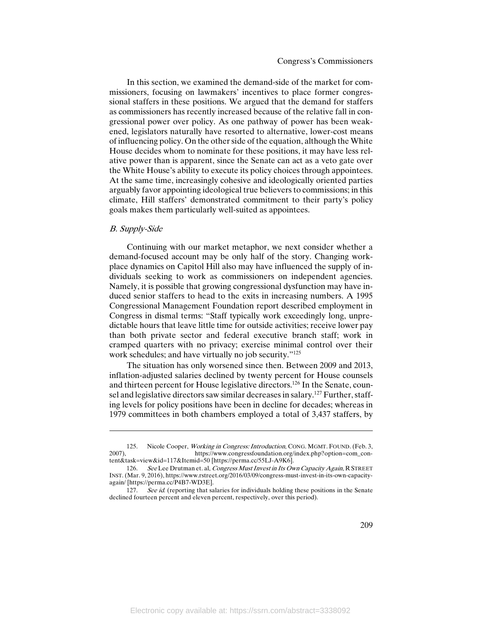In this section, we examined the demand-side of the market for commissioners, focusing on lawmakers' incentives to place former congressional staffers in these positions. We argued that the demand for staffers as commissioners has recently increased because of the relative fall in congressional power over policy. As one pathway of power has been weakened, legislators naturally have resorted to alternative, lower-cost means of influencing policy. On the other side of the equation, although the White House decides whom to nominate for these positions, it may have less relative power than is apparent, since the Senate can act as a veto gate over the White House's ability to execute its policy choices through appointees. At the same time, increasingly cohesive and ideologically oriented parties arguably favor appointing ideological true believers to commissions; in this climate, Hill staffers' demonstrated commitment to their party's policy goals makes them particularly well-suited as appointees.

#### B. Supply-Side

 $\overline{\phantom{a}}$ 

Continuing with our market metaphor, we next consider whether a demand-focused account may be only half of the story. Changing workplace dynamics on Capitol Hill also may have influenced the supply of individuals seeking to work as commissioners on independent agencies. Namely, it is possible that growing congressional dysfunction may have induced senior staffers to head to the exits in increasing numbers. A 1995 Congressional Management Foundation report described employment in Congress in dismal terms: "Staff typically work exceedingly long, unpredictable hours that leave little time for outside activities; receive lower pay than both private sector and federal executive branch staff; work in cramped quarters with no privacy; exercise minimal control over their work schedules; and have virtually no job security."<sup>125</sup>

The situation has only worsened since then. Between 2009 and 2013, inflation-adjusted salaries declined by twenty percent for House counsels and thirteen percent for House legislative directors.126 In the Senate, counsel and legislative directors saw similar decreases in salary.<sup>127</sup> Further, staffing levels for policy positions have been in decline for decades; whereas in 1979 committees in both chambers employed a total of 3,437 staffers, by

<sup>125.</sup> Nicole Cooper, *Working in Congress: Introduction*, CONG. MGMT. FOUND. (Feb. 3, 2007), https://www.congressfoundation.org/index.php?option=com\_con-2007), https://www.congressfoundation.org/index.php?option=com\_content&task=view&id=117&Itemid=50 [https://perma.cc/55LJ-A9K6].

<sup>126.</sup> See Lee Drutman et. al, Congress Must Invest in Its Own Capacity Again, R STREET INST. (Mar. 9, 2016), https://www.rstreet.org/2016/03/09/congress-must-invest-in-its-own-capacityagain/ [https://perma.cc/P4B7-WD3E].

<sup>127.</sup> See id. (reporting that salaries for individuals holding these positions in the Senate declined fourteen percent and eleven percent, respectively, over this period).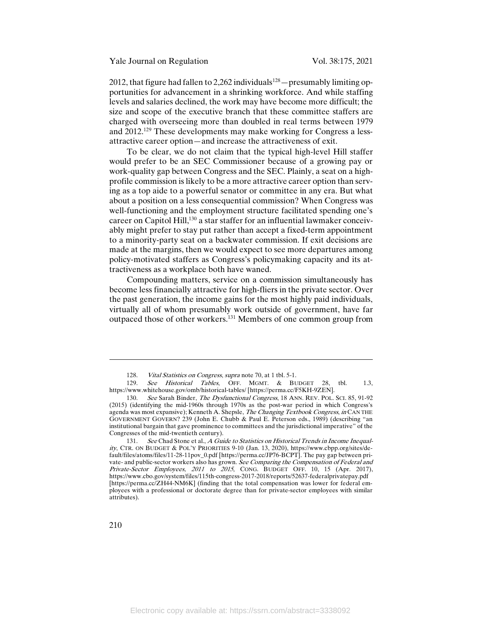2012, that figure had fallen to 2,262 individuals<sup>128</sup> — presumably limiting opportunities for advancement in a shrinking workforce. And while staffing levels and salaries declined, the work may have become more difficult; the size and scope of the executive branch that these committee staffers are charged with overseeing more than doubled in real terms between 1979 and 2012.129 These developments may make working for Congress a lessattractive career option—and increase the attractiveness of exit.

To be clear, we do not claim that the typical high-level Hill staffer would prefer to be an SEC Commissioner because of a growing pay or work-quality gap between Congress and the SEC. Plainly, a seat on a highprofile commission is likely to be a more attractive career option than serving as a top aide to a powerful senator or committee in any era. But what about a position on a less consequential commission? When Congress was well-functioning and the employment structure facilitated spending one's career on Capitol Hill,<sup>130</sup> a star staffer for an influential lawmaker conceivably might prefer to stay put rather than accept a fixed-term appointment to a minority-party seat on a backwater commission. If exit decisions are made at the margins, then we would expect to see more departures among policy-motivated staffers as Congress's policymaking capacity and its attractiveness as a workplace both have waned.

Compounding matters, service on a commission simultaneously has become less financially attractive for high-fliers in the private sector. Over the past generation, the income gains for the most highly paid individuals, virtually all of whom presumably work outside of government, have far outpaced those of other workers.131 Members of one common group from

 $\overline{a}$ 

<sup>128.</sup> Vital Statistics on Congress, supra note 70, at 1 tbl. 5-1.

<sup>129.</sup> See Historical Tables, OFF. MGMT. & BUDGET 28, tbl. 1.3, https://www.whitehouse.gov/omb/historical-tables/ [https://perma.cc/F5KH-9ZEN].

<sup>130.</sup> See Sarah Binder, *The Dysfunctional Congress*, 18 ANN. REV. POL. SCI. 85, 91-92 (2015) (identifying the mid-1960s through 1970s as the post-war period in which Congress's agenda was most expansive); Kenneth A. Shepsle, The Changing Textbook Congress, in CAN THE GOVERNMENT GOVERN? 239 (John E. Chubb & Paul E. Peterson eds., 1989) (describing "an institutional bargain that gave prominence to committees and the jurisdictional imperative" of the Congresses of the mid-twentieth century).

<sup>131.</sup> See Chad Stone et al., A Guide to Statistics on Historical Trends in Income Inequality, CTR. ON BUDGET & POL'Y PRIORITIES 9-10 (Jan. 13, 2020), https://www.cbpp.org/sites/default/files/atoms/files/11-28-11pov\_0.pdf [https://perma.cc/JP76-BCPT]. The pay gap between private- and public-sector workers also has grown. See Comparing the Compensation of Federal and Private-Sector Employees, 2011 to 2015, CONG. BUDGET OFF. 10, 15 (Apr. 2017), https://www.cbo.gov/system/files/115th-congress-2017-2018/reports/52637-federalprivatepay.pdf [https://perma.cc/ZH44-NM6K] (finding that the total compensation was lower for federal employees with a professional or doctorate degree than for private-sector employees with similar attributes).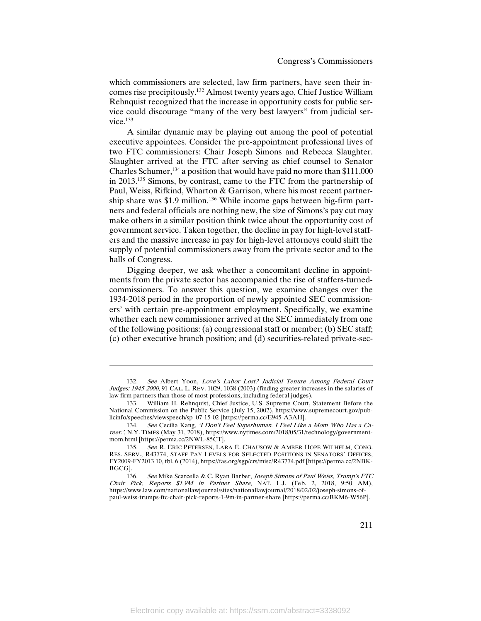which commissioners are selected, law firm partners, have seen their incomes rise precipitously. <sup>132</sup> Almost twenty years ago, Chief Justice William Rehnquist recognized that the increase in opportunity costs for public service could discourage "many of the very best lawyers" from judicial service.<sup>133</sup>

A similar dynamic may be playing out among the pool of potential executive appointees. Consider the pre-appointment professional lives of two FTC commissioners: Chair Joseph Simons and Rebecca Slaughter. Slaughter arrived at the FTC after serving as chief counsel to Senator Charles Schumer,  $134$  a position that would have paid no more than \$111,000 in 2013.135 Simons, by contrast, came to the FTC from the partnership of Paul, Weiss, Rifkind, Wharton & Garrison, where his most recent partnership share was \$1.9 million.<sup>136</sup> While income gaps between big-firm partners and federal officials are nothing new, the size of Simons's pay cut may make others in a similar position think twice about the opportunity cost of government service. Taken together, the decline in pay for high-level staffers and the massive increase in pay for high-level attorneys could shift the supply of potential commissioners away from the private sector and to the halls of Congress.

Digging deeper, we ask whether a concomitant decline in appointments from the private sector has accompanied the rise of staffers-turnedcommissioners. To answer this question, we examine changes over the 1934-2018 period in the proportion of newly appointed SEC commissioners' with certain pre-appointment employment. Specifically, we examine whether each new commissioner arrived at the SEC immediately from one of the following positions: (a) congressional staff or member; (b) SEC staff; (c) other executive branch position; and (d) securities-related private-sec-

<sup>132.</sup> See Albert Yoon, Love's Labor Lost? Judicial Tenure Among Federal Court Judges: 1945-2000, 91 CAL. L. REV. 1029, 1038 (2003) (finding greater increases in the salaries of law firm partners than those of most professions, including federal judges).

<sup>133.</sup> William H. Rehnquist, Chief Justice, U.S. Supreme Court, Statement Before the National Commission on the Public Service (July 15, 2002), https://www.supremecourt.gov/publicinfo/speeches/viewspeech/sp\_07-15-02 [https://perma.cc/E945-A3AH].

<sup>134.</sup> See Cecilia Kang, 'I Don't Feel Superhuman. I Feel Like a Mom Who Has a Career.', N.Y. TIMES (May 31, 2018), https://www.nytimes.com/2018/05/31/technology/governmentmom.html [https://perma.cc/2NWL-85CT].

<sup>135.</sup> See R. ERIC PETERSEN, LARA E. CHAUSOW & AMBER HOPE WILHELM, CONG. RES. SERV., R43774, STAFF PAY LEVELS FOR SELECTED POSITIONS IN SENATORS' OFFICES, FY2009-FY2013 10, tbl. 6 (2014), https://fas.org/sgp/crs/misc/R43774.pdf [https://perma.cc/2NBK-BGCG].

<sup>136.</sup> See Mike Scarcella & C. Ryan Barber, *Joseph Simons of Paul Weiss, Trump's FTC* Chair Pick, Reports \$1.9M in Partner Share, NAT. L.J. (Feb. 2, 2018, 9:50 AM), https://www.law.com/nationallawjournal/sites/nationallawjournal/2018/02/02/joseph-simons-ofpaul-weiss-trumps-ftc-chair-pick-reports-1-9m-in-partner-share [https://perma.cc/BKM6-W56P].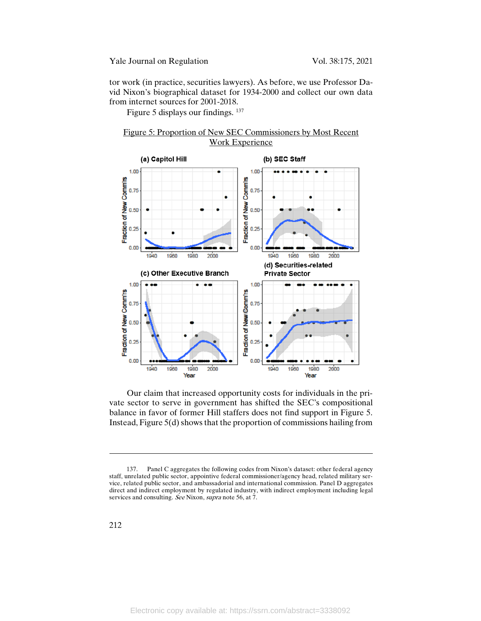tor work (in practice, securities lawyers). As before, we use Professor David Nixon's biographical dataset for 1934-2000 and collect our own data from internet sources for 2001-2018.

Figure 5 displays our findings. 137





Our claim that increased opportunity costs for individuals in the private sector to serve in government has shifted the SEC's compositional balance in favor of former Hill staffers does not find support in Figure 5. Instead, Figure 5(d) shows that the proportion of commissions hailing from

 $\overline{a}$ 

<sup>137.</sup> Panel C aggregates the following codes from Nixon's dataset: other federal agency staff, unrelated public sector, appointive federal commissioner/agency head, related military service, related public sector, and ambassadorial and international commission. Panel D aggregates direct and indirect employment by regulated industry, with indirect employment including legal services and consulting. See Nixon, supra note 56, at 7.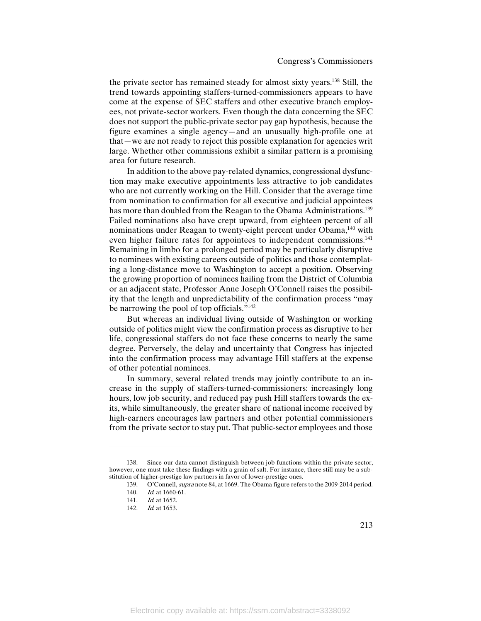the private sector has remained steady for almost sixty years.138 Still, the trend towards appointing staffers-turned-commissioners appears to have come at the expense of SEC staffers and other executive branch employees, not private-sector workers. Even though the data concerning the SEC does not support the public-private sector pay gap hypothesis, because the figure examines a single agency—and an unusually high-profile one at that—we are not ready to reject this possible explanation for agencies writ large. Whether other commissions exhibit a similar pattern is a promising area for future research.

In addition to the above pay-related dynamics, congressional dysfunction may make executive appointments less attractive to job candidates who are not currently working on the Hill. Consider that the average time from nomination to confirmation for all executive and judicial appointees has more than doubled from the Reagan to the Obama Administrations.<sup>139</sup> Failed nominations also have crept upward, from eighteen percent of all nominations under Reagan to twenty-eight percent under Obama,<sup>140</sup> with even higher failure rates for appointees to independent commissions.<sup>141</sup> Remaining in limbo for a prolonged period may be particularly disruptive to nominees with existing careers outside of politics and those contemplating a long-distance move to Washington to accept a position. Observing the growing proportion of nominees hailing from the District of Columbia or an adjacent state, Professor Anne Joseph O'Connell raises the possibility that the length and unpredictability of the confirmation process "may be narrowing the pool of top officials."<sup>142</sup>

But whereas an individual living outside of Washington or working outside of politics might view the confirmation process as disruptive to her life, congressional staffers do not face these concerns to nearly the same degree. Perversely, the delay and uncertainty that Congress has injected into the confirmation process may advantage Hill staffers at the expense of other potential nominees.

In summary, several related trends may jointly contribute to an increase in the supply of staffers-turned-commissioners: increasingly long hours, low job security, and reduced pay push Hill staffers towards the exits, while simultaneously, the greater share of national income received by high-earners encourages law partners and other potential commissioners from the private sector to stay put. That public-sector employees and those

 $\overline{a}$ 

<sup>138.</sup> Since our data cannot distinguish between job functions within the private sector, however, one must take these findings with a grain of salt. For instance, there still may be a substitution of higher-prestige law partners in favor of lower-prestige ones.

<sup>139.</sup> O'Connell, supra note 84, at 1669. The Obama figure refers to the 2009-2014 period.

<sup>140.</sup> *Id.* at 1660-61.

<sup>141.</sup> *Id.* at 1652.

<sup>142.</sup> *Id.* at 1653.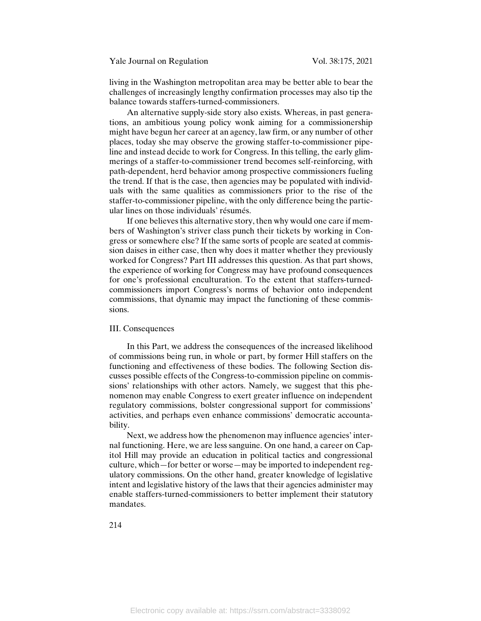living in the Washington metropolitan area may be better able to bear the challenges of increasingly lengthy confirmation processes may also tip the balance towards staffers-turned-commissioners.

An alternative supply-side story also exists. Whereas, in past generations, an ambitious young policy wonk aiming for a commissionership might have begun her career at an agency, law firm, or any number of other places, today she may observe the growing staffer-to-commissioner pipeline and instead decide to work for Congress. In this telling, the early glimmerings of a staffer-to-commissioner trend becomes self-reinforcing, with path-dependent, herd behavior among prospective commissioners fueling the trend. If that is the case, then agencies may be populated with individuals with the same qualities as commissioners prior to the rise of the staffer-to-commissioner pipeline, with the only difference being the particular lines on those individuals' résumés.

If one believes this alternative story, then why would one care if members of Washington's striver class punch their tickets by working in Congress or somewhere else? If the same sorts of people are seated at commission daises in either case, then why does it matter whether they previously worked for Congress? Part III addresses this question. As that part shows, the experience of working for Congress may have profound consequences for one's professional enculturation. To the extent that staffers-turnedcommissioners import Congress's norms of behavior onto independent commissions, that dynamic may impact the functioning of these commissions.

#### III. Consequences

In this Part, we address the consequences of the increased likelihood of commissions being run, in whole or part, by former Hill staffers on the functioning and effectiveness of these bodies. The following Section discusses possible effects of the Congress-to-commission pipeline on commissions' relationships with other actors. Namely, we suggest that this phenomenon may enable Congress to exert greater influence on independent regulatory commissions, bolster congressional support for commissions' activities, and perhaps even enhance commissions' democratic accountability.

Next, we address how the phenomenon may influence agencies' internal functioning. Here, we are less sanguine. On one hand, a career on Capitol Hill may provide an education in political tactics and congressional culture, which—for better or worse—may be imported to independent regulatory commissions. On the other hand, greater knowledge of legislative intent and legislative history of the laws that their agencies administer may enable staffers-turned-commissioners to better implement their statutory mandates.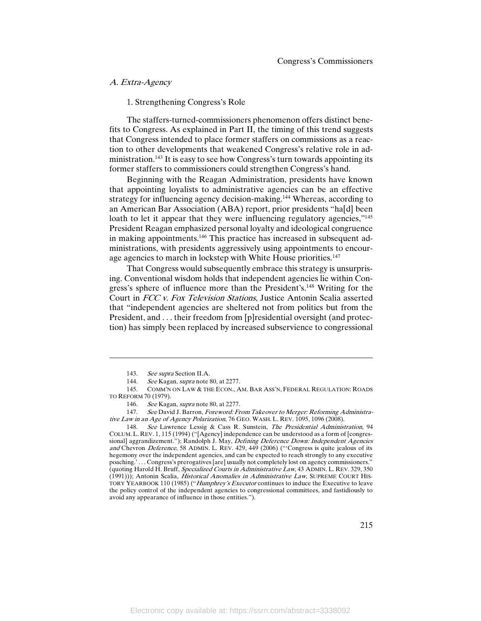### A. Extra-Agency

1. Strengthening Congress's Role

The staffers-turned-commissioners phenomenon offers distinct benefits to Congress. As explained in Part II, the timing of this trend suggests that Congress intended to place former staffers on commissions as a reaction to other developments that weakened Congress's relative role in administration.<sup>143</sup> It is easy to see how Congress's turn towards appointing its former staffers to commissioners could strengthen Congress's hand.

Beginning with the Reagan Administration, presidents have known that appointing loyalists to administrative agencies can be an effective strategy for influencing agency decision-making.144 Whereas, according to an American Bar Association (ABA) report, prior presidents "ha[d] been loath to let it appear that they were influencing regulatory agencies,"<sup>145</sup> President Reagan emphasized personal loyalty and ideological congruence in making appointments.146 This practice has increased in subsequent administrations, with presidents aggressively using appointments to encourage agencies to march in lockstep with White House priorities.<sup>147</sup>

That Congress would subsequently embrace this strategy is unsurprising. Conventional wisdom holds that independent agencies lie within Congress's sphere of influence more than the President's.148 Writing for the Court in FCC v. Fox Television Stations, Justice Antonin Scalia asserted that "independent agencies are sheltered not from politics but from the President, and . . . their freedom from [p]residential oversight (and protection) has simply been replaced by increased subservience to congressional

<sup>143.</sup> See supra Section II.A.

<sup>144.</sup> See Kagan, supra note 80, at 2277.

<sup>145.</sup> COMM'N ON LAW & THE ECON., AM. BAR ASS'N, FEDERAL REGULATION: ROADS TO REFORM 70 (1979).

<sup>146.</sup> See Kagan, supra note 80, at 2277.

<sup>147.</sup> See David J. Barron, Foreword: From Takeover to Merger: Reforming Administrative Law in an Age of Agency Polarization, 76 GEO. WASH. L. REV. 1095, 1096 (2008).

<sup>148.</sup> See Lawrence Lessig & Cass R. Sunstein, The Presidential Administration, 94 COLUM. L. REV. 1, 115 (1994) ("[Agency] independence can be understood as a form of [congressional] aggrandizement."); Randolph J. May, *Defining Deference Down: Independent Agencies* and Chevron Deference, 58 ADMIN. L. REV. 429, 449 (2006) ("Congress is quite jealous of its hegemony over the independent agencies, and can be expected to reach strongly to any executive poaching.' . . . Congress's prerogatives [are] usually not completely lost on agency commissioners." (quoting Harold H. Bruff, Specialized Courts in Administrative Law, 43 ADMIN. L. REV. 329, 350 (1991))); Antonin Scalia, *Historical Anomalies in Administrative Law*, SUPREME COURT HIS-TORY YEARBOOK 110 (1985) ("Humphrey's Executor continues to induce the Executive to leave the policy control of the independent agencies to congressional committees, and fastidiously to avoid any appearance of influence in those entities.").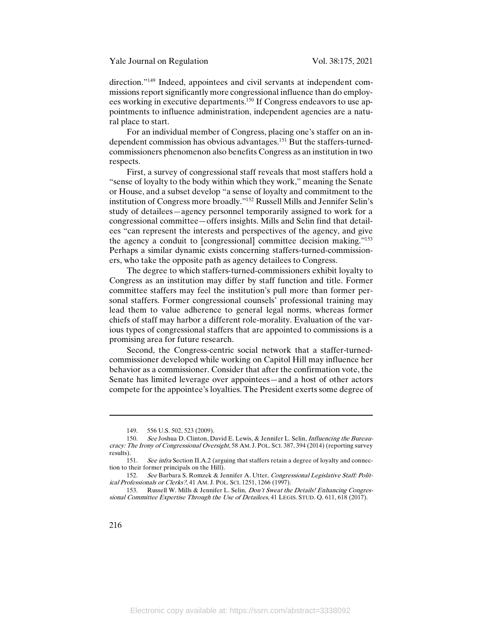direction."149 Indeed, appointees and civil servants at independent commissions report significantly more congressional influence than do employees working in executive departments.<sup>150</sup> If Congress endeavors to use appointments to influence administration, independent agencies are a natural place to start.

For an individual member of Congress, placing one's staffer on an independent commission has obvious advantages.151 But the staffers-turnedcommissioners phenomenon also benefits Congress as an institution in two respects.

First, a survey of congressional staff reveals that most staffers hold a "sense of loyalty to the body within which they work," meaning the Senate or House, and a subset develop "a sense of loyalty and commitment to the institution of Congress more broadly."152 Russell Mills and Jennifer Selin's study of detailees—agency personnel temporarily assigned to work for a congressional committee—offers insights. Mills and Selin find that detailees "can represent the interests and perspectives of the agency, and give the agency a conduit to [congressional] committee decision making."153 Perhaps a similar dynamic exists concerning staffers-turned-commissioners, who take the opposite path as agency detailees to Congress.

The degree to which staffers-turned-commissioners exhibit loyalty to Congress as an institution may differ by staff function and title. Former committee staffers may feel the institution's pull more than former personal staffers. Former congressional counsels' professional training may lead them to value adherence to general legal norms, whereas former chiefs of staff may harbor a different role-morality. Evaluation of the various types of congressional staffers that are appointed to commissions is a promising area for future research.

Second, the Congress-centric social network that a staffer-turnedcommissioner developed while working on Capitol Hill may influence her behavior as a commissioner. Consider that after the confirmation vote, the Senate has limited leverage over appointees—and a host of other actors compete for the appointee's loyalties. The President exerts some degree of

<sup>149.</sup> 556 U.S. 502, 523 (2009).

<sup>150.</sup> See Joshua D. Clinton, David E. Lewis, & Jennifer L. Selin, *Influencing the Bureau*cracy: The Irony of Congressional Oversight, 58 AM. J. POL. SCI. 387, 394 (2014) (reporting survey results).

<sup>151.</sup> See infra Section II.A.2 (arguing that staffers retain a degree of loyalty and connection to their former principals on the Hill).

<sup>152.</sup> See Barbara S. Romzek & Jennifer A. Utter, Congressional Legislative Staff: Political Professionals or Clerks?, 41 AM. J. POL. SCI. 1251, 1266 (1997).

<sup>153.</sup> Russell W. Mills & Jennifer L. Selin, *Don't Sweat the Details! Enhancing Congres*sional Committee Expertise Through the Use of Detailees, 41 LEGIS. STUD. Q. 611, 618 (2017).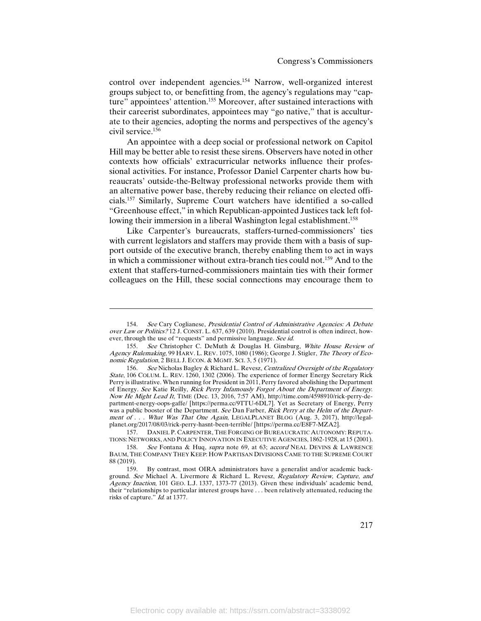control over independent agencies.154 Narrow, well-organized interest groups subject to, or benefitting from, the agency's regulations may "capture" appointees' attention.<sup>155</sup> Moreover, after sustained interactions with their careerist subordinates, appointees may "go native," that is acculturate to their agencies, adopting the norms and perspectives of the agency's civil service.156

An appointee with a deep social or professional network on Capitol Hill may be better able to resist these sirens. Observers have noted in other contexts how officials' extracurricular networks influence their professional activities. For instance, Professor Daniel Carpenter charts how bureaucrats' outside-the-Beltway professional networks provide them with an alternative power base, thereby reducing their reliance on elected officials.157 Similarly, Supreme Court watchers have identified a so-called "Greenhouse effect," in which Republican-appointed Justices tack left following their immersion in a liberal Washington legal establishment.<sup>158</sup>

Like Carpenter's bureaucrats, staffers-turned-commissioners' ties with current legislators and staffers may provide them with a basis of support outside of the executive branch, thereby enabling them to act in ways in which a commissioner without extra-branch ties could not.159 And to the extent that staffers-turned-commissioners maintain ties with their former colleagues on the Hill, these social connections may encourage them to

 $\overline{\phantom{a}}$ 

157. DANIEL P. CARPENTER, THE FORGING OF BUREAUCRATIC AUTONOMY: REPUTA-TIONS: NETWORKS, AND POLICY INNOVATION IN EXECUTIVE AGENCIES, 1862-1928, at 15 (2001).<br>158. See Fontana & Hug *supra* note 69 at 63: *accord* NEAL DEVINS & LAWRENCE

<sup>154.</sup> See Cary Coglianese, Presidential Control of Administrative Agencies: A Debate over Law or Politics? 12 J. CONST. L. 637, 639 (2010). Presidential control is often indirect, however, through the use of "requests" and permissive language. See id.

<sup>155.</sup> See Christopher C. DeMuth & Douglas H. Ginsburg, White House Review of Agency Rulemaking, 99 HARV. L. REV. 1075, 1080 (1986); George J. Stigler, The Theory of Economic Regulation, 2 BELL J. ECON. & MGMT. SCI. 3, 5 (1971).

<sup>156.</sup> See Nicholas Bagley & Richard L. Revesz, Centralized Oversight of the Regulatory State, 106 COLUM. L. REV. 1260, 1302 (2006). The experience of former Energy Secretary Rick Perry is illustrative. When running for President in 2011, Perry favored abolishing the Department of Energy. See Katie Reilly, Rick Perry Infamously Forgot About the Department of Energy. Now He Might Lead It, TIME (Dec. 13, 2016, 7:57 AM), http://time.com/4598910/rick-perry-department-energy-oops-gaffe/ [https://perma.cc/9TTU-6DL7]. Yet as Secretary of Energy, Perry was a public booster of the Department. See Dan Farber, Rick Perry at the Helm of the Department of . . . What Was That One Again, LEGALPLANET BLOG (Aug. 3, 2017), http://legalplanet.org/2017/08/03/rick-perry-hasnt-been-terrible/ [https://perma.cc/E8F7-MZA2].

See Fontana & Huq, supra note 69, at 63; accord NEAL DEVINS & LAWRENCE BAUM, THE COMPANY THEY KEEP: HOW PARTISAN DIVISIONS CAME TO THE SUPREME COURT 88 (2019).

<sup>159.</sup> By contrast, most OIRA administrators have a generalist and/or academic background. See Michael A. Livermore & Richard L. Revesz, Regulatory Review, Capture, and Agency Inaction, 101 GEO. L.J. 1337, 1373-77 (2013). Given these individuals' academic bend, their "relationships to particular interest groups have . . . been relatively attenuated, reducing the risks of capture." Id. at 1377.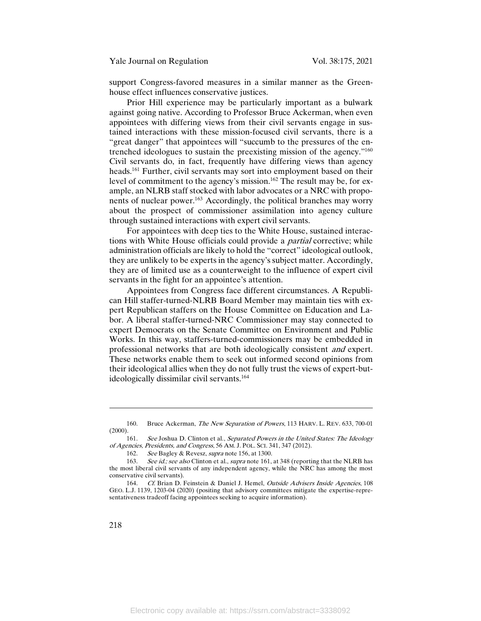support Congress-favored measures in a similar manner as the Greenhouse effect influences conservative justices.

Prior Hill experience may be particularly important as a bulwark against going native. According to Professor Bruce Ackerman, when even appointees with differing views from their civil servants engage in sustained interactions with these mission-focused civil servants, there is a "great danger" that appointees will "succumb to the pressures of the entrenched ideologues to sustain the preexisting mission of the agency."160 Civil servants do, in fact, frequently have differing views than agency heads.161 Further, civil servants may sort into employment based on their level of commitment to the agency's mission.<sup>162</sup> The result may be, for example, an NLRB staff stocked with labor advocates or a NRC with proponents of nuclear power.163 Accordingly, the political branches may worry about the prospect of commissioner assimilation into agency culture through sustained interactions with expert civil servants.

For appointees with deep ties to the White House, sustained interactions with White House officials could provide a *partial* corrective; while administration officials are likely to hold the "correct" ideological outlook, they are unlikely to be experts in the agency's subject matter. Accordingly, they are of limited use as a counterweight to the influence of expert civil servants in the fight for an appointee's attention.

Appointees from Congress face different circumstances. A Republican Hill staffer-turned-NLRB Board Member may maintain ties with expert Republican staffers on the House Committee on Education and Labor. A liberal staffer-turned-NRC Commissioner may stay connected to expert Democrats on the Senate Committee on Environment and Public Works. In this way, staffers-turned-commissioners may be embedded in professional networks that are both ideologically consistent and expert. These networks enable them to seek out informed second opinions from their ideological allies when they do not fully trust the views of expert-butideologically dissimilar civil servants.<sup>164</sup>

<sup>160.</sup> Bruce Ackerman, The New Separation of Powers, 113 HARV. L. REV. 633, 700-01  $(2000).$ 

<sup>161.</sup> See Joshua D. Clinton et al., Separated Powers in the United States: The Ideology of Agencies, Presidents, and Congress, 56 AM. J. POL. SCI. 341, 347 (2012).

<sup>162.</sup> See Bagley & Revesz, supra note 156, at 1300.

<sup>163.</sup> See id.; see also Clinton et al., supra note 161, at 348 (reporting that the NLRB has the most liberal civil servants of any independent agency, while the NRC has among the most conservative civil servants).

<sup>164.</sup> Cf. Brian D. Feinstein & Daniel J. Hemel, Outside Advisers Inside Agencies, 108 GEO. L.J. 1139, 1203-04 (2020) (positing that advisory committees mitigate the expertise-representativeness tradeoff facing appointees seeking to acquire information).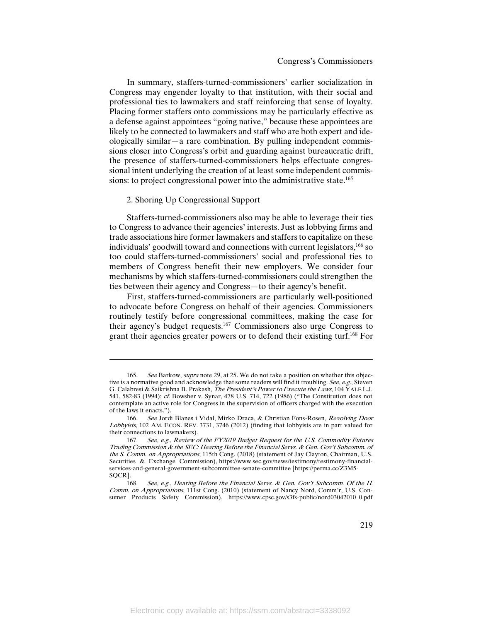In summary, staffers-turned-commissioners' earlier socialization in Congress may engender loyalty to that institution, with their social and professional ties to lawmakers and staff reinforcing that sense of loyalty. Placing former staffers onto commissions may be particularly effective as a defense against appointees "going native," because these appointees are likely to be connected to lawmakers and staff who are both expert and ideologically similar—a rare combination. By pulling independent commissions closer into Congress's orbit and guarding against bureaucratic drift, the presence of staffers-turned-commissioners helps effectuate congressional intent underlying the creation of at least some independent commissions: to project congressional power into the administrative state.<sup>165</sup>

## 2. Shoring Up Congressional Support

 $\overline{a}$ 

Staffers-turned-commissioners also may be able to leverage their ties to Congress to advance their agencies' interests. Just as lobbying firms and trade associations hire former lawmakers and staffers to capitalize on these individuals' goodwill toward and connections with current legislators,166 so too could staffers-turned-commissioners' social and professional ties to members of Congress benefit their new employers. We consider four mechanisms by which staffers-turned-commissioners could strengthen the ties between their agency and Congress—to their agency's benefit.

First, staffers-turned-commissioners are particularly well-positioned to advocate before Congress on behalf of their agencies. Commissioners routinely testify before congressional committees, making the case for their agency's budget requests.167 Commissioners also urge Congress to grant their agencies greater powers or to defend their existing turf.168 For

<sup>165.</sup> See Barkow, supra note 29, at 25. We do not take a position on whether this objective is a normative good and acknowledge that some readers will find it troubling. See, e.g., Steven G. Calabresi & Saikrishna B. Prakash, The President's Power to Execute the Laws, 104 YALE L.J. 541, 582-83 (1994); cf. Bowsher v. Synar, 478 U.S. 714, 722 (1986) ("The Constitution does not contemplate an active role for Congress in the supervision of officers charged with the execution of the laws it enacts.").

<sup>166.</sup> See Jordi Blanes i Vidal, Mirko Draca, & Christian Fons-Rosen, Revolving Door Lobbyists, 102 AM. ECON. REV. 3731, 3746 (2012) (finding that lobbyists are in part valued for their connections to lawmakers).

<sup>167.</sup> See, e.g., Review of the FY2019 Budget Request for the U.S. Commodity Futures Trading Commission & the SEC: Hearing Before the Financial Servs. & Gen. Gov't Subcomm. of the S. Comm. on Appropriations, 115th Cong. (2018) (statement of Jay Clayton, Chairman, U.S. Securities & Exchange Commission), https://www.sec.gov/news/testimony/testimony-financialservices-and-general-government-subcommittee-senate-committee [https://perma.cc/Z3M5- SQCR].

<sup>168.</sup> See, e.g., Hearing Before the Financial Servs. & Gen. Gov't Subcomm. Of the H. Comm. on Appropriations, 111st Cong. (2010) (statement of Nancy Nord, Comm'r, U.S. Consumer Products Safety Commission), https://www.cpsc.gov/s3fs-public/nord03042010\_0.pdf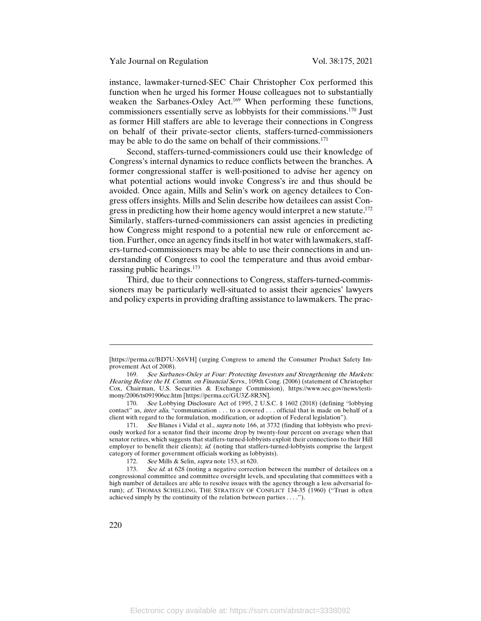instance, lawmaker-turned-SEC Chair Christopher Cox performed this function when he urged his former House colleagues not to substantially weaken the Sarbanes-Oxley Act.<sup>169</sup> When performing these functions, commissioners essentially serve as lobbyists for their commissions.170 Just as former Hill staffers are able to leverage their connections in Congress on behalf of their private-sector clients, staffers-turned-commissioners may be able to do the same on behalf of their commissions.<sup>171</sup>

Second, staffers-turned-commissioners could use their knowledge of Congress's internal dynamics to reduce conflicts between the branches. A former congressional staffer is well-positioned to advise her agency on what potential actions would invoke Congress's ire and thus should be avoided. Once again, Mills and Selin's work on agency detailees to Congress offers insights. Mills and Selin describe how detailees can assist Congress in predicting how their home agency would interpret a new statute.<sup>172</sup> Similarly, staffers-turned-commissioners can assist agencies in predicting how Congress might respond to a potential new rule or enforcement action. Further, once an agency finds itself in hot water with lawmakers, staffers-turned-commissioners may be able to use their connections in and understanding of Congress to cool the temperature and thus avoid embarrassing public hearings.173

Third, due to their connections to Congress, staffers-turned-commissioners may be particularly well-situated to assist their agencies' lawyers and policy experts in providing drafting assistance to lawmakers. The prac-

<sup>[</sup>https://perma.cc/BD7U-X6VH] (urging Congress to amend the Consumer Product Safety Improvement Act of 2008).

<sup>169.</sup> See Sarbanes-Oxley at Four: Protecting Investors and Strengthening the Markets: Hearing Before the H. Comm. on Financial Servs., 109th Cong. (2006) (statement of Christopher Cox, Chairman, U.S. Securities & Exchange Commission), https://www.sec.gov/news/testimony/2006/ts091906cc.htm [https://perma.cc/GU3Z-8R3N].

<sup>170.</sup> See Lobbying Disclosure Act of 1995, 2 U.S.C. § 1602 (2018) (defining "lobbying contact" as, inter alia, "communication . . . to a covered . . . official that is made on behalf of a client with regard to the formulation, modification, or adoption of Federal legislation").

<sup>171.</sup> See Blanes i Vidal et al., *supra* note 166, at 3732 (finding that lobbyists who previously worked for a senator find their income drop by twenty-four percent on average when that senator retires, which suggests that staffers-turned-lobbyists exploit their connections to their Hill employer to benefit their clients); id. (noting that staffers-turned-lobbyists comprise the largest category of former government officials working as lobbyists).<br>172. See Mills & Selin, *supra* note 153, at 620.

See Mills & Selin, supra note 153, at 620.

<sup>173.</sup> See id. at 628 (noting a negative correction between the number of detailees on a congressional committee and committee oversight levels, and speculating that committees with a high number of detailees are able to resolve issues with the agency through a less adversarial forum); cf. THOMAS SCHELLING, THE STRATEGY OF CONFLICT 134-35 (1960) ("Trust is often achieved simply by the continuity of the relation between parties . . . .").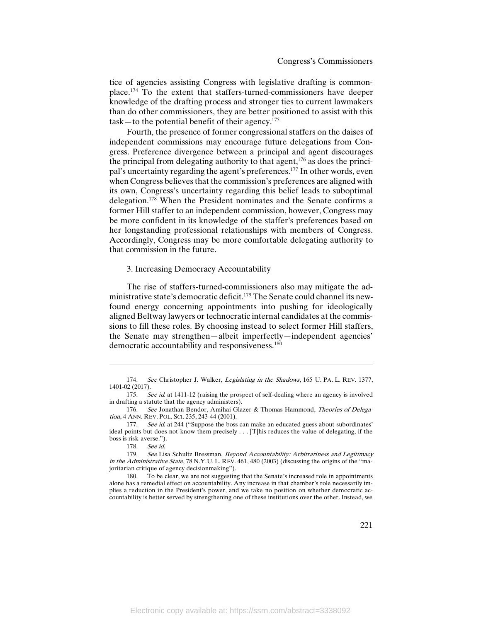tice of agencies assisting Congress with legislative drafting is commonplace.174 To the extent that staffers-turned-commissioners have deeper knowledge of the drafting process and stronger ties to current lawmakers than do other commissioners, they are better positioned to assist with this  $task$ —to the potential benefit of their agency.<sup>175</sup>

Fourth, the presence of former congressional staffers on the daises of independent commissions may encourage future delegations from Congress. Preference divergence between a principal and agent discourages the principal from delegating authority to that agent, $176$  as does the principal's uncertainty regarding the agent's preferences.177 In other words, even when Congress believes that the commission's preferences are aligned with its own, Congress's uncertainty regarding this belief leads to suboptimal delegation.<sup>178</sup> When the President nominates and the Senate confirms a former Hill staffer to an independent commission, however, Congress may be more confident in its knowledge of the staffer's preferences based on her longstanding professional relationships with members of Congress. Accordingly, Congress may be more comfortable delegating authority to that commission in the future.

#### 3. Increasing Democracy Accountability

The rise of staffers-turned-commissioners also may mitigate the administrative state's democratic deficit.<sup>179</sup> The Senate could channel its newfound energy concerning appointments into pushing for ideologically aligned Beltway lawyers or technocratic internal candidates at the commissions to fill these roles. By choosing instead to select former Hill staffers, the Senate may strengthen—albeit imperfectly—independent agencies' democratic accountability and responsiveness.<sup>180</sup>

 $\overline{a}$ 

<sup>174.</sup> See Christopher J. Walker, Legislating in the Shadows, 165 U. PA. L. REV. 1377, 1401-02 (2017).

<sup>175.</sup> See id. at 1411-12 (raising the prospect of self-dealing where an agency is involved in drafting a statute that the agency administers).

<sup>176.</sup> See Jonathan Bendor, Amihai Glazer & Thomas Hammond, Theories of Delegation, 4 ANN. REV. POL. SCI. 235, 243-44 (2001).

<sup>177.</sup> See id. at 244 ("Suppose the boss can make an educated guess about subordinates' ideal points but does not know them precisely . . . [T]his reduces the value of delegating, if the boss is risk-averse.").

<sup>178.</sup> See id.

<sup>179.</sup> See Lisa Schultz Bressman, Beyond Accountability: Arbitrariness and Legitimacy in the Administrative State, 78 N.Y.U. L. REV. 461, 480 (2003) (discussing the origins of the "majoritarian critique of agency decisionmaking").

<sup>180.</sup> To be clear, we are not suggesting that the Senate's increased role in appointments alone has a remedial effect on accountability. Any increase in that chamber's role necessarily implies a reduction in the President's power, and we take no position on whether democratic accountability is better served by strengthening one of these institutions over the other. Instead, we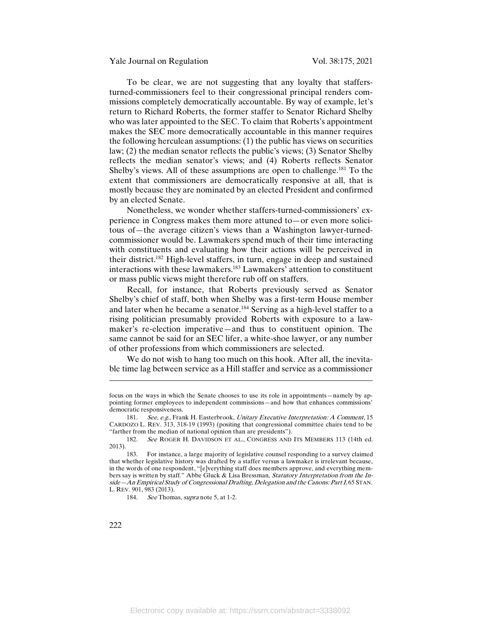To be clear, we are not suggesting that any loyalty that staffersturned-commissioners feel to their congressional principal renders commissions completely democratically accountable. By way of example, let's return to Richard Roberts, the former staffer to Senator Richard Shelby who was later appointed to the SEC. To claim that Roberts's appointment makes the SEC more democratically accountable in this manner requires the following herculean assumptions: (1) the public has views on securities law; (2) the median senator reflects the public's views; (3) Senator Shelby reflects the median senator's views; and (4) Roberts reflects Senator Shelby's views. All of these assumptions are open to challenge.<sup>181</sup> To the extent that commissioners are democratically responsive at all, that is mostly because they are nominated by an elected President and confirmed by an elected Senate.

Nonetheless, we wonder whether staffers-turned-commissioners' experience in Congress makes them more attuned to—or even more solicitous of—the average citizen's views than a Washington lawyer-turnedcommissioner would be. Lawmakers spend much of their time interacting with constituents and evaluating how their actions will be perceived in their district.182 High-level staffers, in turn, engage in deep and sustained interactions with these lawmakers.183 Lawmakers' attention to constituent or mass public views might therefore rub off on staffers.

Recall, for instance, that Roberts previously served as Senator Shelby's chief of staff, both when Shelby was a first-term House member and later when he became a senator.<sup>184</sup> Serving as a high-level staffer to a rising politician presumably provided Roberts with exposure to a lawmaker's re-election imperative—and thus to constituent opinion. The same cannot be said for an SEC lifer, a white-shoe lawyer, or any number of other professions from which commissioners are selected.

We do not wish to hang too much on this hook. After all, the inevitable time lag between service as a Hill staffer and service as a commissioner

 $\overline{\phantom{a}}$ 

focus on the ways in which the Senate chooses to use its role in appointments—namely by appointing former employees to independent commissions—and how that enhances commissions' democratic responsiveness.

<sup>181.</sup> See, e.g., Frank H. Easterbrook, Unitary Executive Interpretation: A Comment, 15 CARDOZO L. REV. 313, 318-19 (1993) (positing that congressional committee chairs tend to be "farther from the median of national opinion than are presidents").

<sup>182.</sup> See ROGER H. DAVIDSON ET AL., CONGRESS AND ITS MEMBERS 113 (14th ed. 2013).

<sup>183.</sup> For instance, a large majority of legislative counsel responding to a survey claimed that whether legislative history was drafted by a staffer versus a lawmaker is irrelevant because, in the words of one respondent, "[e]verything staff does members approve, and everything members say is written by staff." Abbe Gluck & Lisa Bressman, Statutory Interpretation from the Inside—An Empirical Study of Congressional Drafting, Delegation and the Canons: Part I, 65 STAN. L. REV. 901, 983 (2013).

<sup>184.</sup> See Thomas, *supra* note 5, at 1-2.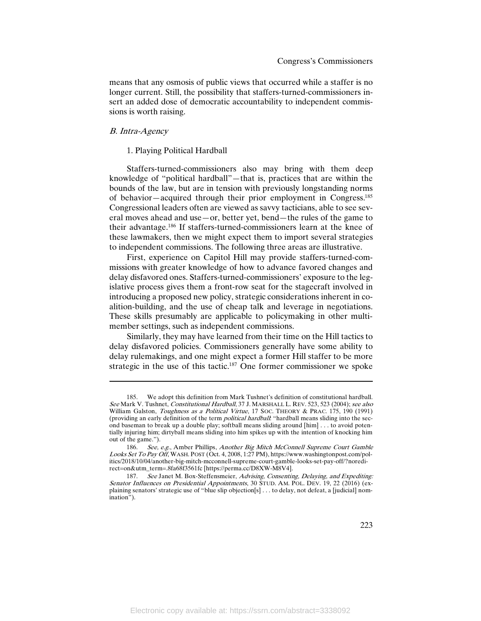means that any osmosis of public views that occurred while a staffer is no longer current. Still, the possibility that staffers-turned-commissioners insert an added dose of democratic accountability to independent commissions is worth raising.

# B. Intra-Agency

l

# 1. Playing Political Hardball

Staffers-turned-commissioners also may bring with them deep knowledge of "political hardball"—that is, practices that are within the bounds of the law, but are in tension with previously longstanding norms of behavior—acquired through their prior employment in Congress.185 Congressional leaders often are viewed as savvy tacticians, able to see several moves ahead and use—or, better yet, bend—the rules of the game to their advantage.186 If staffers-turned-commissioners learn at the knee of these lawmakers, then we might expect them to import several strategies to independent commissions. The following three areas are illustrative.

First, experience on Capitol Hill may provide staffers-turned-commissions with greater knowledge of how to advance favored changes and delay disfavored ones. Staffers-turned-commissioners' exposure to the legislative process gives them a front-row seat for the stagecraft involved in introducing a proposed new policy, strategic considerations inherent in coalition-building, and the use of cheap talk and leverage in negotiations. These skills presumably are applicable to policymaking in other multimember settings, such as independent commissions.

Similarly, they may have learned from their time on the Hill tactics to delay disfavored policies. Commissioners generally have some ability to delay rulemakings, and one might expect a former Hill staffer to be more strategic in the use of this tactic.<sup>187</sup> One former commissioner we spoke

We adopt this definition from Mark Tushnet's definition of constitutional hardball. See Mark V. Tushnet, Constitutional Hardball, 37 J. MARSHALL L. REV. 523, 523 (2004); see also William Galston, Toughness as a Political Virtue, 17 SOC. THEORY & PRAC. 175, 190 (1991) (providing an early definition of the term *political hardball*: "hardball means sliding into the second baseman to break up a double play; softball means sliding around [him] . . . to avoid potentially injuring him; dirtyball means sliding into him spikes up with the intention of knocking him out of the game.").

<sup>186.</sup> See, e.g., Amber Phillips, Another Big Mitch McConnell Supreme Court Gamble Looks Set To Pay Off, WASH. POST (Oct. 4, 2008, 1:27 PM), https://www.washingtonpost.com/politics/2018/10/04/another-big-mitch-mcconnell-supreme-court-gamble-looks-set-pay-off/?noredirect=on&utm\_term=.8fa68f3561fc [https://perma.cc/D8XW-M8V4].<br>187. See Janet M. Box-Steffensmeier, Advising, Consentin

See Janet M. Box-Steffensmeier, Advising, Consenting, Delaying, and Expediting: Senator Influences on Presidential Appointments, 30 STUD. AM. POL. DEV. 19, 22 (2016) (explaining senators' strategic use of "blue slip objection[s] . . . to delay, not defeat, a [judicial] nomination").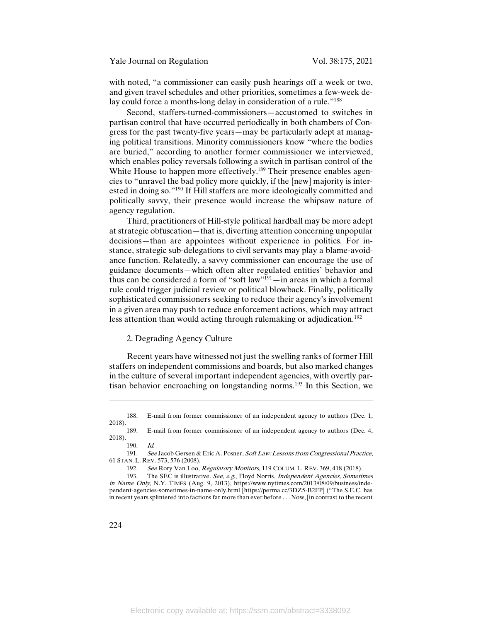with noted, "a commissioner can easily push hearings off a week or two, and given travel schedules and other priorities, sometimes a few-week delay could force a months-long delay in consideration of a rule."<sup>188</sup>

Second, staffers-turned-commissioners—accustomed to switches in partisan control that have occurred periodically in both chambers of Congress for the past twenty-five years—may be particularly adept at managing political transitions. Minority commissioners know "where the bodies are buried," according to another former commissioner we interviewed, which enables policy reversals following a switch in partisan control of the White House to happen more effectively.<sup>189</sup> Their presence enables agencies to "unravel the bad policy more quickly, if the [new] majority is interested in doing so."190 If Hill staffers are more ideologically committed and politically savvy, their presence would increase the whipsaw nature of agency regulation.

Third, practitioners of Hill-style political hardball may be more adept at strategic obfuscation—that is, diverting attention concerning unpopular decisions—than are appointees without experience in politics. For instance, strategic sub-delegations to civil servants may play a blame-avoidance function. Relatedly, a savvy commissioner can encourage the use of guidance documents—which often alter regulated entities' behavior and thus can be considered a form of "soft law"191—in areas in which a formal rule could trigger judicial review or political blowback. Finally, politically sophisticated commissioners seeking to reduce their agency's involvement in a given area may push to reduce enforcement actions, which may attract less attention than would acting through rulemaking or adjudication.<sup>192</sup>

# 2. Degrading Agency Culture

Recent years have witnessed not just the swelling ranks of former Hill staffers on independent commissions and boards, but also marked changes in the culture of several important independent agencies, with overtly partisan behavior encroaching on longstanding norms.<sup>193</sup> In this Section, we

190. Id.

<sup>188.</sup> E-mail from former commissioner of an independent agency to authors (Dec. 1, 2018).

<sup>189.</sup> E-mail from former commissioner of an independent agency to authors (Dec. 4, 2018).

<sup>191.</sup> See Jacob Gersen & Eric A. Posner, Soft Law: Lessons from Congressional Practice, 61 STAN. L. REV. 573, 576 (2008).

<sup>192.</sup> See Rory Van Loo, Regulatory Monitors, 119 COLUM. L. REV. 369, 418 (2018).

<sup>193.</sup> The SEC is illustrative. See, e.g., Floyd Norris, Independent Agencies, Sometimes in Name Only, N.Y. TIMES (Aug. 9, 2013), https://www.nytimes.com/2013/08/09/business/independent-agencies-sometimes-in-name-only.html [https://perma.cc/3DZ5-B2FP] ("The S.E.C. has in recent years splintered into factions far more than ever before . . . Now, [in contrast to the recent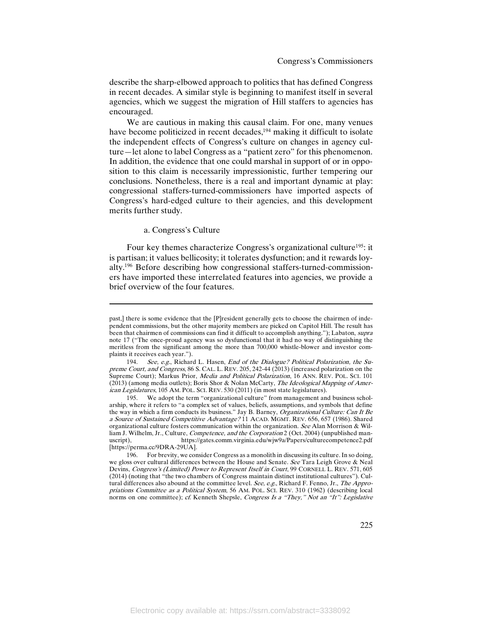describe the sharp-elbowed approach to politics that has defined Congress in recent decades. A similar style is beginning to manifest itself in several agencies, which we suggest the migration of Hill staffers to agencies has encouraged.

We are cautious in making this causal claim. For one, many venues have become politicized in recent decades,<sup>194</sup> making it difficult to isolate the independent effects of Congress's culture on changes in agency culture—let alone to label Congress as a "patient zero" for this phenomenon. In addition, the evidence that one could marshal in support of or in opposition to this claim is necessarily impressionistic, further tempering our conclusions. Nonetheless, there is a real and important dynamic at play: congressional staffers-turned-commissioners have imported aspects of Congress's hard-edged culture to their agencies, and this development merits further study.

# a. Congress's Culture

 $\overline{\phantom{a}}$ 

Four key themes characterize Congress's organizational culture<sup>195</sup>: it is partisan; it values bellicosity; it tolerates dysfunction; and it rewards loyalty.196 Before describing how congressional staffers-turned-commissioners have imported these interrelated features into agencies, we provide a brief overview of the four features.

past,] there is some evidence that the [P]resident generally gets to choose the chairmen of independent commissions, but the other majority members are picked on Capitol Hill. The result has been that chairmen of commissions can find it difficult to accomplish anything."); Labaton, supra note 17 ("The once-proud agency was so dysfunctional that it had no way of distinguishing the meritless from the significant among the more than 700,000 whistle-blower and investor complaints it receives each year.").

<sup>194.</sup> See, e.g., Richard L. Hasen, End of the Dialogue? Political Polarization, the Supreme Court, and Congress, 86 S. CAL. L. REV. 205, 242-44 (2013) (increased polarization on the Supreme Court); Markus Prior, *Media and Political Polarization*, 16 ANN. REV. POL. SCI. 101 (2013) (among media outlets); Boris Shor & Nolan McCarty, The Ideological Mapping of American Legislatures, 105 AM. POL. SCI. REV. 530 (2011) (in most state legislatures).

<sup>195.</sup> We adopt the term "organizational culture" from management and business scholarship, where it refers to "a complex set of values, beliefs, assumptions, and symbols that define the way in which a firm conducts its business." Jay B. Barney, Organizational Culture: Can It Be a Source of Sustained Competitive Advantage? 11 ACAD. MGMT. REV. 656, 657 (1986). Shared organizational culture fosters communication within the organization. See Alan Morrison & William J. Wilhelm, Jr., Culture, *Competence, and the Corporation* 2 (Oct. 2004) (unpublished man-<br>uscript), https://gates.comm.virginia.edu/wjw9a/Papers/culturecompetence2.pdf https://gates.comm.virginia.edu/wjw9a/Papers/culturecompetence2.pdf [https://perma.cc/9DRA-29UA].

<sup>196.</sup> For brevity, we consider Congress as a monolith in discussing its culture. In so doing, we gloss over cultural differences between the House and Senate. See Tara Leigh Grove & Neal Devins, Congress's (Limited) Power to Represent Itself in Court, 99 CORNELL L. REV. 571, 605 (2014) (noting that "the two chambers of Congress maintain distinct institutional cultures"). Cultural differences also abound at the committee level. See, e.g., Richard F. Fenno, Jr., The Appropriations Committee as a Political System, 56 AM. POL. SCI. REV. 310 (1962) (describing local norms on one committee); cf. Kenneth Shepsle, Congress Is a "They," Not an "It": Legislative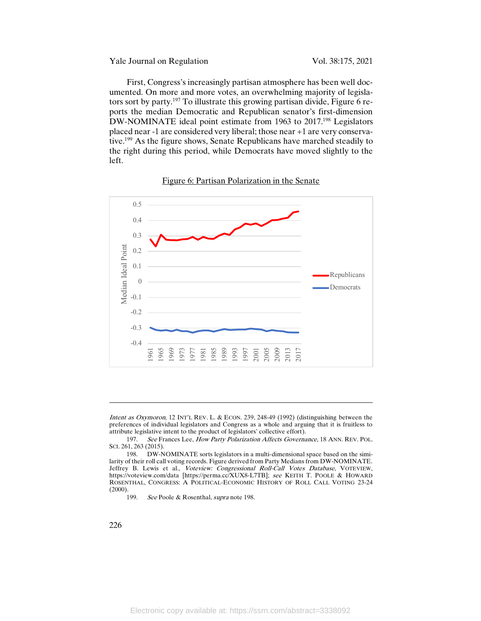Yale Journal on Regulation Vol. 38:175, 2021

First, Congress's increasingly partisan atmosphere has been well documented. On more and more votes, an overwhelming majority of legislators sort by party.<sup>197</sup> To illustrate this growing partisan divide, Figure 6 reports the median Democratic and Republican senator's first-dimension DW-NOMINATE ideal point estimate from 1963 to 2017.<sup>198</sup> Legislators placed near -1 are considered very liberal; those near +1 are very conservative.199 As the figure shows, Senate Republicans have marched steadily to the right during this period, while Democrats have moved slightly to the left.

# Figure 6: Partisan Polarization in the Senate



Intent as Oxymoron, 12 INT'L REV. L. & ECON. 239, 248-49 (1992) (distinguishing between the preferences of individual legislators and Congress as a whole and arguing that it is fruitless to attribute legislative intent to the product of legislators' collective effort).

199. See Poole & Rosenthal, *supra* note 198.

 $\overline{\phantom{a}}$ 

<sup>197.</sup> See Frances Lee, How Party Polarization Affects Governance, 18 ANN. REV. POL. SCI. 261, 263 (2015).

<sup>198.</sup> DW-NOMINATE sorts legislators in a multi-dimensional space based on the similarity of their roll call voting records. Figure derived from Party Medians from DW-NOMINATE. Jeffrey B. Lewis et al., *Voteview: Congressional Roll-Call Votes Database*, VOTEVIEW, https://voteview.com/data [https://perma.cc/XUX8-L7TB]; see KEITH T. POOLE & HOWARD ROSENTHAL, CONGRESS: A POLITICAL-ECONOMIC HISTORY OF ROLL CALL VOTING 23-24 (2000).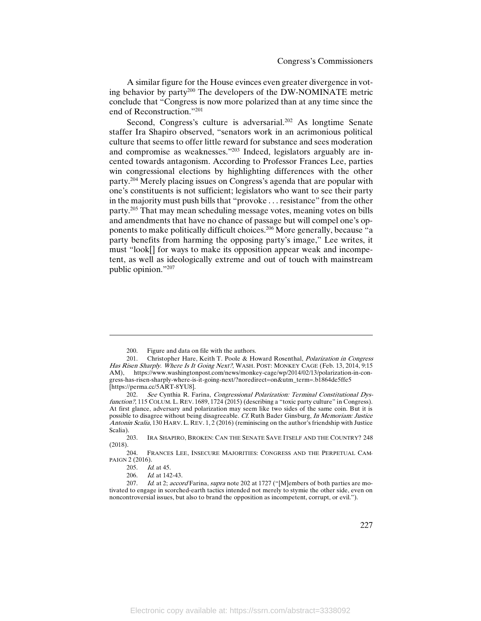A similar figure for the House evinces even greater divergence in voting behavior by party200 The developers of the DW-NOMINATE metric conclude that "Congress is now more polarized than at any time since the end of Reconstruction."201

Second, Congress's culture is adversarial.<sup>202</sup> As longtime Senate staffer Ira Shapiro observed, "senators work in an acrimonious political culture that seems to offer little reward for substance and sees moderation and compromise as weaknesses."203 Indeed, legislators arguably are incented towards antagonism. According to Professor Frances Lee, parties win congressional elections by highlighting differences with the other party.204 Merely placing issues on Congress's agenda that are popular with one's constituents is not sufficient; legislators who want to see their party in the majority must push bills that "provoke . . . resistance" from the other party.205 That may mean scheduling message votes, meaning votes on bills and amendments that have no chance of passage but will compel one's opponents to make politically difficult choices.<sup>206</sup> More generally, because "a party benefits from harming the opposing party's image," Lee writes, it must "look[] for ways to make its opposition appear weak and incompetent, as well as ideologically extreme and out of touch with mainstream public opinion."207

<sup>200.</sup> Figure and data on file with the authors.

<sup>201.</sup> Christopher Hare, Keith T. Poole & Howard Rosenthal, Polarization in Congress Has Risen Sharply. Where Is It Going Next?, WASH. POST: MONKEY CAGE (Feb. 13, 2014, 9:15 AM), https://www.washingtonpost.com/news/monkey-cage/wp/2014/02/13/polarization-in-congress-has-risen-sharply-where-is-it-going-next/?noredirect=on&utm\_term=.b1864de5ffe5 [https://perma.cc/5ART-8YU8].

<sup>202.</sup> See Cynthia R. Farina, Congressional Polarization: Terminal Constitutional Dysfunction?, 115 COLUM. L. REV. 1689, 1724 (2015) (describing a "toxic party culture" in Congress). At first glance, adversary and polarization may seem like two sides of the same coin. But it is possible to disagree without being disagreeable. Cf. Ruth Bader Ginsburg, In Memoriam: Justice Antonin Scalia, 130 HARV. L. REV. 1, 2 (2016) (reminiscing on the author's friendship with Justice Scalia).<br> $203$ .

IRA SHAPIRO, BROKEN: CAN THE SENATE SAVE ITSELF AND THE COUNTRY? 248 (2018).

<sup>204.</sup> FRANCES LEE, INSECURE MAJORITIES: CONGRESS AND THE PERPETUAL CAM-PAIGN 2 (2016).

<sup>205.</sup> *Id.* at 45.

<sup>206.</sup> Id. at 142-43.

<sup>207.</sup> Id. at 2; accord Farina, supra note 202 at 1727 ("[M]embers of both parties are motivated to engage in scorched-earth tactics intended not merely to stymie the other side, even on noncontroversial issues, but also to brand the opposition as incompetent, corrupt, or evil.").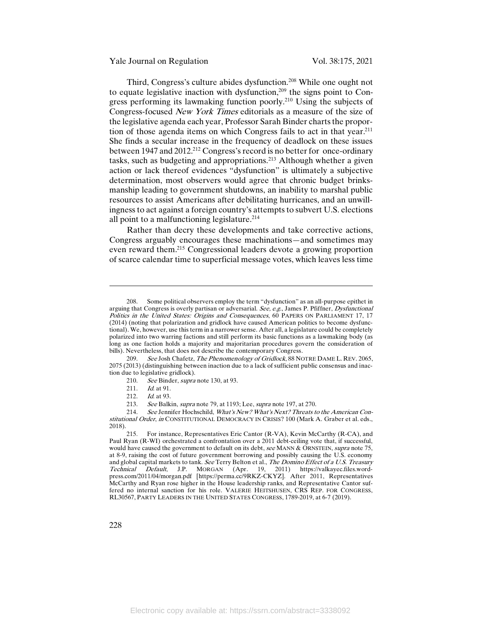Yale Journal on Regulation Vol. 38:175, 2021

Third, Congress's culture abides dysfunction.208 While one ought not to equate legislative inaction with dysfunction, $209$  the signs point to Congress performing its lawmaking function poorly.210 Using the subjects of Congress-focused New York Times editorials as a measure of the size of the legislative agenda each year, Professor Sarah Binder charts the proportion of those agenda items on which Congress fails to act in that year.211 She finds a secular increase in the frequency of deadlock on these issues between 1947 and 2012.<sup>212</sup> Congress's record is no better for once-ordinary tasks, such as budgeting and appropriations.213 Although whether a given action or lack thereof evidences "dysfunction" is ultimately a subjective determination, most observers would agree that chronic budget brinksmanship leading to government shutdowns, an inability to marshal public resources to assist Americans after debilitating hurricanes, and an unwillingness to act against a foreign country's attempts to subvert U.S. elections all point to a malfunctioning legislature.<sup>214</sup>

Rather than decry these developments and take corrective actions, Congress arguably encourages these machinations—and sometimes may even reward them.215 Congressional leaders devote a growing proportion of scarce calendar time to superficial message votes, which leaves less time

- 210. See Binder, *supra* note 130, at 93.
- 211. *Id.* at 91.

<sup>208.</sup> Some political observers employ the term "dysfunction" as an all-purpose epithet in arguing that Congress is overly partisan or adversarial. See, e.g., James P. Pfiffner, Dysfunctional Politics in the United States: Origins and Consequences, 60 PAPERS ON PARLIAMENT 17, 17 (2014) (noting that polarization and gridlock have caused American politics to become dysfunctional). We, however, use this term in a narrower sense. After all, a legislature could be completely polarized into two warring factions and still perform its basic functions as a lawmaking body (as long as one faction holds a majority and majoritarian procedures govern the consideration of bills). Nevertheless, that does not describe the contemporary Congress.

<sup>209.</sup> See Josh Chafetz, The Phenomenology of Gridlock, 88 NOTRE DAME L. REV. 2065, 2075 (2013) (distinguishing between inaction due to a lack of sufficient public consensus and inaction due to legislative gridlock).

<sup>212.</sup> *Id.* at 93.

<sup>213.</sup> See Balkin, supra note 79, at 1193; Lee, supra note 197, at 270.

<sup>214.</sup> See Jennifer Hochschild, What's New? What's Next? Threats to the American Constitutional Order, in CONSTITUTIONAL DEMOCRACY IN CRISIS? 100 (Mark A. Graber et al. eds., 2018).

<sup>215.</sup> For instance, Representatives Eric Cantor (R-VA), Kevin McCarthy (R-CA), and Paul Ryan (R-WI) orchestrated a confrontation over a 2011 debt-ceiling vote that, if successful, would have caused the government to default on its debt, see MANN & ORNSTEIN, supra note 75, at 8-9, raising the cost of future government borrowing and possibly causing the U.S. economy and global capital markets to tank. See Terry Belton et al., The Domino Effect of a U.S. Treasury Technical Default, J.P. MORGAN (Apr. 19, 2011) https://valkayec.files.wordpress.com/2011/04/morgan.pdf [https://perma.cc/9RKZ-CKYZ]. After 2011, Representatives McCarthy and Ryan rose higher in the House leadership ranks, and Representative Cantor suffered no internal sanction for his role. VALERIE HEITSHUSEN, CRS REP. FOR CONGRESS, RL30567, PARTY LEADERS IN THE UNITED STATES CONGRESS, 1789-2019, at 6-7 (2019).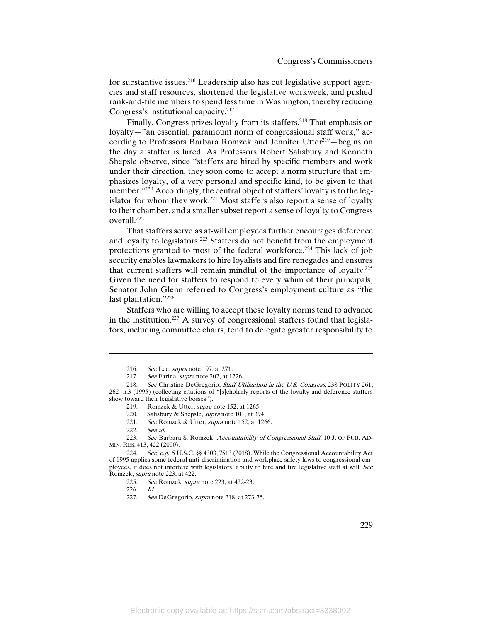for substantive issues.216 Leadership also has cut legislative support agencies and staff resources, shortened the legislative workweek, and pushed rank-and-file members to spend less time in Washington, thereby reducing Congress's institutional capacity.217

Finally, Congress prizes loyalty from its staffers.<sup>218</sup> That emphasis on loyalty—"an essential, paramount norm of congressional staff work," according to Professors Barbara Romzek and Jennifer Utter<sup>219</sup>-begins on the day a staffer is hired. As Professors Robert Salisbury and Kenneth Shepsle observe, since "staffers are hired by specific members and work under their direction, they soon come to accept a norm structure that emphasizes loyalty, of a very personal and specific kind, to be given to that member."<sup>220</sup> Accordingly, the central object of staffers' loyalty is to the legislator for whom they work.<sup>221</sup> Most staffers also report a sense of loyalty to their chamber, and a smaller subset report a sense of loyalty to Congress overall.222

That staffers serve as at-will employees further encourages deference and loyalty to legislators.223 Staffers do not benefit from the employment protections granted to most of the federal workforce.<sup>224</sup> This lack of job security enables lawmakers to hire loyalists and fire renegades and ensures that current staffers will remain mindful of the importance of loyalty.225 Given the need for staffers to respond to every whim of their principals, Senator John Glenn referred to Congress's employment culture as "the last plantation."<sup>226</sup>

Staffers who are willing to accept these loyalty norms tend to advance in the institution.<sup>227</sup> A survey of congressional staffers found that legislators, including committee chairs, tend to delegate greater responsibility to

220. Salisbury & Shepsle, *supra* note 101, at 394.<br>221. See Romzek & Utter, *supra* note 152, at 126 See Romzek & Utter, *supra* note 152, at 1266.

l

223. See Barbara S. Romzek, Accountability of Congressional Staff, 10 J. OF PUB. AD-MIN. RES. 413, 422 (2000).

226. Id.

<sup>216.</sup> See Lee, supra note 197, at 271.<br>217. See Farina, supra note 202, at 17

See Farina, *supra* note 202, at 1726.

<sup>218.</sup> See Christine DeGregorio, Staff Utilization in the U.S. Congress, 238 POLITY 261, 262 n.3 (1995) (collecting citations of "[s]cholarly reports of the loyalty and deference staffers show toward their legislative bosses").

<sup>219.</sup> Romzek & Utter, *supra* note 152, at 1265.

<sup>222.</sup> See id.

<sup>224.</sup> See, e.g., 5 U.S.C. §§ 4303, 7513 (2018). While the Congressional Accountability Act of 1995 applies some federal anti-discrimination and workplace safety laws to congressional employees, it does not interfere with legislators' ability to hire and fire legislative staff at will. See Romzek, supra note 223, at 422.

<sup>225.</sup> See Romzek, supra note 223, at 422-23.

<sup>227.</sup> See DeGregorio, supra note 218, at 273-75.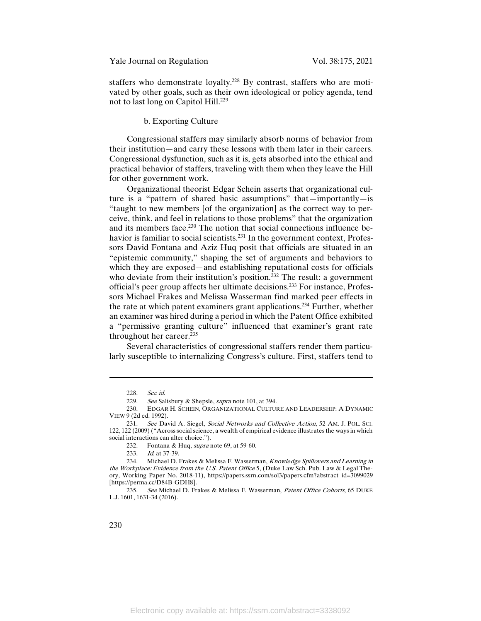staffers who demonstrate loyalty.<sup>228</sup> By contrast, staffers who are motivated by other goals, such as their own ideological or policy agenda, tend not to last long on Capitol Hill.<sup>229</sup>

# b. Exporting Culture

Congressional staffers may similarly absorb norms of behavior from their institution—and carry these lessons with them later in their careers. Congressional dysfunction, such as it is, gets absorbed into the ethical and practical behavior of staffers, traveling with them when they leave the Hill for other government work.

Organizational theorist Edgar Schein asserts that organizational culture is a "pattern of shared basic assumptions" that—importantly—is "taught to new members [of the organization] as the correct way to perceive, think, and feel in relations to those problems" that the organization and its members face.230 The notion that social connections influence behavior is familiar to social scientists.<sup>231</sup> In the government context, Professors David Fontana and Aziz Huq posit that officials are situated in an "epistemic community," shaping the set of arguments and behaviors to which they are exposed—and establishing reputational costs for officials who deviate from their institution's position.<sup>232</sup> The result: a government official's peer group affects her ultimate decisions.233 For instance, Professors Michael Frakes and Melissa Wasserman find marked peer effects in the rate at which patent examiners grant applications.234 Further, whether an examiner was hired during a period in which the Patent Office exhibited a "permissive granting culture" influenced that examiner's grant rate throughout her career.235

Several characteristics of congressional staffers render them particularly susceptible to internalizing Congress's culture. First, staffers tend to

<sup>228.</sup> See id.

<sup>229.</sup> See Salisbury & Shepsle, supra note 101, at 394.

<sup>230.</sup> EDGAR H. SCHEIN, ORGANIZATIONAL CULTURE AND LEADERSHIP: A DYNAMIC VIEW 9 (2d ed. 1992).

<sup>231.</sup> See David A. Siegel, Social Networks and Collective Action, 52 AM. J. POL. SCI. 122, 122 (2009) ("Across social science, a wealth of empirical evidence illustrates the ways in which social interactions can alter choice.").

<sup>232.</sup> Fontana & Huq, supra note 69, at 59-60.

<sup>233.</sup> *Id.* at 37-39.

<sup>234.</sup> Michael D. Frakes & Melissa F. Wasserman, Knowledge Spillovers and Learning in the Workplace: Evidence from the U.S. Patent Office 5, (Duke Law Sch. Pub. Law & Legal Theory, Working Paper No. 2018-11), https://papers.ssrn.com/sol3/papers.cfm?abstract\_id=3099029 [https://perma.cc/D84B-GDH8].

<sup>235.</sup> See Michael D. Frakes & Melissa F. Wasserman, Patent Office Cohorts, 65 DUKE L.J. 1601, 1631-34 (2016).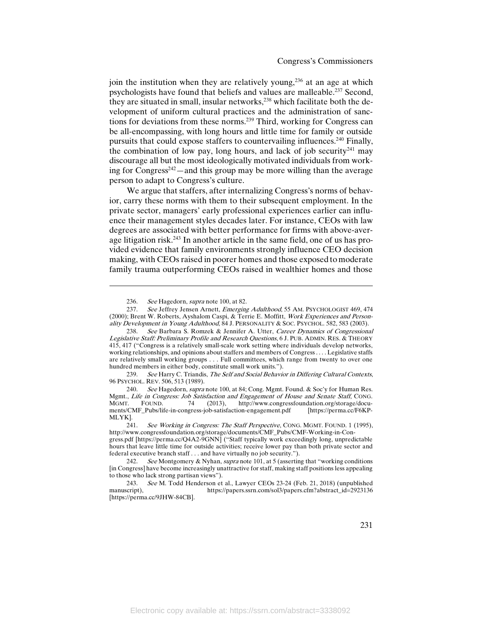join the institution when they are relatively young,<sup>236</sup> at an age at which psychologists have found that beliefs and values are malleable.237 Second, they are situated in small, insular networks,<sup>238</sup> which facilitate both the development of uniform cultural practices and the administration of sanctions for deviations from these norms.239 Third, working for Congress can be all-encompassing, with long hours and little time for family or outside pursuits that could expose staffers to countervailing influences.<sup>240</sup> Finally, the combination of low pay, long hours, and lack of job security<sup>241</sup> may discourage all but the most ideologically motivated individuals from working for Congress $242$  — and this group may be more willing than the average person to adapt to Congress's culture.

We argue that staffers, after internalizing Congress's norms of behavior, carry these norms with them to their subsequent employment. In the private sector, managers' early professional experiences earlier can influence their management styles decades later. For instance, CEOs with law degrees are associated with better performance for firms with above-average litigation risk.243 In another article in the same field, one of us has provided evidence that family environments strongly influence CEO decision making, with CEOs raised in poorer homes and those exposed to moderate family trauma outperforming CEOs raised in wealthier homes and those

l

239. See Harry C. Triandis, The Self and Social Behavior in Differing Cultural Contexts, 96 PSYCHOL. REV. 506, 513 (1989).

<sup>236.</sup> See Hagedorn, *supra* note 100, at 82.<br>237 See Jeffrey Jensen Arnett *Emergin* 

See Jeffrey Jensen Arnett, Emerging Adulthood, 55 AM. PSYCHOLOGIST 469, 474 (2000); Brent W. Roberts, Ayshalom Caspi, & Terrie E. Moffitt, Work Experiences and Personality Development in Young Adulthood, 84 J. PERSONALITY & SOC. PSYCHOL. 582, 583 (2003).

<sup>238.</sup> See Barbara S. Romzek & Jennifer A. Utter, Career Dynamics of Congressional Legislative Staff: Preliminary Profile and Research Questions, 6 J. PUB. ADMIN. RES. & THEORY 415, 417 ("Congress is a relatively small-scale work setting where individuals develop networks, working relationships, and opinions about staffers and members of Congress . . . . Legislative staffs are relatively small working groups . . . Full committees, which range from twenty to over one hundred members in either body, constitute small work units.").

<sup>240.</sup> See Hagedorn, *supra* note 100, at 84; Cong. Mgmt. Found. & Soc'y for Human Res. Mgmt., *Life in Congress: Job Satisfaction and Engagement of House and Senate Staff*, CONG.<br>MGMT. FOUND. 74 (2013), http://www.congressfoundation.org/storage/docu-MGMT. FOUND. 74 (2013), http://www.congressfoundation.org/storage/documents/CMF\_Pubs/life-in-congress-job-satisfaction-engagement.pdf [https://perma.cc/F6KP-MLYK].

<sup>241.</sup> See Working in Congress: The Staff Perspective, CONG. MGMT. FOUND. 1 (1995), http://www.congressfoundation.org/storage/documents/CMF\_Pubs/CMF-Working-in-Con-

gress.pdf [https://perma.cc/Q4A2-9GNN] ("Staff typically work exceedingly long, unpredictable hours that leave little time for outside activities; receive lower pay than both private sector and federal executive branch staff . . . and have virtually no job security.").

<sup>242.</sup> See Montgomery & Nyhan, supra note 101, at 5 (asserting that "working conditions") [in Congress] have become increasingly unattractive for staff, making staff positions less appealing to those who lack strong partisan views").

<sup>243.</sup> See M. Todd Henderson et al., Lawyer CEOs 23-24 (Feb. 21, 2018) (unpublished manuscript), https://papers.ssrn.com/sol3/papers.cfm?abstract\_id=2923136 https://papers.ssrn.com/sol3/papers.cfm?abstract\_id=2923136 [https://perma.cc/9JHW-84CB].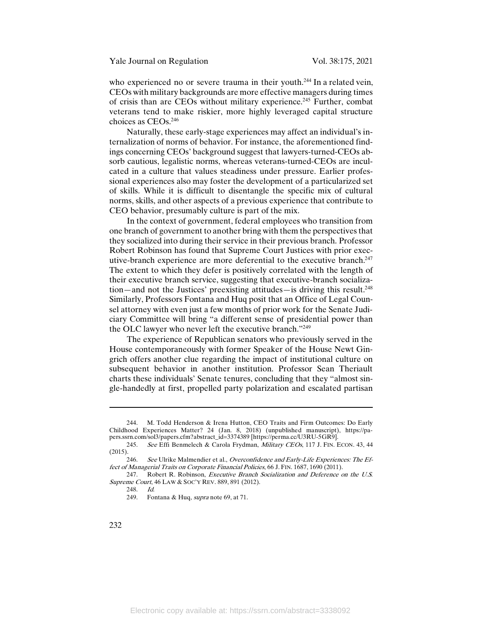who experienced no or severe trauma in their youth.<sup>244</sup> In a related vein, CEOs with military backgrounds are more effective managers during times of crisis than are CEOs without military experience.<sup>245</sup> Further, combat veterans tend to make riskier, more highly leveraged capital structure choices as CEOs.246

Naturally, these early-stage experiences may affect an individual's internalization of norms of behavior. For instance, the aforementioned findings concerning CEOs' background suggest that lawyers-turned-CEOs absorb cautious, legalistic norms, whereas veterans-turned-CEOs are inculcated in a culture that values steadiness under pressure. Earlier professional experiences also may foster the development of a particularized set of skills. While it is difficult to disentangle the specific mix of cultural norms, skills, and other aspects of a previous experience that contribute to CEO behavior, presumably culture is part of the mix.

In the context of government, federal employees who transition from one branch of government to another bring with them the perspectives that they socialized into during their service in their previous branch. Professor Robert Robinson has found that Supreme Court Justices with prior executive-branch experience are more deferential to the executive branch.<sup>247</sup> The extent to which they defer is positively correlated with the length of their executive branch service, suggesting that executive-branch socializa- $\tau$  tion—and not the Justices' preexisting attitudes—is driving this result.<sup>248</sup> Similarly, Professors Fontana and Huq posit that an Office of Legal Counsel attorney with even just a few months of prior work for the Senate Judiciary Committee will bring "a different sense of presidential power than the OLC lawyer who never left the executive branch."249

The experience of Republican senators who previously served in the House contemporaneously with former Speaker of the House Newt Gingrich offers another clue regarding the impact of institutional culture on subsequent behavior in another institution. Professor Sean Theriault charts these individuals' Senate tenures, concluding that they "almost single-handedly at first, propelled party polarization and escalated partisan

248. Id.

 $\overline{\phantom{a}}$ 

<sup>244.</sup> M. Todd Henderson & Irena Hutton, CEO Traits and Firm Outcomes: Do Early Childhood Experiences Matter? 24 (Jan. 8, 2018) (unpublished manuscript), https://papers.ssrn.com/sol3/papers.cfm?abstract\_id=3374389 [https://perma.cc/U3RU-5GR9].

<sup>245.</sup> See Effi Benmelech & Carola Frydman, Military CEOs, 117 J. FIN. ECON. 43, 44 (2015).

<sup>246.</sup> See Ulrike Malmendier et al., Overconfidence and Early-Life Experiences: The Effect of Managerial Traits on Corporate Financial Policies, 66 J. FIN. 1687, 1690 (2011).

<sup>247.</sup> Robert R. Robinson, *Executive Branch Socialization and Deference on the U.S.* Supreme Court, 46 LAW & SOC'Y REV. 889, 891 (2012).

<sup>249.</sup> Fontana & Huq, supra note 69, at 71.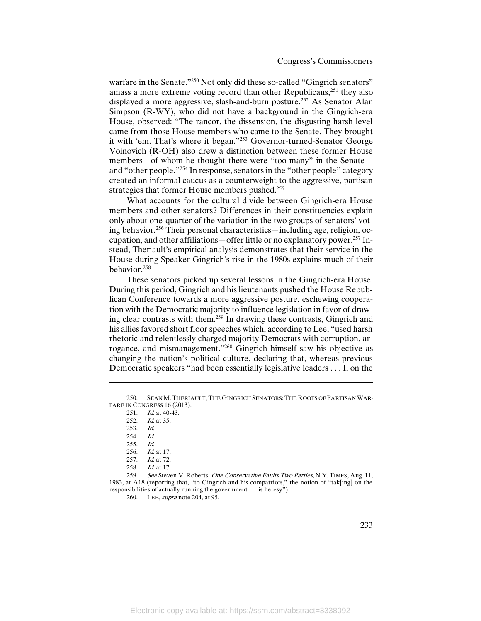warfare in the Senate."<sup>250</sup> Not only did these so-called "Gingrich senators" amass a more extreme voting record than other Republicans, $^{251}$  they also displayed a more aggressive, slash-and-burn posture.<sup>252</sup> As Senator Alan Simpson (R-WY), who did not have a background in the Gingrich-era House, observed: "The rancor, the dissension, the disgusting harsh level came from those House members who came to the Senate. They brought it with 'em. That's where it began."<sup>253</sup> Governor-turned-Senator George Voinovich (R-OH) also drew a distinction between these former House members—of whom he thought there were "too many" in the Senate and "other people."254 In response, senators in the "other people" category created an informal caucus as a counterweight to the aggressive, partisan strategies that former House members pushed.<sup>255</sup>

What accounts for the cultural divide between Gingrich-era House members and other senators? Differences in their constituencies explain only about one-quarter of the variation in the two groups of senators' voting behavior.256 Their personal characteristics—including age, religion, occupation, and other affiliations—offer little or no explanatory power.<sup>257</sup> Instead, Theriault's empirical analysis demonstrates that their service in the House during Speaker Gingrich's rise in the 1980s explains much of their behavior.258

These senators picked up several lessons in the Gingrich-era House. During this period, Gingrich and his lieutenants pushed the House Republican Conference towards a more aggressive posture, eschewing cooperation with the Democratic majority to influence legislation in favor of drawing clear contrasts with them.259 In drawing these contrasts, Gingrich and his allies favored short floor speeches which, according to Lee, "used harsh rhetoric and relentlessly charged majority Democrats with corruption, arrogance, and mismanagement."260 Gingrich himself saw his objective as changing the nation's political culture, declaring that, whereas previous Democratic speakers "had been essentially legislative leaders . . . I, on the

253. Id.

l

- 254. Id.
- 
- 255. *Id.*<br>256. *Id. Id.* at 17.
- 257. *Id.* at 72.
- 258. *Id.* at 17.

259. See Steven V. Roberts, One Conservative Faults Two Parties, N.Y. TIMES, Aug. 11, 1983, at A18 (reporting that, "to Gingrich and his compatriots," the notion of "tak[ing] on the responsibilities of actually running the government . . . is heresy").

260. LEE, *supra* note 204, at 95.

<sup>250.</sup> SEAN M. THERIAULT, THE GINGRICH SENATORS: THE ROOTS OF PARTISAN WAR-FARE IN CONGRESS 16 (2013).

<sup>251.</sup> *Id.* at 40-43.

<sup>252.</sup> Id. at 35.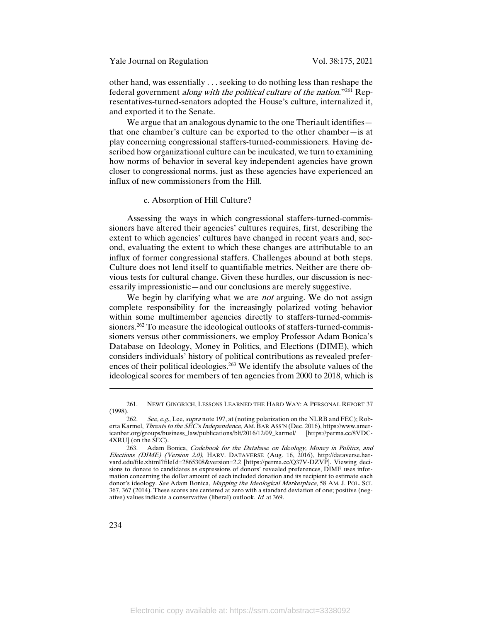other hand, was essentially . . . seeking to do nothing less than reshape the federal government *along with the political culture of the nation*."<sup>261</sup> Representatives-turned-senators adopted the House's culture, internalized it, and exported it to the Senate.

We argue that an analogous dynamic to the one Theriault identifies that one chamber's culture can be exported to the other chamber—is at play concerning congressional staffers-turned-commissioners. Having described how organizational culture can be inculcated, we turn to examining how norms of behavior in several key independent agencies have grown closer to congressional norms, just as these agencies have experienced an influx of new commissioners from the Hill.

### c. Absorption of Hill Culture?

Assessing the ways in which congressional staffers-turned-commissioners have altered their agencies' cultures requires, first, describing the extent to which agencies' cultures have changed in recent years and, second, evaluating the extent to which these changes are attributable to an influx of former congressional staffers. Challenges abound at both steps. Culture does not lend itself to quantifiable metrics. Neither are there obvious tests for cultural change. Given these hurdles, our discussion is necessarily impressionistic—and our conclusions are merely suggestive.

We begin by clarifying what we are *not* arguing. We do not assign complete responsibility for the increasingly polarized voting behavior within some multimember agencies directly to staffers-turned-commissioners.<sup>262</sup> To measure the ideological outlooks of staffers-turned-commissioners versus other commissioners, we employ Professor Adam Bonica's Database on Ideology, Money in Politics, and Elections (DIME), which considers individuals' history of political contributions as revealed preferences of their political ideologies.<sup>263</sup> We identify the absolute values of the ideological scores for members of ten agencies from 2000 to 2018, which is

 $\overline{\phantom{a}}$ 

<sup>261.</sup> NEWT GINGRICH, LESSONS LEARNED THE HARD WAY: A PERSONAL REPORT 37 (1998).

<sup>262.</sup> See, e.g., Lee, supra note 197, at (noting polarization on the NLRB and FEC); Roberta Karmel, Threats to the SEC's Independence, AM. BAR ASS'N (Dec. 2016), https://www.americanbar.org/groups/business\_law/publications/blt/2016/12/09\_karmel/ [https://perma.cc/8VDC-4XRU] (on the SEC).

<sup>263.</sup> Adam Bonica, Codebook for the Database on Ideology, Money in Politics, and Elections (DIME) (Version 2.0), HARV. DATAVERSE (Aug. 16, 2016), http://dataverse.harvard.edu/file.xhtml?fileId=2865308&version=2.2 [https://perma.cc/Q37V-DZVP]. Viewing decisions to donate to candidates as expressions of donors' revealed preferences, DIME uses information concerning the dollar amount of each included donation and its recipient to estimate each donor's ideology. See Adam Bonica, Mapping the Ideological Marketplace, 58 AM. J. POL. SCI. 367, 367 (2014). These scores are centered at zero with a standard deviation of one; positive (negative) values indicate a conservative (liberal) outlook. Id. at 369.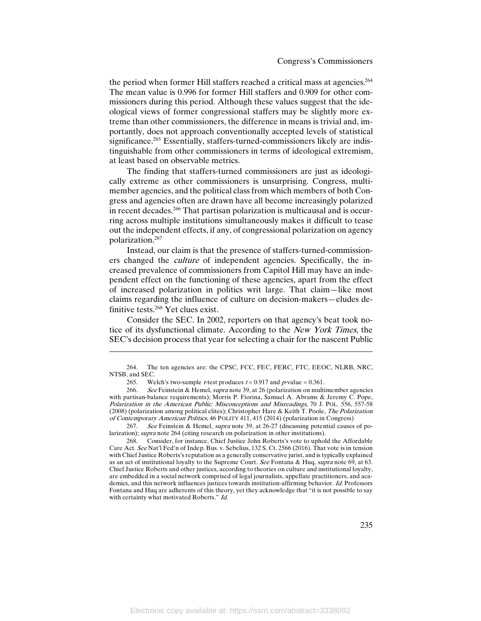the period when former Hill staffers reached a critical mass at agencies.<sup>264</sup> The mean value is 0.996 for former Hill staffers and 0.909 for other commissioners during this period. Although these values suggest that the ideological views of former congressional staffers may be slightly more extreme than other commissioners, the difference in means is trivial and, importantly, does not approach conventionally accepted levels of statistical significance.<sup>265</sup> Essentially, staffers-turned-commissioners likely are indistinguishable from other commissioners in terms of ideological extremism, at least based on observable metrics.

The finding that staffers-turned commissioners are just as ideologically extreme as other commissioners is unsurprising. Congress, multimember agencies, and the political class from which members of both Congress and agencies often are drawn have all become increasingly polarized in recent decades.266 That partisan polarization is multicausal and is occurring across multiple institutions simultaneously makes it difficult to tease out the independent effects, if any, of congressional polarization on agency polarization.267

Instead, our claim is that the presence of staffers-turned-commissioners changed the culture of independent agencies. Specifically, the increased prevalence of commissioners from Capitol Hill may have an independent effect on the functioning of these agencies, apart from the effect of increased polarization in politics writ large. That claim—like most claims regarding the influence of culture on decision-makers—eludes definitive tests.268 Yet clues exist.

Consider the SEC. In 2002, reporters on that agency's beat took notice of its dysfunctional climate. According to the New York Times, the SEC's decision process that year for selecting a chair for the nascent Public

l

267. See Feinstein & Hemel, *supra* note 39, at 26-27 (discussing potential causes of polarization); supra note 264 (citing research on polarization in other institutions).

<sup>264.</sup> The ten agencies are: the CPSC, FCC, FEC, FERC, FTC, EEOC, NLRB, NRC, NTSB, and SEC.

<sup>265.</sup> Welch's two-sample *t*-test produces  $t = 0.917$  and  $p$ -value = 0.361.

<sup>266.</sup> See Feinstein & Hemel, *supra* note 39, at 26 (polarization on multimember agencies with partisan-balance requirements); Morris P. Fiorina, Samuel A. Abrams & Jeremy C. Pope, Polarization in the American Public: Misconceptions and Misreadings, 70 J. POL. 556, 557-58 (2008) (polarization among political elites); Christopher Hare & Keith T. Poole, The Polarization of Contemporary American Politics, 46 POLITY 411, 415 (2014) (polarization in Congress)

<sup>268.</sup> Consider, for instance, Chief Justice John Roberts's vote to uphold the Affordable Care Act. See Nat'l Fed'n of Indep. Bus. v. Sebelius, 132 S. Ct. 2566 (2016). That vote is in tension with Chief Justice Roberts's reputation as a generally conservative jurist, and is typically explained as an act of institutional loyalty to the Supreme Court. See Fontana & Huq, supra note 69, at 63. Chief Justice Roberts and other justices, according to theories on culture and institutional loyalty, are embedded in a social network comprised of legal journalists, appellate practitioners, and academics, and this network influences justices towards institution-affirming behavior. Id. Professors Fontana and Huq are adherents of this theory, yet they acknowledge that "it is not possible to say with certainty what motivated Roberts." Id.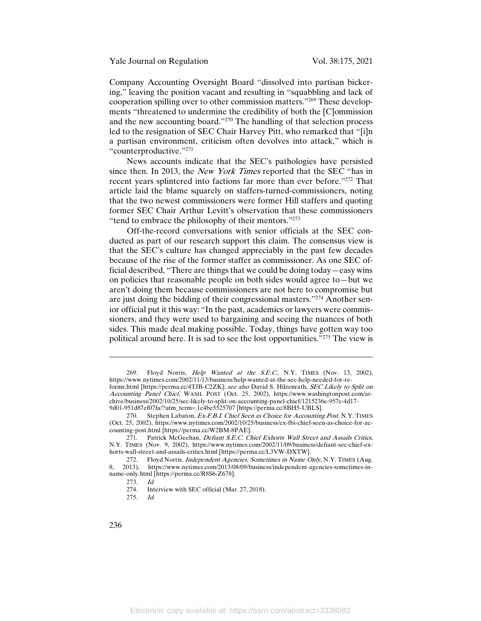Company Accounting Oversight Board "dissolved into partisan bickering," leaving the position vacant and resulting in "squabbling and lack of cooperation spilling over to other commission matters."269 These developments "threatened to undermine the credibility of both the [C]ommission and the new accounting board."270 The handling of that selection process led to the resignation of SEC Chair Harvey Pitt, who remarked that "[i]n a partisan environment, criticism often devolves into attack," which is "counterproductive."271

News accounts indicate that the SEC's pathologies have persisted since then. In 2013, the *New York Times* reported that the SEC "has in recent years splintered into factions far more than ever before."272 That article laid the blame squarely on staffers-turned-commissioners, noting that the two newest commissioners were former Hill staffers and quoting former SEC Chair Arthur Levitt's observation that these commissioners "tend to embrace the philosophy of their mentors."273

Off-the-record conversations with senior officials at the SEC conducted as part of our research support this claim. The consensus view is that the SEC's culture has changed appreciably in the past few decades because of the rise of the former staffer as commissioner. As one SEC official described, "There are things that we could be doing today—easy wins on policies that reasonable people on both sides would agree to—but we aren't doing them because commissioners are not here to compromise but are just doing the bidding of their congressional masters."274 Another senior official put it this way: "In the past, academics or lawyers were commissioners, and they were used to bargaining and seeing the nuances of both sides. This made deal making possible. Today, things have gotten way too political around here. It is sad to see the lost opportunities."275 The view is

 $\overline{\phantom{a}}$ 

<sup>269.</sup> Floyd Norris, *Help Wanted at the S.E.C.*, N.Y. TIMES (Nov. 13, 2002), https://www.nytimes.com/2002/11/13/business/help-wanted-at-the-sec-help-needed-for-reforms.html [https://perma.cc/4TJB-C2ZK]; see also David S. Hilzenrath, SEC Likely to Split on Accounting Panel Chief, WASH. POST (Oct. 25, 2002), https://www.washingtonpost.com/archive/business/2002/10/25/sec-likely-to-split-on-accounting-panel-chief/1215236e-957c-4d17-

<sup>9</sup>d01-951d87ef07fa/?utm\_term=.1c4be5525707 [https://perma.cc/8BH5-UBLS].

<sup>270.</sup> Stephen Labaton, Ex-F.B.I. Chief Seen as Choice for Accounting Post, N.Y. TIMES (Oct. 25, 2002), https://www.nytimes.com/2002/10/25/business/ex-fbi-chief-seen-as-choice-for-accounting-post.html [https://perma.cc/W2BM-8PAE].

<sup>271.</sup> Patrick McGeehan, Defiant S.E.C. Chief Exhorts Wall Street and Assails Critics, N.Y. TIMES (Nov. 9, 2002), https://www.nytimes.com/2002/11/09/business/defiant-sec-chief-exhorts-wall-street-and-assails-critics.html [https://perma.cc/L3VW-DXTW].

<sup>272.</sup> Floyd Norris, *Independent Agencies, Sometimes in Name Only*, N.Y. TIMES (Aug. 8, 2013), https://www.nytimes.com/2013/08/09/business/independent-agencies-sometimes-inname-only.html [https://perma.cc/R8S6-Z678].

<sup>273.</sup> *Id.*<br>274. Int Interview with SEC official (Mar. 27, 2018).

<sup>275.</sup> Id.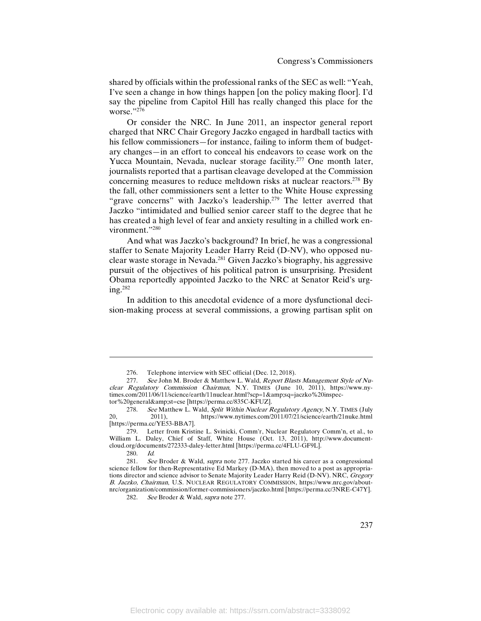shared by officials within the professional ranks of the SEC as well: "Yeah, I've seen a change in how things happen [on the policy making floor]. I'd say the pipeline from Capitol Hill has really changed this place for the worse."276

Or consider the NRC. In June 2011, an inspector general report charged that NRC Chair Gregory Jaczko engaged in hardball tactics with his fellow commissioners—for instance, failing to inform them of budgetary changes—in an effort to conceal his endeavors to cease work on the Yucca Mountain, Nevada, nuclear storage facility.277 One month later, journalists reported that a partisan cleavage developed at the Commission concerning measures to reduce meltdown risks at nuclear reactors.<sup>278</sup> By the fall, other commissioners sent a letter to the White House expressing "grave concerns" with Jaczko's leadership.<sup>279</sup> The letter averred that Jaczko "intimidated and bullied senior career staff to the degree that he has created a high level of fear and anxiety resulting in a chilled work environment."280

And what was Jaczko's background? In brief, he was a congressional staffer to Senate Majority Leader Harry Reid (D-NV), who opposed nuclear waste storage in Nevada.281 Given Jaczko's biography, his aggressive pursuit of the objectives of his political patron is unsurprising. President Obama reportedly appointed Jaczko to the NRC at Senator Reid's urging.282

In addition to this anecdotal evidence of a more dysfunctional decision-making process at several commissions, a growing partisan split on

279. Letter from Kristine L. Svinicki, Comm'r, Nuclear Regulatory Comm'n, et al., to William L. Daley, Chief of Staff, White House (Oct. 13, 2011), http://www.documentcloud.org/documents/272333-daley-letter.html [https://perma.cc/4FLU-GF9L].

 $\overline{\phantom{a}}$ 

280. Id.<br>281. See See Broder & Wald, supra note 277. Jaczko started his career as a congressional science fellow for then-Representative Ed Markey (D-MA), then moved to a post as appropriations director and science advisor to Senate Majority Leader Harry Reid (D-NV). NRC, Gregory <sup>B</sup>. Jaczko, Chairman, U.S. NUCLEAR REGULATORY COMMISSION, https://www.nrc.gov/aboutnrc/organization/commission/former-commissioners/jaczko.html [https://perma.cc/3NRE-C47Y].

282. See Broder & Wald, *supra* note 277.

<sup>276.</sup> Telephone interview with SEC official (Dec. 12, 2018).

<sup>277.</sup> See John M. Broder & Matthew L. Wald, *Report Blasts Management Style of Nu*clear Regulatory Commission Chairman, N.Y. TIMES (June 10, 2011), https://www.nytimes.com/2011/06/11/science/earth/11nuclear.html?scp=1&sq=jaczko%20inspector%20general&st=cse [https://perma.cc/835C-KFUZ].

<sup>278.</sup> See Matthew L. Wald, Split Within Nuclear Regulatory Agency, N.Y. TIMES (July<br>2011) https://www.nytimes.com/2011/07/21/science/earth/21nuke.html 20, 2011), https://www.nytimes.com/2011/07/21/science/earth/21nuke.html [https://perma.cc/YE53-BBA7].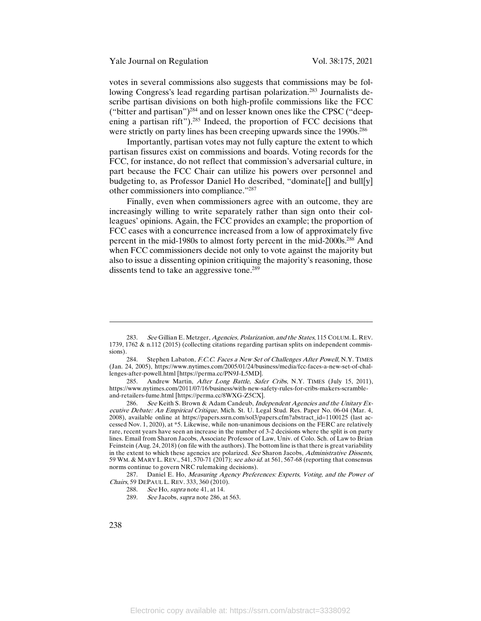Yale Journal on Regulation Vol. 38:175, 2021

votes in several commissions also suggests that commissions may be following Congress's lead regarding partisan polarization.<sup>283</sup> Journalists describe partisan divisions on both high-profile commissions like the FCC ("bitter and partisan")<sup>284</sup> and on lesser known ones like the CPSC ("deepening a partisan rift").<sup>285</sup> Indeed, the proportion of FCC decisions that were strictly on party lines has been creeping upwards since the 1990s.<sup>286</sup>

Importantly, partisan votes may not fully capture the extent to which partisan fissures exist on commissions and boards. Voting records for the FCC, for instance, do not reflect that commission's adversarial culture, in part because the FCC Chair can utilize his powers over personnel and budgeting to, as Professor Daniel Ho described, "dominate[] and bull[y] other commissioners into compliance."287

Finally, even when commissioners agree with an outcome, they are increasingly willing to write separately rather than sign onto their colleagues' opinions. Again, the FCC provides an example; the proportion of FCC cases with a concurrence increased from a low of approximately five percent in the mid-1980s to almost forty percent in the mid-2000s.288 And when FCC commissioners decide not only to vote against the majority but also to issue a dissenting opinion critiquing the majority's reasoning, those dissents tend to take an aggressive tone.<sup>289</sup>

287. Daniel E. Ho, Measuring Agency Preferences: Experts, Voting, and the Power of Chairs, 59 DEPAUL L. REV. 333, 360 (2010).

 $\overline{a}$ 

<sup>283.</sup> See Gillian E. Metzger, Agencies, Polarization, and the States, 115 COLUM. L. REV. 1739, 1762 & n.112 (2015) (collecting citations regarding partisan splits on independent commissions).

<sup>284.</sup> Stephen Labaton, F.C.C. Faces a New Set of Challenges After Powell, N.Y. TIMES (Jan. 24, 2005), https://www.nytimes.com/2005/01/24/business/media/fcc-faces-a-new-set-of-challenges-after-powell.html [https://perma.cc/PN9J-L5MD].

<sup>285.</sup> Andrew Martin, *After Long Battle, Safer Cribs*, N.Y. TIMES (July 15, 2011), https://www.nytimes.com/2011/07/16/business/with-new-safety-rules-for-cribs-makers-scrambleand-retailers-fume.html [https://perma.cc/8WXG-Z5CX].

<sup>286.</sup> See Keith S. Brown & Adam Candeub, Independent Agencies and the Unitary Executive Debate: An Empirical Critique, Mich. St. U. Legal Stud. Res. Paper No. 06-04 (Mar. 4, 2008), available online at https://papers.ssrn.com/sol3/papers.cfm?abstract\_id=1100125 (last accessed Nov. 1, 2020), at \*5. Likewise, while non-unanimous decisions on the FERC are relatively rare, recent years have seen an increase in the number of 3-2 decisions where the split is on party lines. Email from Sharon Jacobs, Associate Professor of Law, Univ. of Colo. Sch. of Law to Brian Feinstein (Aug. 24, 2018) (on file with the authors). The bottom line is that there is great variability in the extent to which these agencies are polarized. See Sharon Jacobs, Administrative Dissents, 59 WM. & MARY L. REV., 541, 570-71 (2017); see also id. at 561, 567-68 (reporting that consensus norms continue to govern NRC rulemaking decisions).

<sup>288.</sup> See Ho, supra note 41, at 14.

<sup>289.</sup> See Jacobs, *supra* note 286, at 563.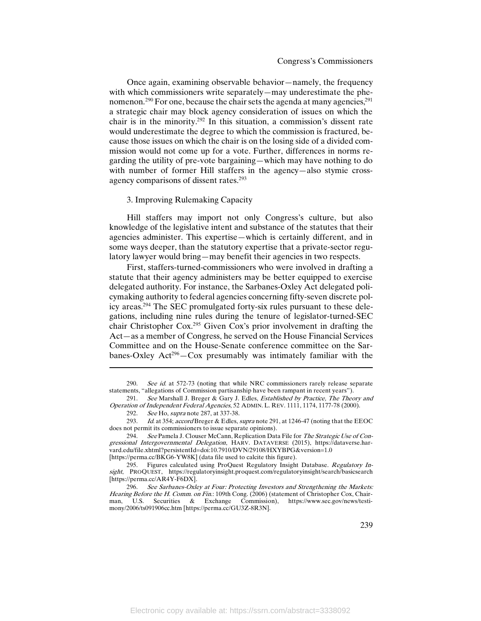Once again, examining observable behavior—namely, the frequency with which commissioners write separately—may underestimate the phenomenon.<sup>290</sup> For one, because the chair sets the agenda at many agencies,<sup>291</sup> a strategic chair may block agency consideration of issues on which the chair is in the minority.<sup>292</sup> In this situation, a commission's dissent rate would underestimate the degree to which the commission is fractured, because those issues on which the chair is on the losing side of a divided commission would not come up for a vote. Further, differences in norms regarding the utility of pre-vote bargaining—which may have nothing to do with number of former Hill staffers in the agency—also stymie crossagency comparisons of dissent rates.<sup>293</sup>

## 3. Improving Rulemaking Capacity

Hill staffers may import not only Congress's culture, but also knowledge of the legislative intent and substance of the statutes that their agencies administer. This expertise—which is certainly different, and in some ways deeper, than the statutory expertise that a private-sector regulatory lawyer would bring—may benefit their agencies in two respects.

First, staffers-turned-commissioners who were involved in drafting a statute that their agency administers may be better equipped to exercise delegated authority. For instance, the Sarbanes-Oxley Act delegated policymaking authority to federal agencies concerning fifty-seven discrete policy areas.294 The SEC promulgated forty-six rules pursuant to these delegations, including nine rules during the tenure of legislator-turned-SEC chair Christopher Cox.295 Given Cox's prior involvement in drafting the Act—as a member of Congress, he served on the House Financial Services Committee and on the House-Senate conference committee on the Sarbanes-Oxley  $Act^{296} - Cox$  presumably was intimately familiar with the

<sup>290.</sup> See id. at 572-73 (noting that while NRC commissioners rarely release separate statements, "allegations of Commission partisanship have been rampant in recent years").

<sup>291.</sup> See Marshall J. Breger & Gary J. Edles, Established by Practice, The Theory and Operation of Independent Federal Agencies, 52 ADMIN. L. REV. 1111, 1174, 1177-78 (2000).

<sup>292.</sup> See Ho, supra note 287, at 337-38.

<sup>293.</sup> Id. at 354; accord Breger & Edles, supra note 291, at 1246-47 (noting that the EEOC does not permit its commissioners to issue separate opinions).

<sup>294.</sup> See Pamela J. Clouser McCann, Replication Data File for The Strategic Use of Congressional Intergovernmental Delegation, HARV. DATAVERSE (2015), https://dataverse.harvard.edu/file.xhtml?persistentId=doi:10.7910/DVN/29108/HXYBPG&version=1.0 [https://perma.cc/BKG6-YW8K] (data file used to calcite this figure).

<sup>295.</sup> Figures calculated using ProQuest Regulatory Insight Database. Regulatory Insight, PROQUEST, https://regulatoryinsight.proquest.com/regulatoryinsight/search/basicsearch [https://perma.cc/AR4Y-F6DX].

<sup>296.</sup> See Sarbanes-Oxley at Four: Protecting Investors and Strengthening the Markets: Hearing Before the H. Comm. on Fin.: 109th Cong. (2006) (statement of Christopher Cox, Chairman, U.S. Securities & Exchange Commission), https://www.sec.gov/news/testimony/2006/ts091906cc.htm [https://perma.cc/GU3Z-8R3N].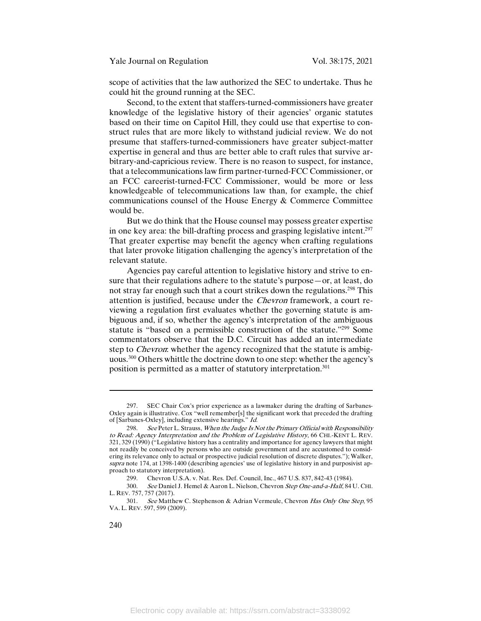scope of activities that the law authorized the SEC to undertake. Thus he could hit the ground running at the SEC.

Second, to the extent that staffers-turned-commissioners have greater knowledge of the legislative history of their agencies' organic statutes based on their time on Capitol Hill, they could use that expertise to construct rules that are more likely to withstand judicial review. We do not presume that staffers-turned-commissioners have greater subject-matter expertise in general and thus are better able to craft rules that survive arbitrary-and-capricious review. There is no reason to suspect, for instance, that a telecommunications law firm partner-turned-FCC Commissioner, or an FCC careerist-turned-FCC Commissioner, would be more or less knowledgeable of telecommunications law than, for example, the chief communications counsel of the House Energy & Commerce Committee would be.

But we do think that the House counsel may possess greater expertise in one key area: the bill-drafting process and grasping legislative intent.<sup>297</sup> That greater expertise may benefit the agency when crafting regulations that later provoke litigation challenging the agency's interpretation of the relevant statute.

Agencies pay careful attention to legislative history and strive to ensure that their regulations adhere to the statute's purpose—or, at least, do not stray far enough such that a court strikes down the regulations.<sup>298</sup> This attention is justified, because under the Chevron framework, a court reviewing a regulation first evaluates whether the governing statute is ambiguous and, if so, whether the agency's interpretation of the ambiguous statute is "based on a permissible construction of the statute."299 Some commentators observe that the D.C. Circuit has added an intermediate step to *Chevron*: whether the agency recognized that the statute is ambiguous.300 Others whittle the doctrine down to one step: whether the agency's position is permitted as a matter of statutory interpretation.301

 $\overline{a}$ 

<sup>297.</sup> SEC Chair Cox's prior experience as a lawmaker during the drafting of Sarbanes-Oxley again is illustrative. Cox "well remember[s] the significant work that preceded the drafting of [Sarbanes-Oxley], including extensive hearings." Id.

<sup>298.</sup> See Peter L. Strauss, When the Judge Is Not the Primary Official with Responsibility to Read: Agency Interpretation and the Problem of Legislative History, 66 CHI.-KENT L. REV. 321, 329 (1990) ("Legislative history has a centrality and importance for agency lawyers that might not readily be conceived by persons who are outside government and are accustomed to considering its relevance only to actual or prospective judicial resolution of discrete disputes."); Walker, supra note 174, at 1398-1400 (describing agencies' use of legislative history in and purposivist approach to statutory interpretation).

<sup>299.</sup> Chevron U.S.A. v. Nat. Res. Def. Council, Inc., 467 U.S. 837, 842-43 (1984).

<sup>300.</sup> See Daniel J. Hemel & Aaron L. Nielson, Chevron Step One-and-a-Half, 84 U. CHI. L. REV. 757, 757 (2017).

<sup>301.</sup> See Matthew C. Stephenson & Adrian Vermeule, Chevron Has Only One Step, 95 VA. L. REV. 597, 599 (2009).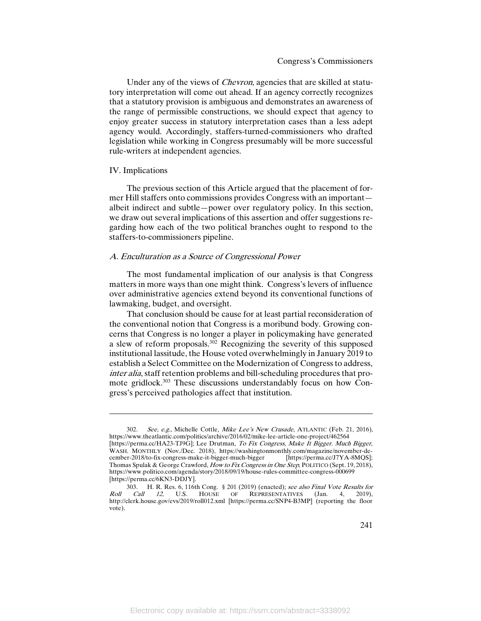Under any of the views of Chevron, agencies that are skilled at statutory interpretation will come out ahead. If an agency correctly recognizes that a statutory provision is ambiguous and demonstrates an awareness of the range of permissible constructions, we should expect that agency to enjoy greater success in statutory interpretation cases than a less adept agency would. Accordingly, staffers-turned-commissioners who drafted legislation while working in Congress presumably will be more successful rule-writers at independent agencies.

### IV. Implications

 $\overline{a}$ 

The previous section of this Article argued that the placement of former Hill staffers onto commissions provides Congress with an important albeit indirect and subtle—power over regulatory policy. In this section, we draw out several implications of this assertion and offer suggestions regarding how each of the two political branches ought to respond to the staffers-to-commissioners pipeline.

### A. Enculturation as a Source of Congressional Power

The most fundamental implication of our analysis is that Congress matters in more ways than one might think. Congress's levers of influence over administrative agencies extend beyond its conventional functions of lawmaking, budget, and oversight.

That conclusion should be cause for at least partial reconsideration of the conventional notion that Congress is a moribund body. Growing concerns that Congress is no longer a player in policymaking have generated a slew of reform proposals.302 Recognizing the severity of this supposed institutional lassitude, the House voted overwhelmingly in January 2019 to establish a Select Committee on the Modernization of Congress to address, inter alia, staff retention problems and bill-scheduling procedures that promote gridlock.<sup>303</sup> These discussions understandably focus on how Congress's perceived pathologies affect that institution.

<sup>302.</sup> See, e.g., Michelle Cottle, Mike Lee's New Crusade, ATLANTIC (Feb. 21, 2016), https://www.theatlantic.com/politics/archive/2016/02/mike-lee-article-one-project/462564 [https://perma.cc/HA23-TJ9G]; Lee Drutman, To Fix Congress, Make It Bigger. Much Bigger, WASH. MONTHLY (Nov./Dec. 2018), https://washingtonmonthly.com/magazine/november-de-<br>cember-2018/to-fix-congress-make-it-bigger-much-bigger [https://perma.cc/J7YA-8MQS]; cember-2018/to-fix-congress-make-it-bigger-much-bigger Thomas Spulak & George Crawford, How to Fix Congress in One Step, POLITICO (Sept. 19, 2018), https://www.politico.com/agenda/story/2018/09/19/house-rules-committee-congress-000699 [https://perma.cc/6KN3-DDJY].

<sup>303.</sup> H. R. Res. 6, 116th Cong. § 201 (2019) (enacted); see also Final Vote Results for Roll Call 12, U.S. HOUSE OF REPRESENTATIVES (Jan. 4, 2019), http://clerk.house.gov/evs/2019/roll012.xml [https://perma.cc/SNP4-B3MP] (reporting the floor vote).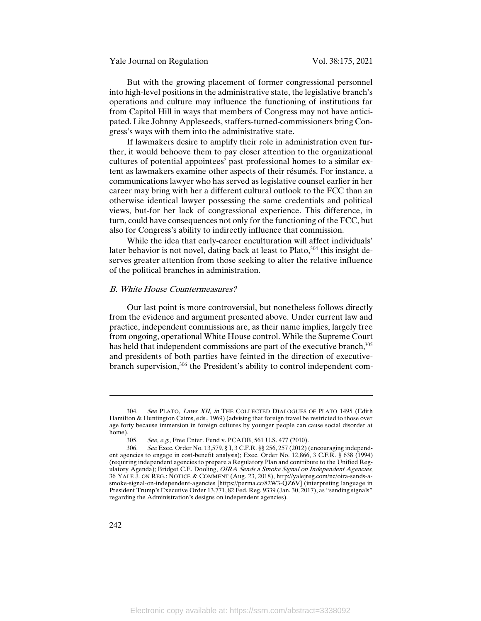Yale Journal on Regulation Vol. 38:175, 2021

But with the growing placement of former congressional personnel into high-level positions in the administrative state, the legislative branch's operations and culture may influence the functioning of institutions far from Capitol Hill in ways that members of Congress may not have anticipated. Like Johnny Appleseeds, staffers-turned-commissioners bring Congress's ways with them into the administrative state.

If lawmakers desire to amplify their role in administration even further, it would behoove them to pay closer attention to the organizational cultures of potential appointees' past professional homes to a similar extent as lawmakers examine other aspects of their résumés. For instance, a communications lawyer who has served as legislative counsel earlier in her career may bring with her a different cultural outlook to the FCC than an otherwise identical lawyer possessing the same credentials and political views, but-for her lack of congressional experience. This difference, in turn, could have consequences not only for the functioning of the FCC, but also for Congress's ability to indirectly influence that commission.

While the idea that early-career enculturation will affect individuals' later behavior is not novel, dating back at least to Plato,<sup>304</sup> this insight deserves greater attention from those seeking to alter the relative influence of the political branches in administration.

# B. White House Countermeasures?

Our last point is more controversial, but nonetheless follows directly from the evidence and argument presented above. Under current law and practice, independent commissions are, as their name implies, largely free from ongoing, operational White House control. While the Supreme Court has held that independent commissions are part of the executive branch,<sup>305</sup> and presidents of both parties have feinted in the direction of executivebranch supervision,<sup>306</sup> the President's ability to control independent com-

<sup>304.</sup> See PLATO, Laws XII, in THE COLLECTED DIALOGUES OF PLATO 1495 (Edith Hamilton & Huntington Caims, eds., 1969) (advising that foreign travel be restricted to those over age forty because immersion in foreign cultures by younger people can cause social disorder at home).

<sup>305.</sup> See, e.g., Free Enter. Fund v. PCAOB, 561 U.S. 477 (2010).

<sup>306.</sup> See Exec. Order No. 13,579, § I, 3 C.F.R. §§ 256, 257 (2012) (encouraging independent agencies to engage in cost-benefit analysis); Exec. Order No. 12,866, 3 C.F.R. § 638 (1994) (requiring independent agencies to prepare a Regulatory Plan and contribute to the Unified Regulatory Agenda); Bridget C.E. Dooling, OIRA Sends a Smoke Signal on Independent Agencies, 36 YALE J. ON REG.: NOTICE & COMMENT (Aug. 23, 2018), http://yalejreg.com/nc/oira-sends-asmoke-signal-on-independent-agencies [https://perma.cc/82W3-QZ6V] (interpreting language in President Trump's Executive Order 13,771, 82 Fed. Reg. 9339 (Jan. 30, 2017), as "sending signals" regarding the Administration's designs on independent agencies).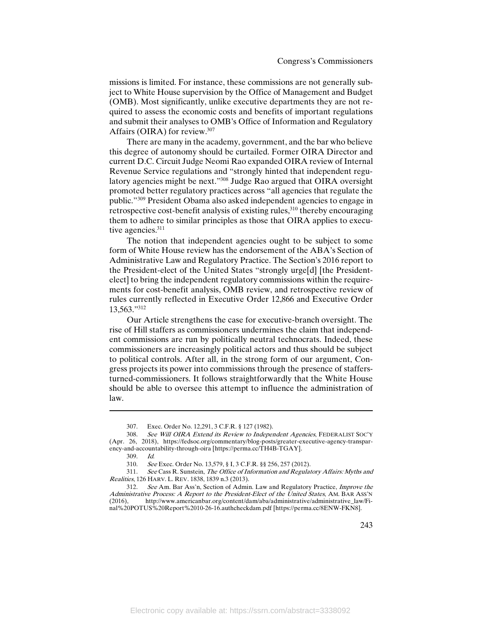missions is limited. For instance, these commissions are not generally subject to White House supervision by the Office of Management and Budget (OMB). Most significantly, unlike executive departments they are not required to assess the economic costs and benefits of important regulations and submit their analyses to OMB's Office of Information and Regulatory Affairs (OIRA) for review.307

There are many in the academy, government, and the bar who believe this degree of autonomy should be curtailed. Former OIRA Director and current D.C. Circuit Judge Neomi Rao expanded OIRA review of Internal Revenue Service regulations and "strongly hinted that independent regulatory agencies might be next."308 Judge Rao argued that OIRA oversight promoted better regulatory practices across "all agencies that regulate the public."309 President Obama also asked independent agencies to engage in retrospective cost-benefit analysis of existing rules,<sup>310</sup> thereby encouraging them to adhere to similar principles as those that OIRA applies to executive agencies.<sup>311</sup>

The notion that independent agencies ought to be subject to some form of White House review has the endorsement of the ABA's Section of Administrative Law and Regulatory Practice. The Section's 2016 report to the President-elect of the United States "strongly urge[d] [the Presidentelect] to bring the independent regulatory commissions within the requirements for cost-benefit analysis, OMB review, and retrospective review of rules currently reflected in Executive Order 12,866 and Executive Order 13,563."312

Our Article strengthens the case for executive-branch oversight. The rise of Hill staffers as commissioners undermines the claim that independent commissions are run by politically neutral technocrats. Indeed, these commissioners are increasingly political actors and thus should be subject to political controls. After all, in the strong form of our argument, Congress projects its power into commissions through the presence of staffersturned-commissioners. It follows straightforwardly that the White House should be able to oversee this attempt to influence the administration of law.

 $\overline{a}$ 

<sup>307.</sup> Exec. Order No. 12,291, 3 C.F.R. § 127 (1982).

<sup>308.</sup> See Will OIRA Extend its Review to Independent Agencies, FEDERALIST SOC'Y (Apr. 26, 2018), https://fedsoc.org/commentary/blog-posts/greater-executive-agency-transparency-and-accountability-through-oira [https://perma.cc/TH4B-TGAY].

<sup>309.</sup> Id.

<sup>310.</sup> See Exec. Order No. 13,579, § I, 3 C.F.R. §§ 256, 257 (2012).

<sup>311.</sup> See Cass R. Sunstein, The Office of Information and Regulatory Affairs: Myths and Realities, 126 HARV. L. REV. 1838, 1839 n.3 (2013).

<sup>312.</sup> See Am. Bar Ass'n, Section of Admin. Law and Regulatory Practice, Improve the Administrative Process: A Report to the President-Elect of the United States, AM. BAR ASS'N (2016), http://www.americanbar.org/content/dam/aba/administrative/administrative\_law/Final%20POTUS%20Report%2010-26-16.authcheckdam.pdf [https://perma.cc/8ENW-FKN8].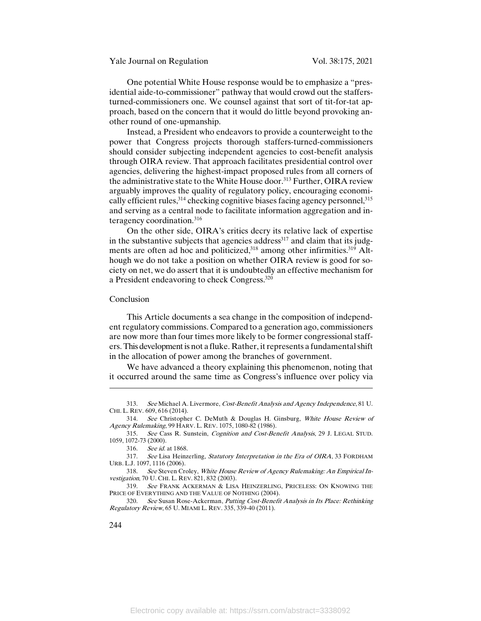Yale Journal on Regulation Vol. 38:175, 2021

One potential White House response would be to emphasize a "presidential aide-to-commissioner" pathway that would crowd out the staffersturned-commissioners one. We counsel against that sort of tit-for-tat approach, based on the concern that it would do little beyond provoking another round of one-upmanship.

Instead, a President who endeavors to provide a counterweight to the power that Congress projects thorough staffers-turned-commissioners should consider subjecting independent agencies to cost-benefit analysis through OIRA review. That approach facilitates presidential control over agencies, delivering the highest-impact proposed rules from all corners of the administrative state to the White House door.<sup>313</sup> Further, OIRA review arguably improves the quality of regulatory policy, encouraging economically efficient rules,  $314$  checking cognitive biases facing agency personnel,  $315$ and serving as a central node to facilitate information aggregation and interagency coordination.316

On the other side, OIRA's critics decry its relative lack of expertise in the substantive subjects that agencies address<sup>317</sup> and claim that its judgments are often ad hoc and politicized,<sup>318</sup> among other infirmities.<sup>319</sup> Although we do not take a position on whether OIRA review is good for society on net, we do assert that it is undoubtedly an effective mechanism for a President endeavoring to check Congress.320

#### Conclusion

This Article documents a sea change in the composition of independent regulatory commissions. Compared to a generation ago, commissioners are now more than four times more likely to be former congressional staffers. This development is not a fluke. Rather, it represents a fundamental shift in the allocation of power among the branches of government.

We have advanced a theory explaining this phenomenon, noting that it occurred around the same time as Congress's influence over policy via

<sup>313.</sup> See Michael A. Livermore, Cost-Benefit Analysis and Agency Independence, 81 U. CHI. L. REV. 609, 616 (2014).

<sup>314.</sup> See Christopher C. DeMuth & Douglas H. Ginsburg, White House Review of Agency Rulemaking, 99 HARV. L. REV. 1075, 1080-82 (1986).

<sup>315.</sup> See Cass R. Sunstein, Cognition and Cost-Benefit Analysis, 29 J. LEGAL STUD. 1059, 1072-73 (2000).

<sup>316.</sup> See id. at 1868.

<sup>317.</sup> See Lisa Heinzerling, Statutory Interpretation in the Era of OIRA, 33 FORDHAM URB. L.J. 1097, 1116 (2006).

<sup>318.</sup> See Steven Croley, White House Review of Agency Rulemaking: An Empirical Investigation, 70 U. CHI. L. REV. 821, 832 (2003).

<sup>319.</sup> See FRANK ACKERMAN & LISA HEINZERLING, PRICELESS: ON KNOWING THE PRICE OF EVERYTHING AND THE VALUE OF NOTHING (2004).

<sup>320.</sup> See Susan Rose-Ackerman, Putting Cost-Benefit Analysis in Its Place: Rethinking Regulatory Review, 65 U. MIAMI L. REV. 335, 339-40 (2011).